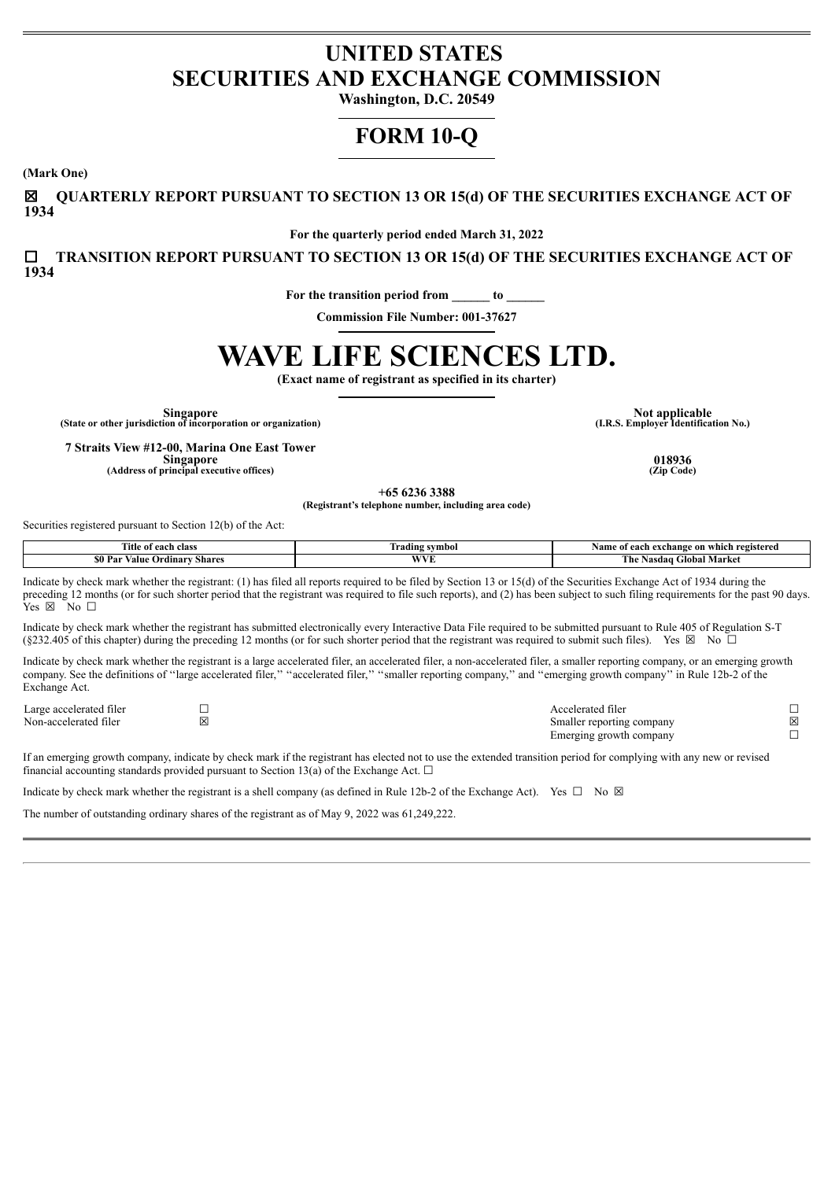# **UNITED STATES SECURITIES AND EXCHANGE COMMISSION**

**Washington, D.C. 20549**

# **FORM 10-Q**

**(Mark One)**

☒ **QUARTERLY REPORT PURSUANT TO SECTION 13 OR 15(d) OF THE SECURITIES EXCHANGE ACT OF 1934**

**For the quarterly period ended March 31, 2022**

☐ **TRANSITION REPORT PURSUANT TO SECTION 13 OR 15(d) OF THE SECURITIES EXCHANGE ACT OF 1934**

**For the transition period from \_\_\_\_\_\_ to \_\_\_\_\_\_**

**Commission File Number: 001-37627**

# **WAVE LIFE SCIENCES LTD.**

**(Exact name of registrant as specified in its charter)**

**Singapore (State or other jurisdiction of incorporation or organization)**

**Not applicable (I.R.S. Employer Identification No.)**

**018936 (Zip Code)**

**7 Straits View #12-00, Marina One East Tower Singapore (Address of principal executive offices)**

**+65 6236 3388**

**(Registrant's telephone number, including area code)**

Securities registered pursuant to Section 12(b) of the Act:

| Title o<br>aoh<br>class<br>ы.                  | -symbor<br>radin   | ı registered<br>change on which-<br>Name<br>each |
|------------------------------------------------|--------------------|--------------------------------------------------|
| \$0 Par<br>Value .<br><b>Shares</b><br>…rdina™ | <b>WATE</b><br>. . | $-$<br><b>Global Market</b><br>l'he              |

Indicate by check mark whether the registrant: (1) has filed all reports required to be filed by Section 13 or 15(d) of the Securities Exchange Act of 1934 during the preceding 12 months (or for such shorter period that the registrant was required to file such reports), and (2) has been subject to such filing requirements for the past 90 days.  $Yes \boxtimes No \square$ 

Indicate by check mark whether the registrant has submitted electronically every Interactive Data File required to be submitted pursuant to Rule 405 of Regulation S-T (§232.405 of this chapter) during the preceding 12 months (or for such shorter period that the registrant was required to submit such files). Yes  $\boxtimes$  No  $\Box$ 

Indicate by check mark whether the registrant is a large accelerated filer, an accelerated filer, a non-accelerated filer, a smaller reporting company, or an emerging growth company. See the definitions of "large accelerated filer," "accelerated filer," "smaller reporting company," and "emerging growth company" in Rule 12b-2 of the Exchange Act.

| Large accelerated filer | Accelerated filer         |   |
|-------------------------|---------------------------|---|
| Non-accelerated filer   | Smaller reporting company | 冈 |
|                         | Emerging growth company   |   |

If an emerging growth company, indicate by check mark if the registrant has elected not to use the extended transition period for complying with any new or revised financial accounting standards provided pursuant to Section 13(a) of the Exchange Act.  $\Box$ 

Indicate by check mark whether the registrant is a shell company (as defined in Rule 12b-2 of the Exchange Act). Yes  $\Box$  No  $\boxtimes$ 

The number of outstanding ordinary shares of the registrant as of May 9, 2022 was 61,249,222.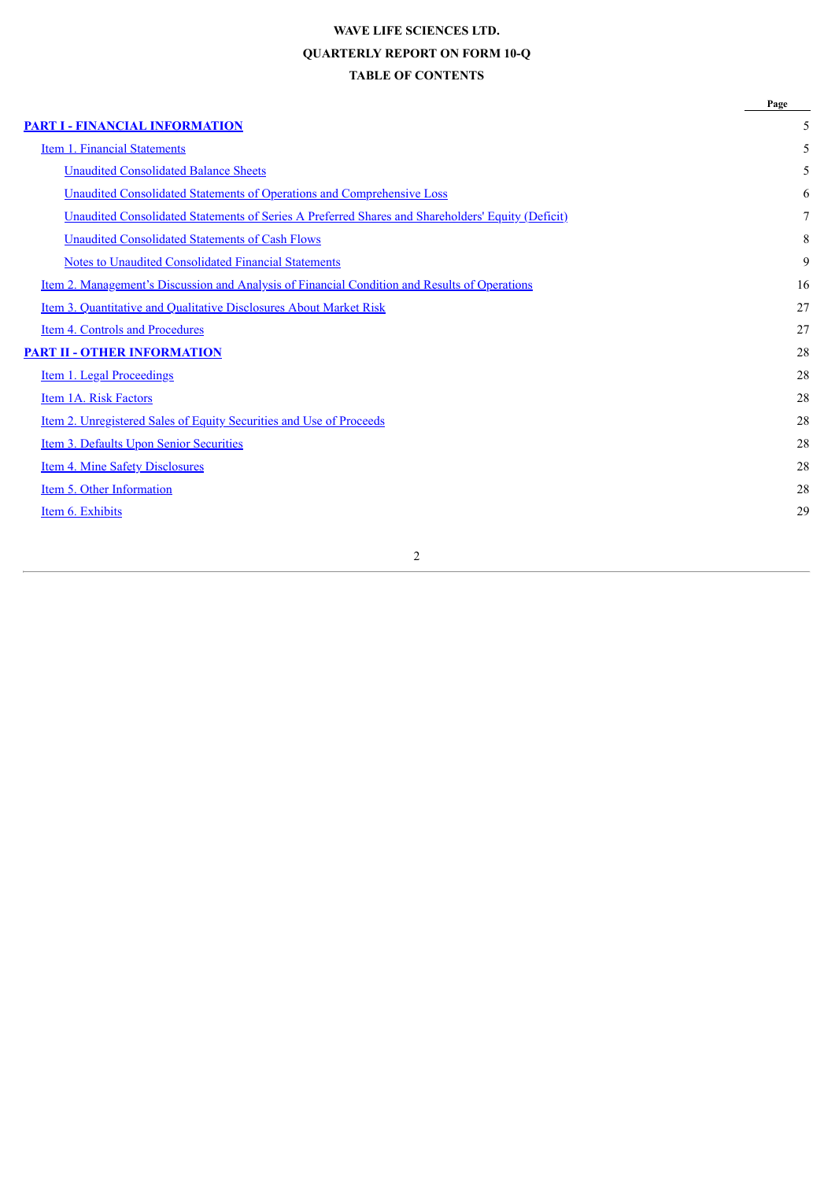## **WAVE LIFE SCIENCES LTD. QUARTERLY REPORT ON FORM 10-Q TABLE OF CONTENTS**

|                                                                                                      | Page |
|------------------------------------------------------------------------------------------------------|------|
| <b>PART I - FINANCIAL INFORMATION</b>                                                                | 5    |
| <b>Item 1. Financial Statements</b>                                                                  | 5    |
| <b>Unaudited Consolidated Balance Sheets</b>                                                         | 5    |
| Unaudited Consolidated Statements of Operations and Comprehensive Loss                               | 6    |
| Unaudited Consolidated Statements of Series A Preferred Shares and Shareholders' Equity (Deficit)    | 7    |
| <b>Unaudited Consolidated Statements of Cash Flows</b>                                               | 8    |
| <b>Notes to Unaudited Consolidated Financial Statements</b>                                          | 9    |
| <u>Item 2. Management's Discussion and Analysis of Financial Condition and Results of Operations</u> | 16   |
| Item 3. Quantitative and Qualitative Disclosures About Market Risk                                   | 27   |
| Item 4. Controls and Procedures                                                                      | 27   |
| <b>PART II - OTHER INFORMATION</b>                                                                   | 28   |
| Item 1. Legal Proceedings                                                                            | 28   |
| Item 1A. Risk Factors                                                                                | 28   |
| Item 2. Unregistered Sales of Equity Securities and Use of Proceeds                                  | 28   |
| Item 3. Defaults Upon Senior Securities                                                              | 28   |
| <b>Item 4. Mine Safety Disclosures</b>                                                               | 28   |
| Item 5. Other Information                                                                            | 28   |
| Item 6. Exhibits                                                                                     | 29   |
|                                                                                                      |      |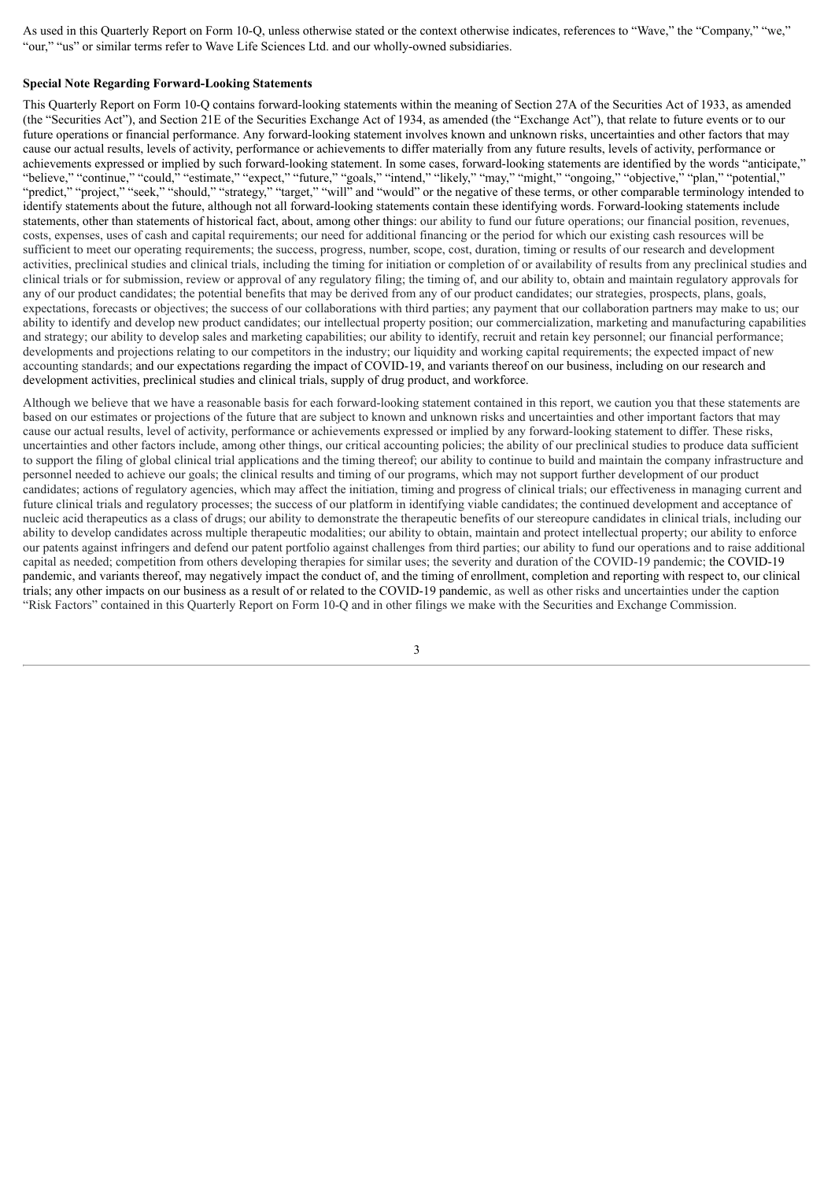As used in this Quarterly Report on Form 10-Q, unless otherwise stated or the context otherwise indicates, references to "Wave," the "Company," "we," "our," "us" or similar terms refer to Wave Life Sciences Ltd. and our wholly-owned subsidiaries.

#### **Special Note Regarding Forward-Looking Statements**

This Quarterly Report on Form 10-Q contains forward-looking statements within the meaning of Section 27A of the Securities Act of 1933, as amended (the "Securities Act"), and Section 21E of the Securities Exchange Act of 1934, as amended (the "Exchange Act"), that relate to future events or to our future operations or financial performance. Any forward-looking statement involves known and unknown risks, uncertainties and other factors that may cause our actual results, levels of activity, performance or achievements to differ materially from any future results, levels of activity, performance or achievements expressed or implied by such forward-looking statement. In some cases, forward-looking statements are identified by the words "anticipate," "believe," "continue," "could," "estimate," "expect," "future," "goals," "intend," "likely," "may," "might," "ongoing," "objective," "plan," "potential," "predict," "project," "seek," "should," "strategy," "target," "will" and "would" or the negative of these terms, or other comparable terminology intended to identify statements about the future, although not all forward-looking statements contain these identifying words. Forward-looking statements include statements, other than statements of historical fact, about, among other things: our ability to fund our future operations; our financial position, revenues, costs, expenses, uses of cash and capital requirements; our need for additional financing or the period for which our existing cash resources will be sufficient to meet our operating requirements; the success, progress, number, scope, cost, duration, timing or results of our research and development activities, preclinical studies and clinical trials, including the timing for initiation or completion of or availability of results from any preclinical studies and clinical trials or for submission, review or approval of any regulatory filing; the timing of, and our ability to, obtain and maintain regulatory approvals for any of our product candidates; the potential benefits that may be derived from any of our product candidates; our strategies, prospects, plans, goals, expectations, forecasts or objectives; the success of our collaborations with third parties; any payment that our collaboration partners may make to us; our ability to identify and develop new product candidates; our intellectual property position; our commercialization, marketing and manufacturing capabilities and strategy; our ability to develop sales and marketing capabilities; our ability to identify, recruit and retain key personnel; our financial performance; developments and projections relating to our competitors in the industry; our liquidity and working capital requirements; the expected impact of new accounting standards; and our expectations regarding the impact of COVID-19, and variants thereof on our business, including on our research and development activities, preclinical studies and clinical trials, supply of drug product, and workforce.

Although we believe that we have a reasonable basis for each forward-looking statement contained in this report, we caution you that these statements are based on our estimates or projections of the future that are subject to known and unknown risks and uncertainties and other important factors that may cause our actual results, level of activity, performance or achievements expressed or implied by any forward-looking statement to differ. These risks, uncertainties and other factors include, among other things, our critical accounting policies; the ability of our preclinical studies to produce data sufficient to support the filing of global clinical trial applications and the timing thereof; our ability to continue to build and maintain the company infrastructure and personnel needed to achieve our goals; the clinical results and timing of our programs, which may not support further development of our product candidates; actions of regulatory agencies, which may affect the initiation, timing and progress of clinical trials; our effectiveness in managing current and future clinical trials and regulatory processes; the success of our platform in identifying viable candidates; the continued development and acceptance of nucleic acid therapeutics as a class of drugs; our ability to demonstrate the therapeutic benefits of our stereopure candidates in clinical trials, including our ability to develop candidates across multiple therapeutic modalities; our ability to obtain, maintain and protect intellectual property; our ability to enforce our patents against infringers and defend our patent portfolio against challenges from third parties; our ability to fund our operations and to raise additional capital as needed; competition from others developing therapies for similar uses; the severity and duration of the COVID-19 pandemic; the COVID-19 pandemic, and variants thereof, may negatively impact the conduct of, and the timing of enrollment, completion and reporting with respect to, our clinical trials; any other impacts on our business as a result of or related to the COVID-19 pandemic, as well as other risks and uncertainties under the caption "Risk Factors" contained in this Quarterly Report on Form 10-Q and in other filings we make with the Securities and Exchange Commission.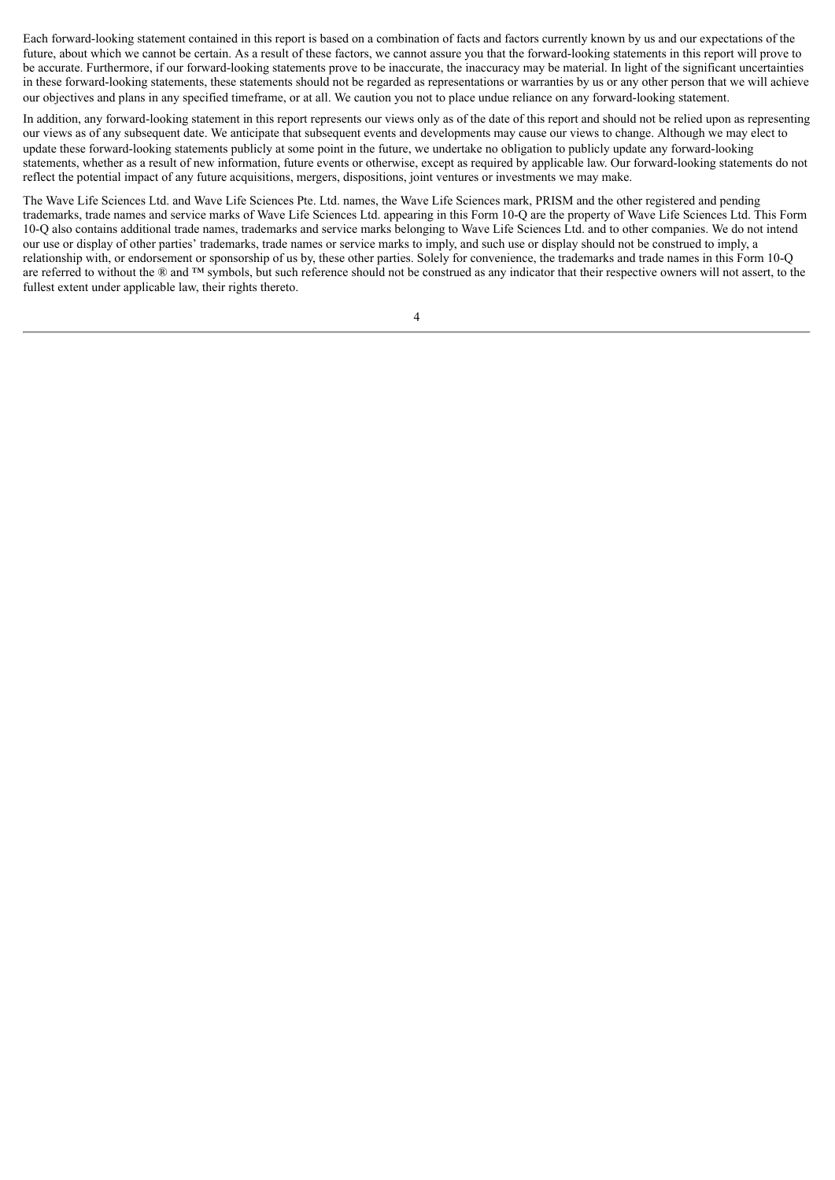Each forward-looking statement contained in this report is based on a combination of facts and factors currently known by us and our expectations of the future, about which we cannot be certain. As a result of these factors, we cannot assure you that the forward-looking statements in this report will prove to be accurate. Furthermore, if our forward-looking statements prove to be inaccurate, the inaccuracy may be material. In light of the significant uncertainties in these forward-looking statements, these statements should not be regarded as representations or warranties by us or any other person that we will achieve our objectives and plans in any specified timeframe, or at all. We caution you not to place undue reliance on any forward-looking statement.

In addition, any forward-looking statement in this report represents our views only as of the date of this report and should not be relied upon as representing our views as of any subsequent date. We anticipate that subsequent events and developments may cause our views to change. Although we may elect to update these forward-looking statements publicly at some point in the future, we undertake no obligation to publicly update any forward-looking statements, whether as a result of new information, future events or otherwise, except as required by applicable law. Our forward-looking statements do not reflect the potential impact of any future acquisitions, mergers, dispositions, joint ventures or investments we may make.

The Wave Life Sciences Ltd. and Wave Life Sciences Pte. Ltd. names, the Wave Life Sciences mark, PRISM and the other registered and pending trademarks, trade names and service marks of Wave Life Sciences Ltd. appearing in this Form 10-Q are the property of Wave Life Sciences Ltd. This Form 10-Q also contains additional trade names, trademarks and service marks belonging to Wave Life Sciences Ltd. and to other companies. We do not intend our use or display of other parties' trademarks, trade names or service marks to imply, and such use or display should not be construed to imply, a relationship with, or endorsement or sponsorship of us by, these other parties. Solely for convenience, the trademarks and trade names in this Form 10-Q are referred to without the ® and ™ symbols, but such reference should not be construed as any indicator that their respective owners will not assert, to the fullest extent under applicable law, their rights thereto.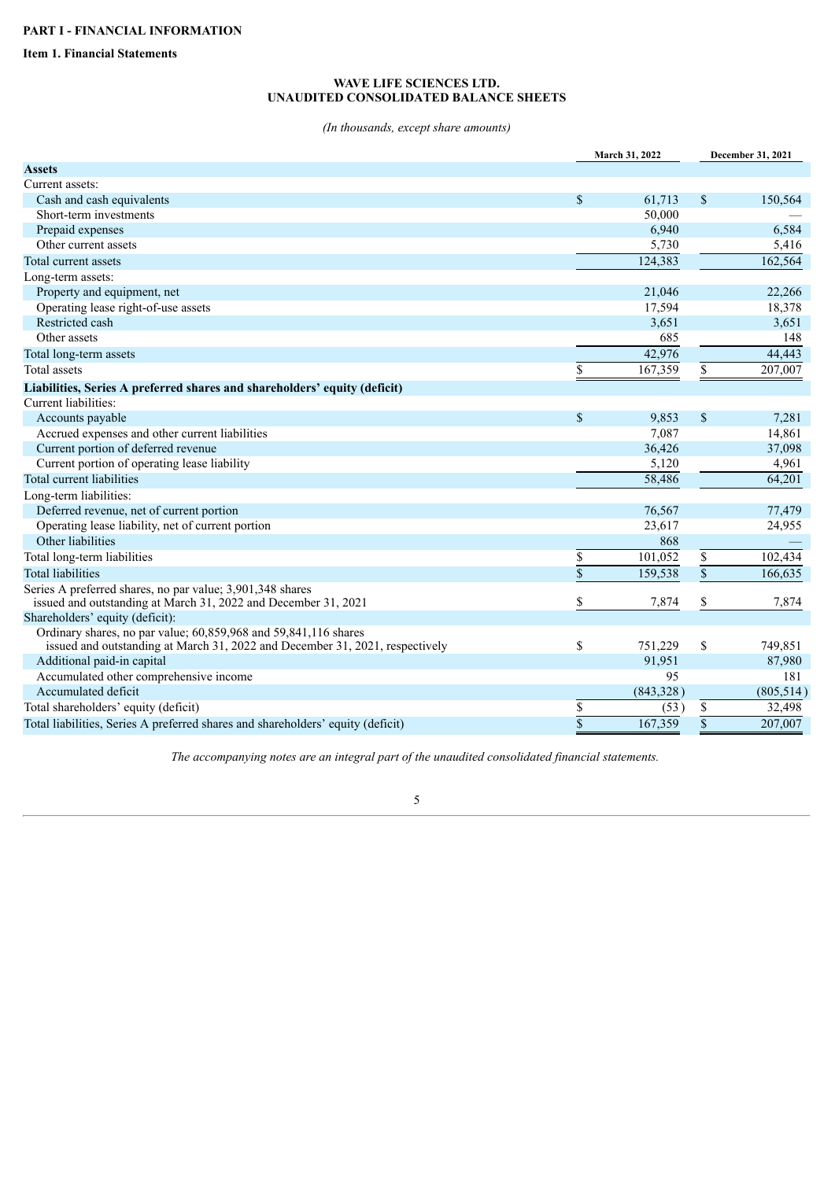#### <span id="page-4-2"></span><span id="page-4-1"></span><span id="page-4-0"></span>**Item 1. Financial Statements**

#### **WAVE LIFE SCIENCES LTD. UNAUDITED CONSOLIDATED BALANCE SHEETS**

*(In thousands, except share amounts)*

| <b>Assets</b><br>Current assets:<br>\$<br>\$<br>150,564<br>Cash and cash equivalents<br>61,713<br>Short-term investments<br>50.000                                                |        |
|-----------------------------------------------------------------------------------------------------------------------------------------------------------------------------------|--------|
|                                                                                                                                                                                   |        |
|                                                                                                                                                                                   |        |
|                                                                                                                                                                                   |        |
|                                                                                                                                                                                   |        |
| Prepaid expenses<br>6,940                                                                                                                                                         | 6,584  |
| Other current assets<br>5,730                                                                                                                                                     | 5,416  |
| 124,383<br>162,564<br>Total current assets                                                                                                                                        |        |
| Long-term assets:                                                                                                                                                                 |        |
| 21,046<br>Property and equipment, net                                                                                                                                             | 22,266 |
| Operating lease right-of-use assets<br>17,594                                                                                                                                     | 18,378 |
| Restricted cash<br>3,651                                                                                                                                                          | 3,651  |
| Other assets<br>685                                                                                                                                                               | 148    |
| 42,976<br>Total long-term assets                                                                                                                                                  | 44,443 |
| Total assets<br>\$<br>167,359<br>\$<br>207,007                                                                                                                                    |        |
| Liabilities, Series A preferred shares and shareholders' equity (deficit)                                                                                                         |        |
| Current liabilities:                                                                                                                                                              |        |
| \$<br>\$<br>9,853<br>Accounts payable                                                                                                                                             | 7,281  |
| Accrued expenses and other current liabilities<br>7,087                                                                                                                           | 14,861 |
| Current portion of deferred revenue<br>36,426                                                                                                                                     | 37,098 |
| Current portion of operating lease liability<br>5,120                                                                                                                             | 4,961  |
| Total current liabilities<br>58,486                                                                                                                                               | 64,201 |
| Long-term liabilities:                                                                                                                                                            |        |
| Deferred revenue, net of current portion<br>76,567                                                                                                                                | 77,479 |
| Operating lease liability, net of current portion<br>23,617                                                                                                                       | 24,955 |
| Other liabilities<br>868                                                                                                                                                          |        |
| \$<br>101,052<br>\$<br>102,434<br>Total long-term liabilities                                                                                                                     |        |
| $\overline{\$}$<br>$\mathsf{\$}$<br><b>Total liabilities</b><br>159,538<br>166,635                                                                                                |        |
| Series A preferred shares, no par value; 3,901,348 shares<br>\$<br>\$<br>7,874<br>issued and outstanding at March 31, 2022 and December 31, 2021                                  | 7,874  |
| Shareholders' equity (deficit):                                                                                                                                                   |        |
| Ordinary shares, no par value; 60,859,968 and 59,841,116 shares<br>\$<br>issued and outstanding at March 31, 2022 and December 31, 2021, respectively<br>751,229<br>\$<br>749,851 |        |
| Additional paid-in capital<br>91,951                                                                                                                                              | 87,980 |
| Accumulated other comprehensive income<br>95                                                                                                                                      | 181    |
| Accumulated deficit<br>(843,328)<br>(805, 514)                                                                                                                                    |        |
| $\overline{\$}$<br>\$<br>Total shareholders' equity (deficit)<br>(53)                                                                                                             | 32,498 |
| $\overline{\$}$<br>$\overline{\$}$<br>167,359<br>207,007<br>Total liabilities, Series A preferred shares and shareholders' equity (deficit)                                       |        |

*The accompanying notes are an integral part of the unaudited consolidated financial statements.*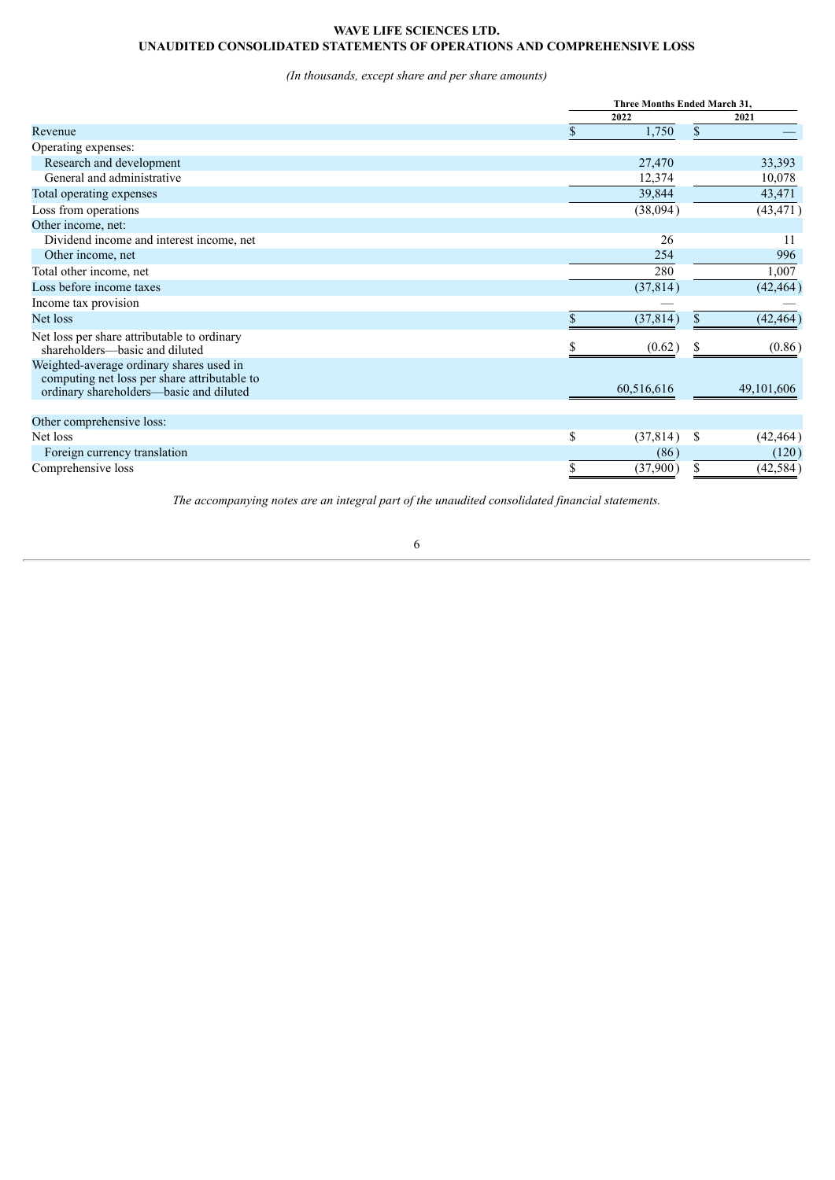#### **WAVE LIFE SCIENCES LTD. UNAUDITED CONSOLIDATED STATEMENTS OF OPERATIONS AND COMPREHENSIVE LOSS**

*(In thousands, except share and per share amounts)*

<span id="page-5-0"></span>

|                                                                                                                                     |                 | Three Months Ended March 31, |              |  |  |  |
|-------------------------------------------------------------------------------------------------------------------------------------|-----------------|------------------------------|--------------|--|--|--|
|                                                                                                                                     | 2022            |                              | 2021         |  |  |  |
| Revenue                                                                                                                             | 1,750<br>\$     | \$                           |              |  |  |  |
| Operating expenses:                                                                                                                 |                 |                              |              |  |  |  |
| Research and development                                                                                                            | 27,470          |                              | 33,393       |  |  |  |
| General and administrative                                                                                                          | 12,374          |                              | 10,078       |  |  |  |
| Total operating expenses                                                                                                            | 39,844          |                              | 43,471       |  |  |  |
| Loss from operations                                                                                                                | (38,094)        |                              | (43, 471)    |  |  |  |
| Other income, net:                                                                                                                  |                 |                              |              |  |  |  |
| Dividend income and interest income, net                                                                                            | 26              |                              | 11           |  |  |  |
| Other income, net                                                                                                                   | 254             |                              | 996          |  |  |  |
| Total other income, net                                                                                                             | 280             |                              | 1,007        |  |  |  |
| Loss before income taxes                                                                                                            | (37, 814)       |                              | (42, 464)    |  |  |  |
| Income tax provision                                                                                                                |                 |                              |              |  |  |  |
| Net loss                                                                                                                            | (37, 814)       | \$                           | (42, 464)    |  |  |  |
| Net loss per share attributable to ordinary<br>shareholders—basic and diluted                                                       | (0.62)          |                              | (0.86)       |  |  |  |
| Weighted-average ordinary shares used in<br>computing net loss per share attributable to<br>ordinary shareholders-basic and diluted | 60,516,616      |                              | 49, 101, 606 |  |  |  |
| Other comprehensive loss:                                                                                                           |                 |                              |              |  |  |  |
| Net loss                                                                                                                            | \$<br>(37, 814) | S                            | (42, 464)    |  |  |  |
| Foreign currency translation                                                                                                        | (86)            |                              | (120)        |  |  |  |
| Comprehensive loss                                                                                                                  | \$<br>(37,900)  | S                            | (42, 584)    |  |  |  |

*The accompanying notes are an integral part of the unaudited consolidated financial statements.*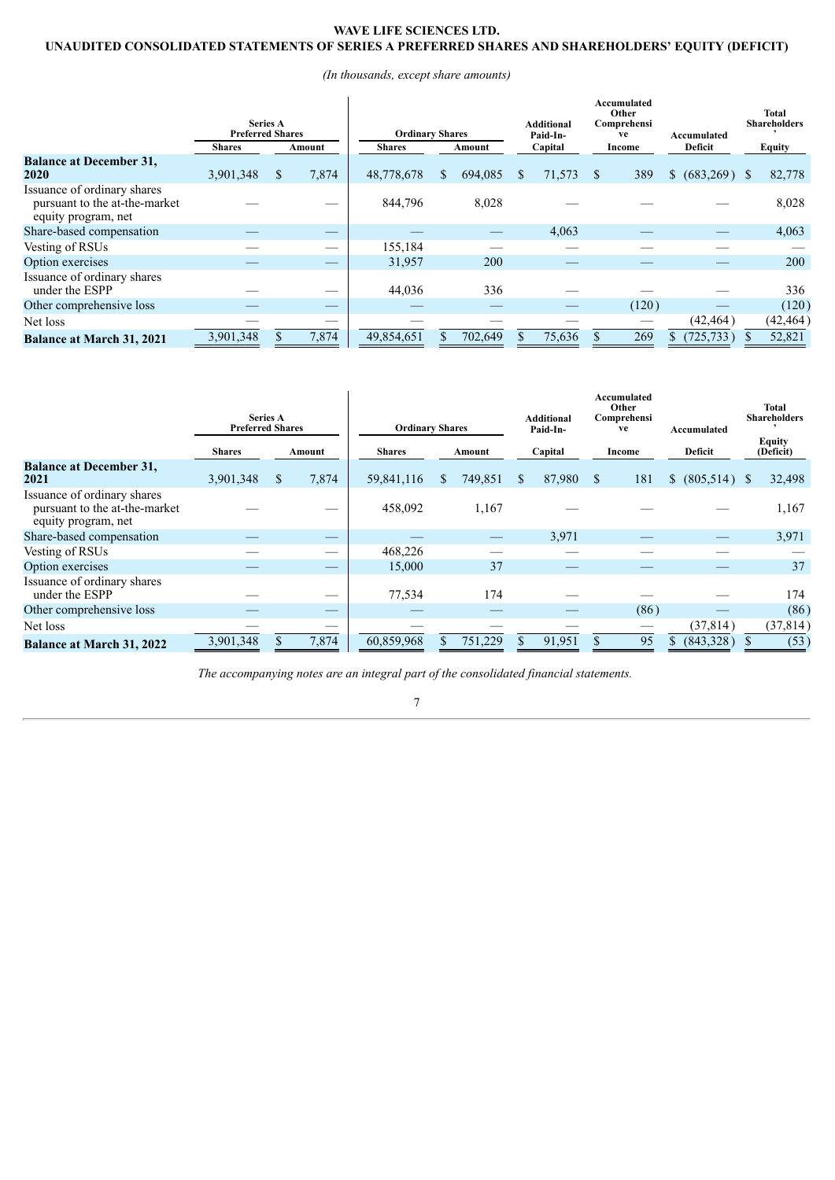#### <span id="page-6-0"></span>**WAVE LIFE SCIENCES LTD. UNAUDITED CONSOLIDATED STATEMENTS OF SERIES A PREFERRED SHARES AND SHAREHOLDERS' EQUITY (DEFICIT)**

*(In thousands, except share amounts)*

|                                                                                     | <b>Series A</b> | <b>Preferred Shares</b> |               | <b>Ordinary Shares</b> | <b>Additional</b><br>Paid-In- | Accumulated<br>Other<br>Comprehensi<br>ve | Accumulated          | Total<br><b>Shareholders</b> |
|-------------------------------------------------------------------------------------|-----------------|-------------------------|---------------|------------------------|-------------------------------|-------------------------------------------|----------------------|------------------------------|
|                                                                                     | <b>Shares</b>   | Amount                  | <b>Shares</b> | Amount                 | Capital                       | Income                                    | Deficit              | Equity                       |
| <b>Balance at December 31,</b><br>2020                                              | 3,901,348       | 7,874<br>S              | 48,778,678    | 694,085                | 71,573<br>S                   | 389<br>S                                  | $(683,269)$ \$<br>\$ | 82,778                       |
| Issuance of ordinary shares<br>pursuant to the at-the-market<br>equity program, net |                 |                         | 844,796       | 8,028                  |                               |                                           |                      | 8,028                        |
| Share-based compensation                                                            |                 |                         |               |                        | 4,063                         |                                           |                      | 4,063                        |
| Vesting of RSUs                                                                     |                 |                         | 155,184       |                        |                               |                                           |                      |                              |
| Option exercises                                                                    |                 |                         | 31,957        | <b>200</b>             |                               |                                           |                      | 200                          |
| Issuance of ordinary shares<br>under the ESPP                                       |                 |                         | 44,036        | 336                    |                               |                                           |                      | 336                          |
| Other comprehensive loss                                                            |                 |                         |               |                        |                               | (120)                                     |                      | (120)                        |
| Net loss                                                                            |                 |                         |               |                        |                               |                                           | (42, 464)            | (42, 464)                    |
| <b>Balance at March 31, 2021</b>                                                    | 3,901,348       | 7,874                   | 49,854,651    | 702,649                | 75,636                        | 269                                       | (725, 733)           | 52,821                       |

|                                                                                     | <b>Series A</b><br><b>Preferred Shares</b> |             | Accumulated<br>Other<br>Comprehensi<br><b>Additional</b><br><b>Ordinary Shares</b><br>Paid-In-<br>ve |               |             |            | Accumulated          | Total<br><b>Shareholders</b><br>Equity |
|-------------------------------------------------------------------------------------|--------------------------------------------|-------------|------------------------------------------------------------------------------------------------------|---------------|-------------|------------|----------------------|----------------------------------------|
|                                                                                     | <b>Shares</b>                              | Amount      | <b>Shares</b>                                                                                        | Amount        | Capital     | Income     | Deficit              | (Deficit)                              |
| <b>Balance at December 31,</b><br>2021                                              | 3,901,348                                  | 7,874<br>\$ | 59,841,116                                                                                           | 749,851<br>S. | 87,980<br>S | 181<br>\$. | $(805,514)$ \$<br>\$ | 32,498                                 |
| Issuance of ordinary shares<br>pursuant to the at-the-market<br>equity program, net |                                            |             | 458,092                                                                                              | 1,167         |             |            |                      | 1,167                                  |
| Share-based compensation                                                            |                                            |             |                                                                                                      |               | 3.971       |            |                      | 3,971                                  |
| Vesting of RSUs                                                                     |                                            |             | 468,226                                                                                              |               |             |            |                      |                                        |
| Option exercises                                                                    |                                            |             | 15,000                                                                                               | 37            |             |            |                      | 37                                     |
| Issuance of ordinary shares<br>under the ESPP                                       |                                            |             | 77,534                                                                                               | 174           |             |            |                      | 174                                    |
| Other comprehensive loss                                                            |                                            |             |                                                                                                      |               |             | (86)       |                      | (86)                                   |
| Net loss                                                                            |                                            |             |                                                                                                      |               |             |            | (37, 814)            | (37, 814)                              |
| <b>Balance at March 31, 2022</b>                                                    | 3,901,348                                  | 7,874       | 60,859,968                                                                                           | 751,229       | 91,951      | 95         | (843,328)            | (53)                                   |

*The accompanying notes are an integral part of the consolidated financial statements.*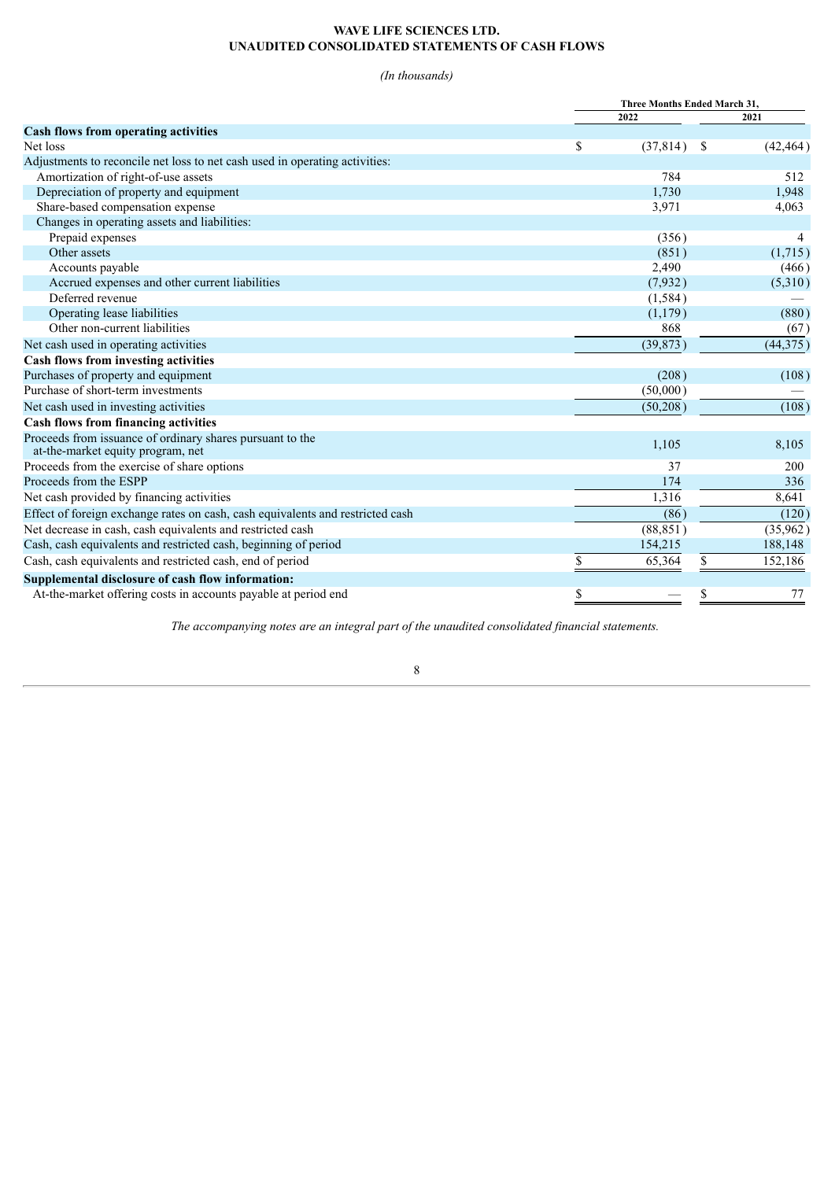#### **WAVE LIFE SCIENCES LTD. UNAUDITED CONSOLIDATED STATEMENTS OF CASH FLOWS**

*(In thousands)*

<span id="page-7-0"></span>

|                                                                                                | Three Months Ended March 31, |           |    |           |
|------------------------------------------------------------------------------------------------|------------------------------|-----------|----|-----------|
|                                                                                                |                              | 2022      |    | 2021      |
| <b>Cash flows from operating activities</b>                                                    |                              |           |    |           |
| Net loss                                                                                       | <sup>\$</sup>                | (37, 814) | -S | (42, 464) |
| Adjustments to reconcile net loss to net cash used in operating activities:                    |                              |           |    |           |
| Amortization of right-of-use assets                                                            |                              | 784       |    | 512       |
| Depreciation of property and equipment                                                         |                              | 1,730     |    | 1,948     |
| Share-based compensation expense                                                               |                              | 3,971     |    | 4,063     |
| Changes in operating assets and liabilities:                                                   |                              |           |    |           |
| Prepaid expenses                                                                               |                              | (356)     |    | 4         |
| Other assets                                                                                   |                              | (851)     |    | (1,715)   |
| Accounts payable                                                                               |                              | 2,490     |    | (466)     |
| Accrued expenses and other current liabilities                                                 |                              | (7,932)   |    | (5,310)   |
| Deferred revenue                                                                               |                              | (1,584)   |    |           |
| Operating lease liabilities                                                                    |                              | (1,179)   |    | (880)     |
| Other non-current liabilities                                                                  |                              | 868       |    | (67)      |
| Net cash used in operating activities                                                          |                              | (39, 873) |    | (44, 375) |
| <b>Cash flows from investing activities</b>                                                    |                              |           |    |           |
| Purchases of property and equipment                                                            |                              | (208)     |    | (108)     |
| Purchase of short-term investments                                                             |                              | (50,000)  |    |           |
| Net cash used in investing activities                                                          |                              | (50,208)  |    | (108)     |
| <b>Cash flows from financing activities</b>                                                    |                              |           |    |           |
| Proceeds from issuance of ordinary shares pursuant to the<br>at-the-market equity program, net |                              | 1,105     |    | 8,105     |
| Proceeds from the exercise of share options                                                    |                              | 37        |    | 200       |
| Proceeds from the ESPP                                                                         |                              | 174       |    | 336       |
| Net cash provided by financing activities                                                      |                              | 1,316     |    | 8,641     |
| Effect of foreign exchange rates on cash, cash equivalents and restricted cash                 |                              | (86)      |    | (120)     |
| Net decrease in cash, cash equivalents and restricted cash                                     |                              | (88, 851) |    | (35,962)  |
| Cash, cash equivalents and restricted cash, beginning of period                                |                              | 154,215   |    | 188,148   |
| Cash, cash equivalents and restricted cash, end of period                                      | \$                           | 65,364    | \$ | 152,186   |
| Supplemental disclosure of cash flow information:                                              |                              |           |    |           |
| At-the-market offering costs in accounts payable at period end                                 | \$                           |           | \$ | 77        |

*The accompanying notes are an integral part of the unaudited consolidated financial statements.*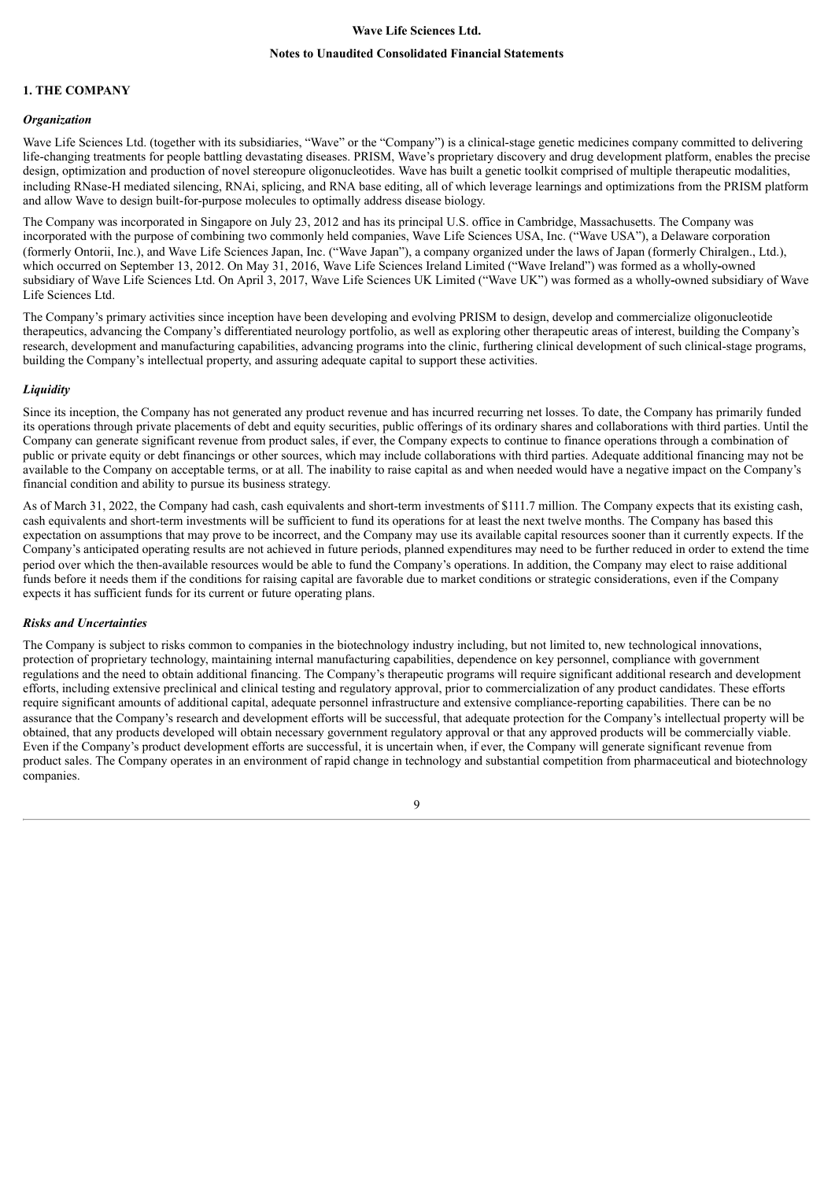#### **Wave Life Sciences Ltd.**

#### **Notes to Unaudited Consolidated Financial Statements**

#### <span id="page-8-0"></span>**1. THE COMPANY**

#### *Organization*

Wave Life Sciences Ltd. (together with its subsidiaries, "Wave" or the "Company") is a clinical-stage genetic medicines company committed to delivering life-changing treatments for people battling devastating diseases. PRISM, Wave's proprietary discovery and drug development platform, enables the precise design, optimization and production of novel stereopure oligonucleotides. Wave has built a genetic toolkit comprised of multiple therapeutic modalities, including RNase-H mediated silencing, RNAi, splicing, and RNA base editing, all of which leverage learnings and optimizations from the PRISM platform and allow Wave to design built-for-purpose molecules to optimally address disease biology.

The Company was incorporated in Singapore on July 23, 2012 and has its principal U.S. office in Cambridge, Massachusetts. The Company was incorporated with the purpose of combining two commonly held companies, Wave Life Sciences USA, Inc. ("Wave USA"), a Delaware corporation (formerly Ontorii, Inc.), and Wave Life Sciences Japan, Inc. ("Wave Japan"), a company organized under the laws of Japan (formerly Chiralgen., Ltd.), which occurred on September 13, 2012. On May 31, 2016, Wave Life Sciences Ireland Limited ("Wave Ireland") was formed as a wholly**-**owned subsidiary of Wave Life Sciences Ltd. On April 3, 2017, Wave Life Sciences UK Limited ("Wave UK") was formed as a wholly**-**owned subsidiary of Wave Life Sciences Ltd.

The Company's primary activities since inception have been developing and evolving PRISM to design, develop and commercialize oligonucleotide therapeutics, advancing the Company's differentiated neurology portfolio, as well as exploring other therapeutic areas of interest, building the Company's research, development and manufacturing capabilities, advancing programs into the clinic, furthering clinical development of such clinical-stage programs, building the Company's intellectual property, and assuring adequate capital to support these activities.

#### *Liquidity*

Since its inception, the Company has not generated any product revenue and has incurred recurring net losses. To date, the Company has primarily funded its operations through private placements of debt and equity securities, public offerings of its ordinary shares and collaborations with third parties. Until the Company can generate significant revenue from product sales, if ever, the Company expects to continue to finance operations through a combination of public or private equity or debt financings or other sources, which may include collaborations with third parties. Adequate additional financing may not be available to the Company on acceptable terms, or at all. The inability to raise capital as and when needed would have a negative impact on the Company's financial condition and ability to pursue its business strategy.

As of March 31, 2022, the Company had cash, cash equivalents and short-term investments of \$111.7 million. The Company expects that its existing cash, cash equivalents and short-term investments will be sufficient to fund its operations for at least the next twelve months. The Company has based this expectation on assumptions that may prove to be incorrect, and the Company may use its available capital resources sooner than it currently expects. If the Company's anticipated operating results are not achieved in future periods, planned expenditures may need to be further reduced in order to extend the time period over which the then-available resources would be able to fund the Company's operations. In addition, the Company may elect to raise additional funds before it needs them if the conditions for raising capital are favorable due to market conditions or strategic considerations, even if the Company expects it has sufficient funds for its current or future operating plans.

#### *Risks and Uncertainties*

The Company is subject to risks common to companies in the biotechnology industry including, but not limited to, new technological innovations, protection of proprietary technology, maintaining internal manufacturing capabilities, dependence on key personnel, compliance with government regulations and the need to obtain additional financing. The Company's therapeutic programs will require significant additional research and development efforts, including extensive preclinical and clinical testing and regulatory approval, prior to commercialization of any product candidates. These efforts require significant amounts of additional capital, adequate personnel infrastructure and extensive compliance-reporting capabilities. There can be no assurance that the Company's research and development efforts will be successful, that adequate protection for the Company's intellectual property will be obtained, that any products developed will obtain necessary government regulatory approval or that any approved products will be commercially viable. Even if the Company's product development efforts are successful, it is uncertain when, if ever, the Company will generate significant revenue from product sales. The Company operates in an environment of rapid change in technology and substantial competition from pharmaceutical and biotechnology companies.

 $\overline{9}$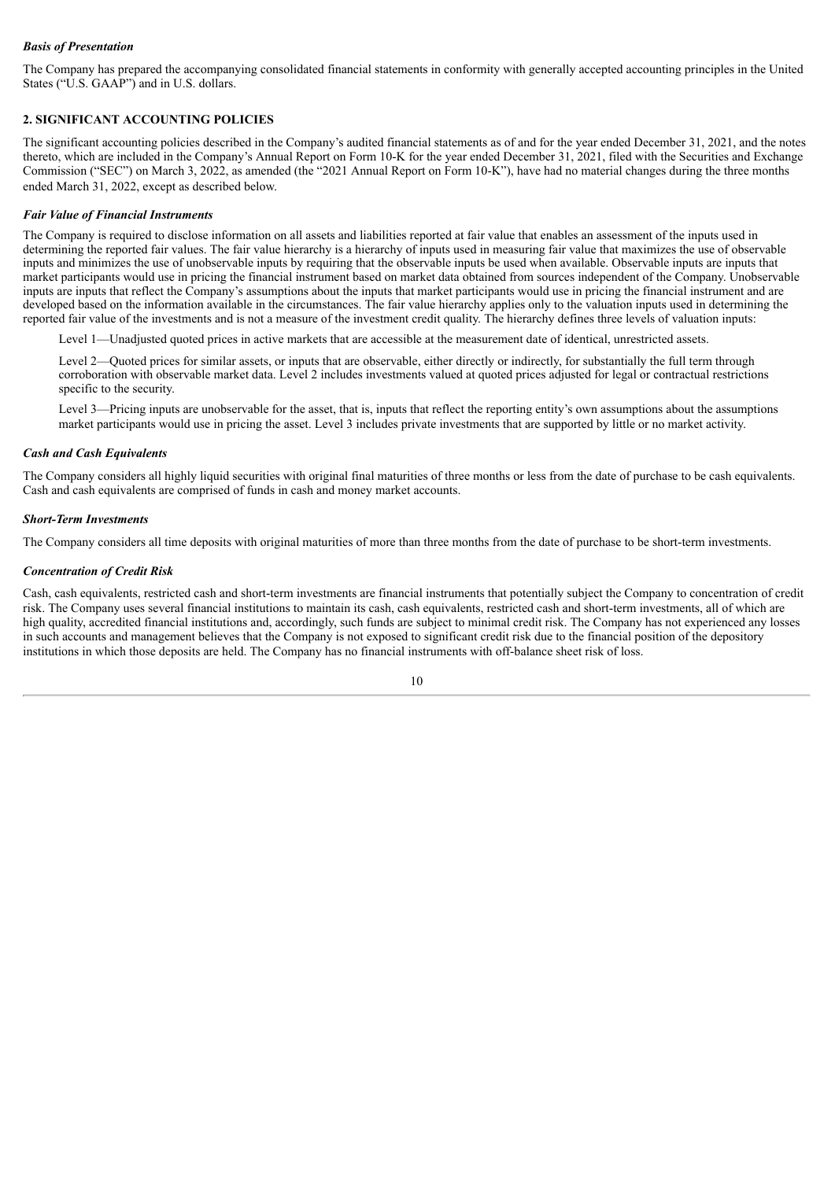#### *Basis of Presentation*

The Company has prepared the accompanying consolidated financial statements in conformity with generally accepted accounting principles in the United States ("U.S. GAAP") and in U.S. dollars.

#### **2. SIGNIFICANT ACCOUNTING POLICIES**

The significant accounting policies described in the Company's audited financial statements as of and for the year ended December 31, 2021, and the notes thereto, which are included in the Company's Annual Report on Form 10-K for the year ended December 31, 2021, filed with the Securities and Exchange Commission ("SEC") on March 3, 2022, as amended (the "2021 Annual Report on Form 10-K"), have had no material changes during the three months ended March 31, 2022, except as described below.

#### *Fair Value of Financial Instruments*

The Company is required to disclose information on all assets and liabilities reported at fair value that enables an assessment of the inputs used in determining the reported fair values. The fair value hierarchy is a hierarchy of inputs used in measuring fair value that maximizes the use of observable inputs and minimizes the use of unobservable inputs by requiring that the observable inputs be used when available. Observable inputs are inputs that market participants would use in pricing the financial instrument based on market data obtained from sources independent of the Company. Unobservable inputs are inputs that reflect the Company's assumptions about the inputs that market participants would use in pricing the financial instrument and are developed based on the information available in the circumstances. The fair value hierarchy applies only to the valuation inputs used in determining the reported fair value of the investments and is not a measure of the investment credit quality. The hierarchy defines three levels of valuation inputs:

Level 1—Unadjusted quoted prices in active markets that are accessible at the measurement date of identical, unrestricted assets.

Level 2—Quoted prices for similar assets, or inputs that are observable, either directly or indirectly, for substantially the full term through corroboration with observable market data. Level 2 includes investments valued at quoted prices adjusted for legal or contractual restrictions specific to the security.

Level 3—Pricing inputs are unobservable for the asset, that is, inputs that reflect the reporting entity's own assumptions about the assumptions market participants would use in pricing the asset. Level 3 includes private investments that are supported by little or no market activity.

#### *Cash and Cash Equivalents*

The Company considers all highly liquid securities with original final maturities of three months or less from the date of purchase to be cash equivalents. Cash and cash equivalents are comprised of funds in cash and money market accounts.

#### *Short-Term Investments*

The Company considers all time deposits with original maturities of more than three months from the date of purchase to be short-term investments.

#### *Concentration of Credit Risk*

Cash, cash equivalents, restricted cash and short-term investments are financial instruments that potentially subject the Company to concentration of credit risk. The Company uses several financial institutions to maintain its cash, cash equivalents, restricted cash and short-term investments, all of which are high quality, accredited financial institutions and, accordingly, such funds are subject to minimal credit risk. The Company has not experienced any losses in such accounts and management believes that the Company is not exposed to significant credit risk due to the financial position of the depository institutions in which those deposits are held. The Company has no financial instruments with off-balance sheet risk of loss.

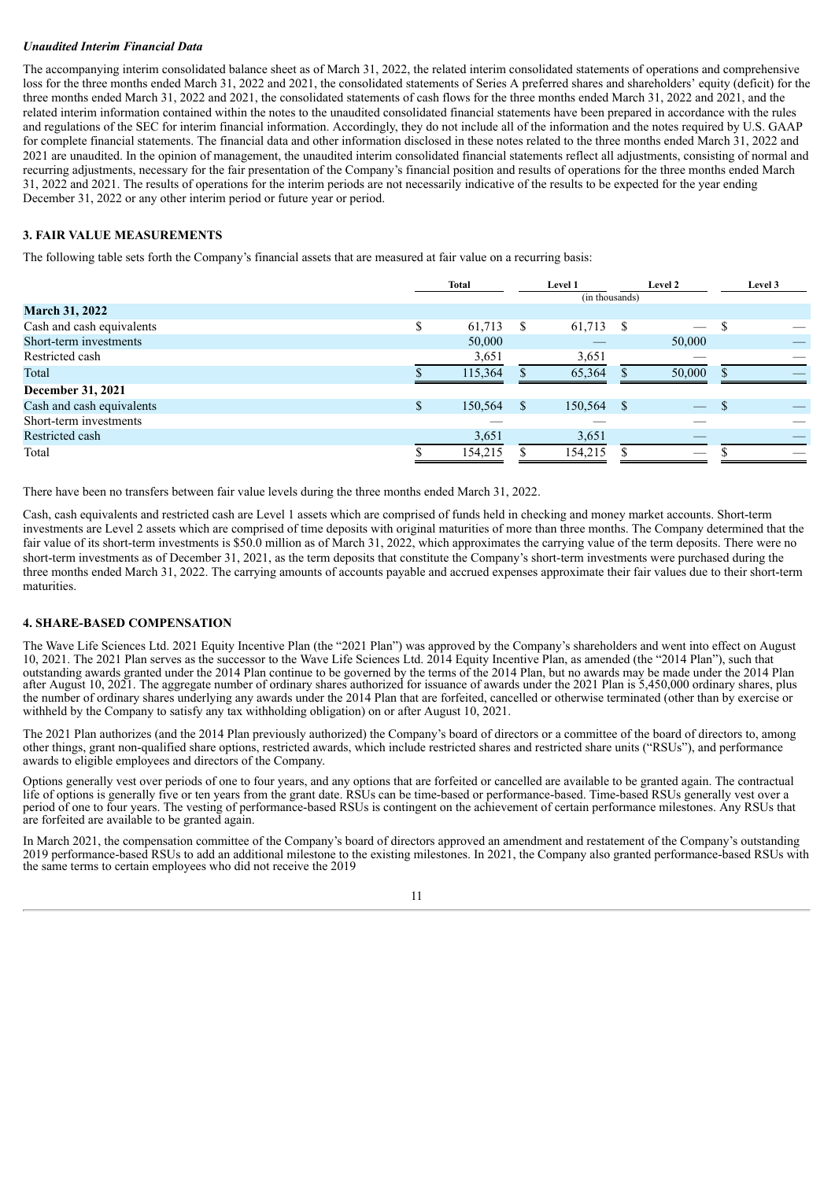#### *Unaudited Interim Financial Data*

The accompanying interim consolidated balance sheet as of March 31, 2022, the related interim consolidated statements of operations and comprehensive loss for the three months ended March 31, 2022 and 2021, the consolidated statements of Series A preferred shares and shareholders' equity (deficit) for the three months ended March 31, 2022 and 2021, the consolidated statements of cash flows for the three months ended March 31, 2022 and 2021, and the related interim information contained within the notes to the unaudited consolidated financial statements have been prepared in accordance with the rules and regulations of the SEC for interim financial information. Accordingly, they do not include all of the information and the notes required by U.S. GAAP for complete financial statements. The financial data and other information disclosed in these notes related to the three months ended March 31, 2022 and 2021 are unaudited. In the opinion of management, the unaudited interim consolidated financial statements reflect all adjustments, consisting of normal and recurring adjustments, necessary for the fair presentation of the Company's financial position and results of operations for the three months ended March 31, 2022 and 2021. The results of operations for the interim periods are not necessarily indicative of the results to be expected for the year ending December 31, 2022 or any other interim period or future year or period.

#### **3. FAIR VALUE MEASUREMENTS**

The following table sets forth the Company's financial assets that are measured at fair value on a recurring basis:

|                           | Total<br><b>Level 1</b> |    |           | Level 2 |                          |               | Level 3 |
|---------------------------|-------------------------|----|-----------|---------|--------------------------|---------------|---------|
|                           | (in thousands)          |    |           |         |                          |               |         |
| <b>March 31, 2022</b>     |                         |    |           |         |                          |               |         |
| Cash and cash equivalents | 61,713                  | -S | 61,713 \$ |         | $\overline{\phantom{0}}$ |               |         |
| Short-term investments    | 50,000                  |    |           |         | 50,000                   |               |         |
| Restricted cash           | 3,651                   |    | 3,651     |         |                          |               |         |
| Total                     | 115,364                 |    | 65,364    |         | 50,000                   |               |         |
| December 31, 2021         |                         |    |           |         |                          |               |         |
| Cash and cash equivalents | 150,564                 | S  | 150,564   | -S      | $\overline{\phantom{m}}$ | <sup>\$</sup> |         |
| Short-term investments    |                         |    |           |         |                          |               |         |
| Restricted cash           | 3,651                   |    | 3,651     |         |                          |               |         |
| Total                     | 154,215                 |    | 154,215   |         |                          |               |         |
|                           |                         |    |           |         |                          |               |         |

There have been no transfers between fair value levels during the three months ended March 31, 2022.

Cash, cash equivalents and restricted cash are Level 1 assets which are comprised of funds held in checking and money market accounts. Short-term investments are Level 2 assets which are comprised of time deposits with original maturities of more than three months. The Company determined that the fair value of its short-term investments is \$50.0 million as of March 31, 2022, which approximates the carrying value of the term deposits. There were no short-term investments as of December 31, 2021, as the term deposits that constitute the Company's short-term investments were purchased during the three months ended March 31, 2022. The carrying amounts of accounts payable and accrued expenses approximate their fair values due to their short-term maturities.

#### **4. SHARE-BASED COMPENSATION**

The Wave Life Sciences Ltd. 2021 Equity Incentive Plan (the "2021 Plan") was approved by the Company's shareholders and went into effect on August 10, 2021. The 2021 Plan serves as the successor to the Wave Life Sciences Ltd. 2014 Equity Incentive Plan, as amended (the "2014 Plan"), such that outstanding awards granted under the 2014 Plan continue to be governed by the terms of the 2014 Plan, but no awards may be made under the 2014 Plan after August 10, 2021. The aggregate number of ordinary shares authorized for issuance of awards under the 2021 Plan is 5,450,000 ordinary shares, plus the number of ordinary shares underlying any awards under the 2014 Plan that are forfeited, cancelled or otherwise terminated (other than by exercise or withheld by the Company to satisfy any tax withholding obligation) on or after August 10, 2021.

The 2021 Plan authorizes (and the 2014 Plan previously authorized) the Company's board of directors or a committee of the board of directors to, among other things, grant non-qualified share options, restricted awards, which include restricted shares and restricted share units ("RSUs"), and performance awards to eligible employees and directors of the Company.

Options generally vest over periods of one to four years, and any options that are forfeited or cancelled are available to be granted again. The contractual life of options is generally five or ten years from the grant date. RSUs can be time-based or performance-based. Time-based RSUs generally vest over a period of one to four years. The vesting of performance-based RSUs is contingent on the achievement of certain performance milestones. Any RSUs that are forfeited are available to be granted again.

In March 2021, the compensation committee of the Company's board of directors approved an amendment and restatement of the Company's outstanding 2019 performance-based RSUs to add an additional milestone to the existing milestones. In 2021, the Company also granted performance-based RSUs with the same terms to certain employees who did not receive the 2019

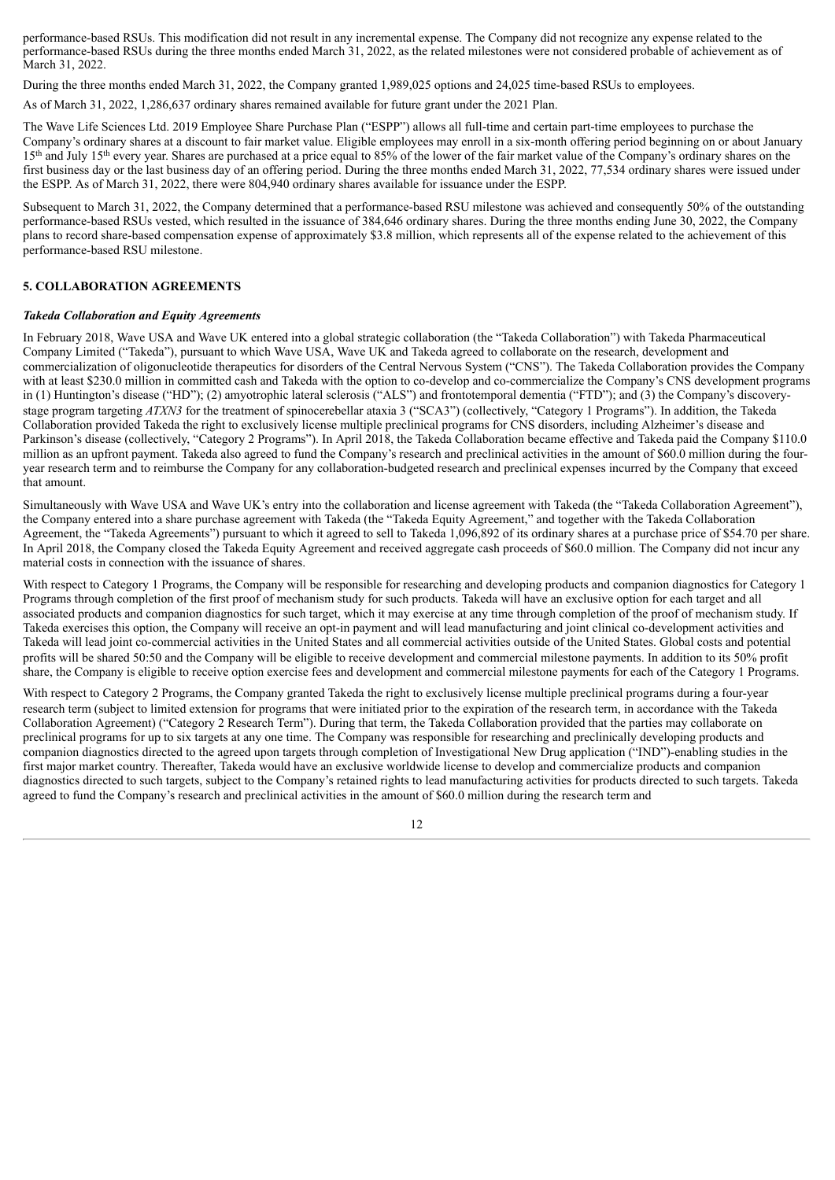performance-based RSUs. This modification did not result in any incremental expense. The Company did not recognize any expense related to the performance-based RSUs during the three months ended March 31, 2022, as the related milestones were not considered probable of achievement as of March 31, 2022.

During the three months ended March 31, 2022, the Company granted 1,989,025 options and 24,025 time-based RSUs to employees.

As of March 31, 2022, 1,286,637 ordinary shares remained available for future grant under the 2021 Plan.

The Wave Life Sciences Ltd. 2019 Employee Share Purchase Plan ("ESPP") allows all full-time and certain part-time employees to purchase the Company's ordinary shares at a discount to fair market value. Eligible employees may enroll in a six-month offering period beginning on or about January 15<sup>th</sup> and July 15<sup>th</sup> every year. Shares are purchased at a price equal to 85% of the lower of the fair market value of the Company's ordinary shares on the first business day or the last business day of an offering period. During the three months ended March 31, 2022, 77,534 ordinary shares were issued under the ESPP. As of March 31, 2022, there were 804,940 ordinary shares available for issuance under the ESPP.

Subsequent to March 31, 2022, the Company determined that a performance-based RSU milestone was achieved and consequently 50% of the outstanding performance-based RSUs vested, which resulted in the issuance of 384,646 ordinary shares. During the three months ending June 30, 2022, the Company plans to record share-based compensation expense of approximately \$3.8 million, which represents all of the expense related to the achievement of this performance-based RSU milestone.

#### **5. COLLABORATION AGREEMENTS**

#### *Takeda Collaboration and Equity Agreements*

In February 2018, Wave USA and Wave UK entered into a global strategic collaboration (the "Takeda Collaboration") with Takeda Pharmaceutical Company Limited ("Takeda"), pursuant to which Wave USA, Wave UK and Takeda agreed to collaborate on the research, development and commercialization of oligonucleotide therapeutics for disorders of the Central Nervous System ("CNS"). The Takeda Collaboration provides the Company with at least \$230.0 million in committed cash and Takeda with the option to co-develop and co-commercialize the Company's CNS development programs in (1) Huntington's disease ("HD"); (2) amyotrophic lateral sclerosis ("ALS") and frontotemporal dementia ("FTD"); and (3) the Company's discoverystage program targeting *ATXN3* for the treatment of spinocerebellar ataxia 3 ("SCA3") (collectively, "Category 1 Programs"). In addition, the Takeda Collaboration provided Takeda the right to exclusively license multiple preclinical programs for CNS disorders, including Alzheimer's disease and Parkinson's disease (collectively, "Category 2 Programs"). In April 2018, the Takeda Collaboration became effective and Takeda paid the Company \$110.0 million as an upfront payment. Takeda also agreed to fund the Company's research and preclinical activities in the amount of \$60.0 million during the fouryear research term and to reimburse the Company for any collaboration-budgeted research and preclinical expenses incurred by the Company that exceed that amount.

Simultaneously with Wave USA and Wave UK's entry into the collaboration and license agreement with Takeda (the "Takeda Collaboration Agreement"), the Company entered into a share purchase agreement with Takeda (the "Takeda Equity Agreement," and together with the Takeda Collaboration Agreement, the "Takeda Agreements") pursuant to which it agreed to sell to Takeda 1,096,892 of its ordinary shares at a purchase price of \$54.70 per share. In April 2018, the Company closed the Takeda Equity Agreement and received aggregate cash proceeds of \$60.0 million. The Company did not incur any material costs in connection with the issuance of shares.

With respect to Category 1 Programs, the Company will be responsible for researching and developing products and companion diagnostics for Category 1 Programs through completion of the first proof of mechanism study for such products. Takeda will have an exclusive option for each target and all associated products and companion diagnostics for such target, which it may exercise at any time through completion of the proof of mechanism study. If Takeda exercises this option, the Company will receive an opt-in payment and will lead manufacturing and joint clinical co-development activities and Takeda will lead joint co-commercial activities in the United States and all commercial activities outside of the United States. Global costs and potential profits will be shared 50:50 and the Company will be eligible to receive development and commercial milestone payments. In addition to its 50% profit share, the Company is eligible to receive option exercise fees and development and commercial milestone payments for each of the Category 1 Programs.

With respect to Category 2 Programs, the Company granted Takeda the right to exclusively license multiple preclinical programs during a four-year research term (subject to limited extension for programs that were initiated prior to the expiration of the research term, in accordance with the Takeda Collaboration Agreement) ("Category 2 Research Term"). During that term, the Takeda Collaboration provided that the parties may collaborate on preclinical programs for up to six targets at any one time. The Company was responsible for researching and preclinically developing products and companion diagnostics directed to the agreed upon targets through completion of Investigational New Drug application ("IND")-enabling studies in the first major market country. Thereafter, Takeda would have an exclusive worldwide license to develop and commercialize products and companion diagnostics directed to such targets, subject to the Company's retained rights to lead manufacturing activities for products directed to such targets. Takeda agreed to fund the Company's research and preclinical activities in the amount of \$60.0 million during the research term and

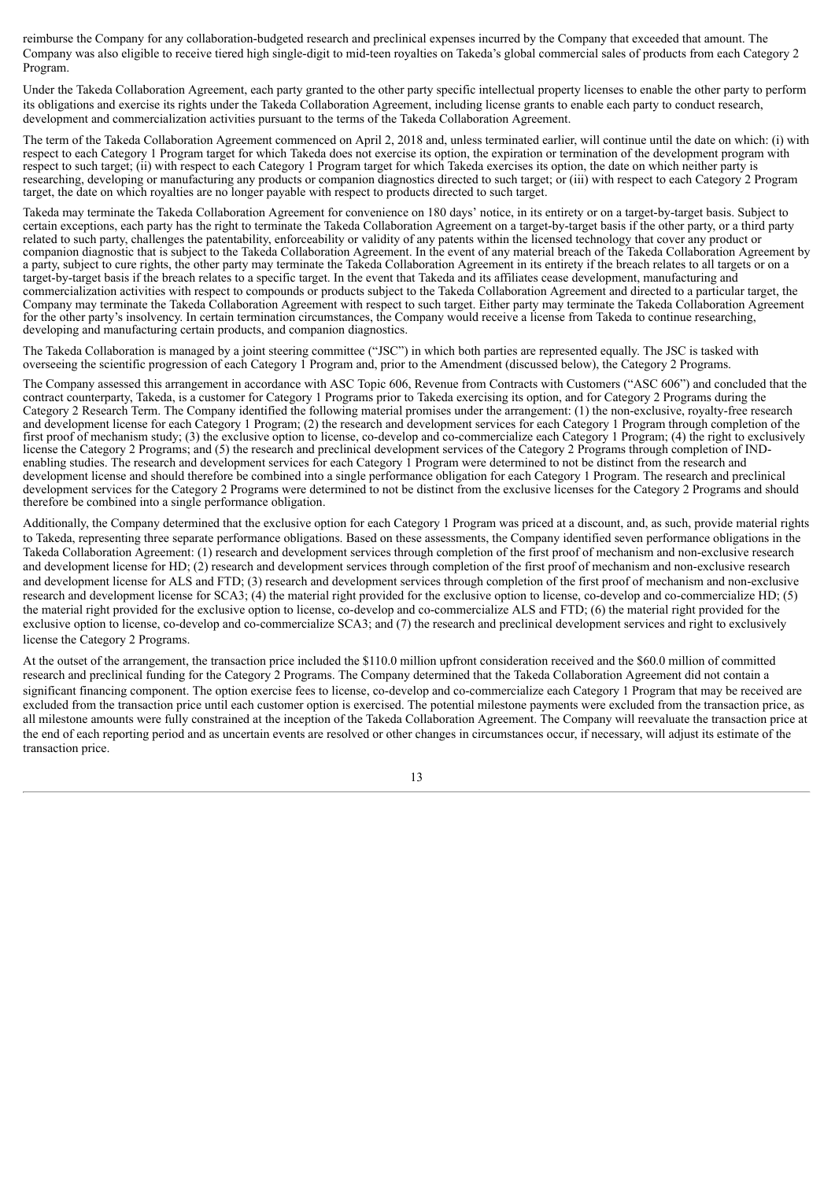reimburse the Company for any collaboration-budgeted research and preclinical expenses incurred by the Company that exceeded that amount. The Company was also eligible to receive tiered high single-digit to mid-teen royalties on Takeda's global commercial sales of products from each Category 2 Program.

Under the Takeda Collaboration Agreement, each party granted to the other party specific intellectual property licenses to enable the other party to perform its obligations and exercise its rights under the Takeda Collaboration Agreement, including license grants to enable each party to conduct research, development and commercialization activities pursuant to the terms of the Takeda Collaboration Agreement.

The term of the Takeda Collaboration Agreement commenced on April 2, 2018 and, unless terminated earlier, will continue until the date on which: (i) with respect to each Category 1 Program target for which Takeda does not exercise its option, the expiration or termination of the development program with respect to such target; (ii) with respect to each Category 1 Program target for which Takeda exercises its option, the date on which neither party is researching, developing or manufacturing any products or companion diagnostics directed to such target; or (iii) with respect to each Category 2 Program target, the date on which royalties are no longer payable with respect to products directed to such target.

Takeda may terminate the Takeda Collaboration Agreement for convenience on 180 days' notice, in its entirety or on a target-by-target basis. Subject to certain exceptions, each party has the right to terminate the Takeda Collaboration Agreement on a target-by-target basis if the other party, or a third party related to such party, challenges the patentability, enforceability or validity of any patents within the licensed technology that cover any product or companion diagnostic that is subject to the Takeda Collaboration Agreement. In the event of any material breach of the Takeda Collaboration Agreement by a party, subject to cure rights, the other party may terminate the Takeda Collaboration Agreement in its entirety if the breach relates to all targets or on a target-by-target basis if the breach relates to a specific target. In the event that Takeda and its affiliates cease development, manufacturing and commercialization activities with respect to compounds or products subject to the Takeda Collaboration Agreement and directed to a particular target, the Company may terminate the Takeda Collaboration Agreement with respect to such target. Either party may terminate the Takeda Collaboration Agreement for the other party's insolvency. In certain termination circumstances, the Company would receive a license from Takeda to continue researching, developing and manufacturing certain products, and companion diagnostics.

The Takeda Collaboration is managed by a joint steering committee ("JSC") in which both parties are represented equally. The JSC is tasked with overseeing the scientific progression of each Category 1 Program and, prior to the Amendment (discussed below), the Category 2 Programs.

The Company assessed this arrangement in accordance with ASC Topic 606, Revenue from Contracts with Customers ("ASC 606") and concluded that the contract counterparty, Takeda, is a customer for Category 1 Programs prior to Takeda exercising its option, and for Category 2 Programs during the Category 2 Research Term. The Company identified the following material promises under the arrangement: (1) the non-exclusive, royalty-free research and development license for each Category 1 Program; (2) the research and development services for each Category 1 Program through completion of the first proof of mechanism study; (3) the exclusive option to license, co-develop and co-commercialize each Category 1 Program; (4) the right to exclusively license the Category 2 Programs; and (5) the research and preclinical development services of the Category 2 Programs through completion of INDenabling studies. The research and development services for each Category 1 Program were determined to not be distinct from the research and development license and should therefore be combined into a single performance obligation for each Category 1 Program. The research and preclinical development services for the Category 2 Programs were determined to not be distinct from the exclusive licenses for the Category 2 Programs and should therefore be combined into a single performance obligation.

Additionally, the Company determined that the exclusive option for each Category 1 Program was priced at a discount, and, as such, provide material rights to Takeda, representing three separate performance obligations. Based on these assessments, the Company identified seven performance obligations in the Takeda Collaboration Agreement: (1) research and development services through completion of the first proof of mechanism and non-exclusive research and development license for HD; (2) research and development services through completion of the first proof of mechanism and non-exclusive research and development license for ALS and FTD; (3) research and development services through completion of the first proof of mechanism and non-exclusive research and development license for SCA3; (4) the material right provided for the exclusive option to license, co-develop and co-commercialize HD; (5) the material right provided for the exclusive option to license, co-develop and co-commercialize ALS and FTD; (6) the material right provided for the exclusive option to license, co-develop and co-commercialize SCA3; and (7) the research and preclinical development services and right to exclusively license the Category 2 Programs.

At the outset of the arrangement, the transaction price included the \$110.0 million upfront consideration received and the \$60.0 million of committed research and preclinical funding for the Category 2 Programs. The Company determined that the Takeda Collaboration Agreement did not contain a significant financing component. The option exercise fees to license, co-develop and co-commercialize each Category 1 Program that may be received are excluded from the transaction price until each customer option is exercised. The potential milestone payments were excluded from the transaction price, as all milestone amounts were fully constrained at the inception of the Takeda Collaboration Agreement. The Company will reevaluate the transaction price at the end of each reporting period and as uncertain events are resolved or other changes in circumstances occur, if necessary, will adjust its estimate of the transaction price.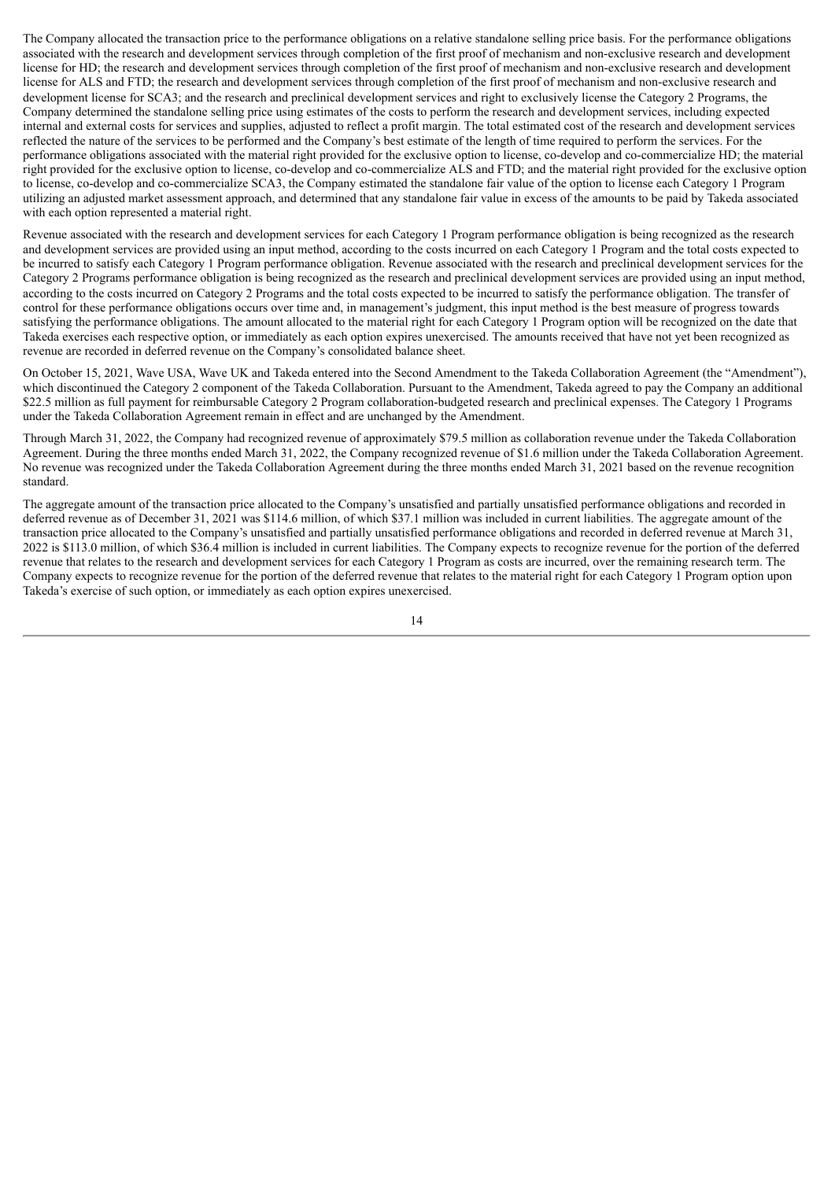The Company allocated the transaction price to the performance obligations on a relative standalone selling price basis. For the performance obligations associated with the research and development services through completion of the first proof of mechanism and non-exclusive research and development license for HD; the research and development services through completion of the first proof of mechanism and non-exclusive research and development license for ALS and FTD; the research and development services through completion of the first proof of mechanism and non-exclusive research and development license for SCA3; and the research and preclinical development services and right to exclusively license the Category 2 Programs, the Company determined the standalone selling price using estimates of the costs to perform the research and development services, including expected internal and external costs for services and supplies, adjusted to reflect a profit margin. The total estimated cost of the research and development services reflected the nature of the services to be performed and the Company's best estimate of the length of time required to perform the services. For the performance obligations associated with the material right provided for the exclusive option to license, co-develop and co-commercialize HD; the material right provided for the exclusive option to license, co-develop and co-commercialize ALS and FTD; and the material right provided for the exclusive option to license, co-develop and co-commercialize SCA3, the Company estimated the standalone fair value of the option to license each Category 1 Program utilizing an adjusted market assessment approach, and determined that any standalone fair value in excess of the amounts to be paid by Takeda associated with each option represented a material right.

Revenue associated with the research and development services for each Category 1 Program performance obligation is being recognized as the research and development services are provided using an input method, according to the costs incurred on each Category 1 Program and the total costs expected to be incurred to satisfy each Category 1 Program performance obligation. Revenue associated with the research and preclinical development services for the Category 2 Programs performance obligation is being recognized as the research and preclinical development services are provided using an input method, according to the costs incurred on Category 2 Programs and the total costs expected to be incurred to satisfy the performance obligation. The transfer of control for these performance obligations occurs over time and, in management's judgment, this input method is the best measure of progress towards satisfying the performance obligations. The amount allocated to the material right for each Category 1 Program option will be recognized on the date that Takeda exercises each respective option, or immediately as each option expires unexercised. The amounts received that have not yet been recognized as revenue are recorded in deferred revenue on the Company's consolidated balance sheet.

On October 15, 2021, Wave USA, Wave UK and Takeda entered into the Second Amendment to the Takeda Collaboration Agreement (the "Amendment"), which discontinued the Category 2 component of the Takeda Collaboration. Pursuant to the Amendment, Takeda agreed to pay the Company an additional \$22.5 million as full payment for reimbursable Category 2 Program collaboration-budgeted research and preclinical expenses. The Category 1 Programs under the Takeda Collaboration Agreement remain in effect and are unchanged by the Amendment.

Through March 31, 2022, the Company had recognized revenue of approximately \$79.5 million as collaboration revenue under the Takeda Collaboration Agreement. During the three months ended March 31, 2022, the Company recognized revenue of \$1.6 million under the Takeda Collaboration Agreement. No revenue was recognized under the Takeda Collaboration Agreement during the three months ended March 31, 2021 based on the revenue recognition standard.

The aggregate amount of the transaction price allocated to the Company's unsatisfied and partially unsatisfied performance obligations and recorded in deferred revenue as of December 31, 2021 was \$114.6 million, of which \$37.1 million was included in current liabilities. The aggregate amount of the transaction price allocated to the Company's unsatisfied and partially unsatisfied performance obligations and recorded in deferred revenue at March 31, 2022 is \$113.0 million, of which \$36.4 million is included in current liabilities. The Company expects to recognize revenue for the portion of the deferred revenue that relates to the research and development services for each Category 1 Program as costs are incurred, over the remaining research term. The Company expects to recognize revenue for the portion of the deferred revenue that relates to the material right for each Category 1 Program option upon Takeda's exercise of such option, or immediately as each option expires unexercised.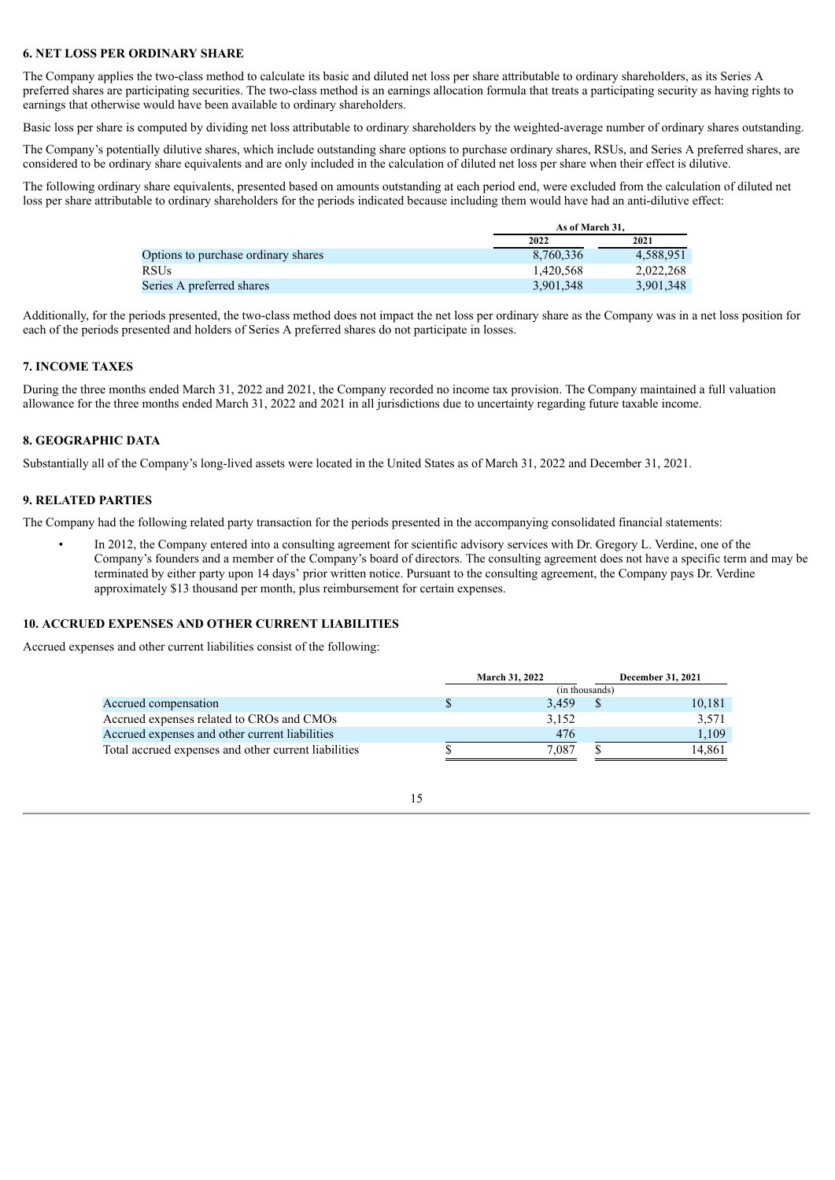#### **6. NET LOSS PER ORDINARY SHARE**

The Company applies the two-class method to calculate its basic and diluted net loss per share attributable to ordinary shareholders, as its Series A preferred shares are participating securities. The two-class method is an earnings allocation formula that treats a participating security as having rights to earnings that otherwise would have been available to ordinary shareholders.

Basic loss per share is computed by dividing net loss attributable to ordinary shareholders by the weighted-average number of ordinary shares outstanding.

The Company's potentially dilutive shares, which include outstanding share options to purchase ordinary shares, RSUs, and Series A preferred shares, are considered to be ordinary share equivalents and are only included in the calculation of diluted net loss per share when their effect is dilutive.

The following ordinary share equivalents, presented based on amounts outstanding at each period end, were excluded from the calculation of diluted net loss per share attributable to ordinary shareholders for the periods indicated because including them would have had an anti-dilutive effect:

|                                     | As of March 31. |           |
|-------------------------------------|-----------------|-----------|
|                                     | 2022            | 2021      |
| Options to purchase ordinary shares | 8.760.336       | 4,588,951 |
| <b>RSUs</b>                         | 1.420.568       | 2.022.268 |
| Series A preferred shares           | 3,901,348       | 3,901,348 |

Additionally, for the periods presented, the two-class method does not impact the net loss per ordinary share as the Company was in a net loss position for each of the periods presented and holders of Series A preferred shares do not participate in losses.

#### **7. INCOME TAXES**

During the three months ended March 31, 2022 and 2021, the Company recorded no income tax provision. The Company maintained a full valuation allowance for the three months ended March 31, 2022 and 2021 in all jurisdictions due to uncertainty regarding future taxable income.

#### **8. GEOGRAPHIC DATA**

Substantially all of the Company's long-lived assets were located in the United States as of March 31, 2022 and December 31, 2021.

#### **9. RELATED PARTIES**

The Company had the following related party transaction for the periods presented in the accompanying consolidated financial statements:

• In 2012, the Company entered into a consulting agreement for scientific advisory services with Dr. Gregory L. Verdine, one of the Company's founders and a member of the Company's board of directors. The consulting agreement does not have a specific term and may be terminated by either party upon 14 days' prior written notice. Pursuant to the consulting agreement, the Company pays Dr. Verdine approximately \$13 thousand per month, plus reimbursement for certain expenses.

#### **10. ACCRUED EXPENSES AND OTHER CURRENT LIABILITIES**

Accrued expenses and other current liabilities consist of the following:

|                                                      | <b>March 31, 2022</b> |                | <b>December 31, 2021</b> |
|------------------------------------------------------|-----------------------|----------------|--------------------------|
|                                                      |                       | (in thousands) |                          |
| Accrued compensation                                 |                       | 3.459          | 10,181                   |
| Accrued expenses related to CROs and CMOs            |                       | 3.152          | 3,571                    |
| Accrued expenses and other current liabilities       |                       | 476            | 1.109                    |
| Total accrued expenses and other current liabilities |                       | 7.087          | 14.861                   |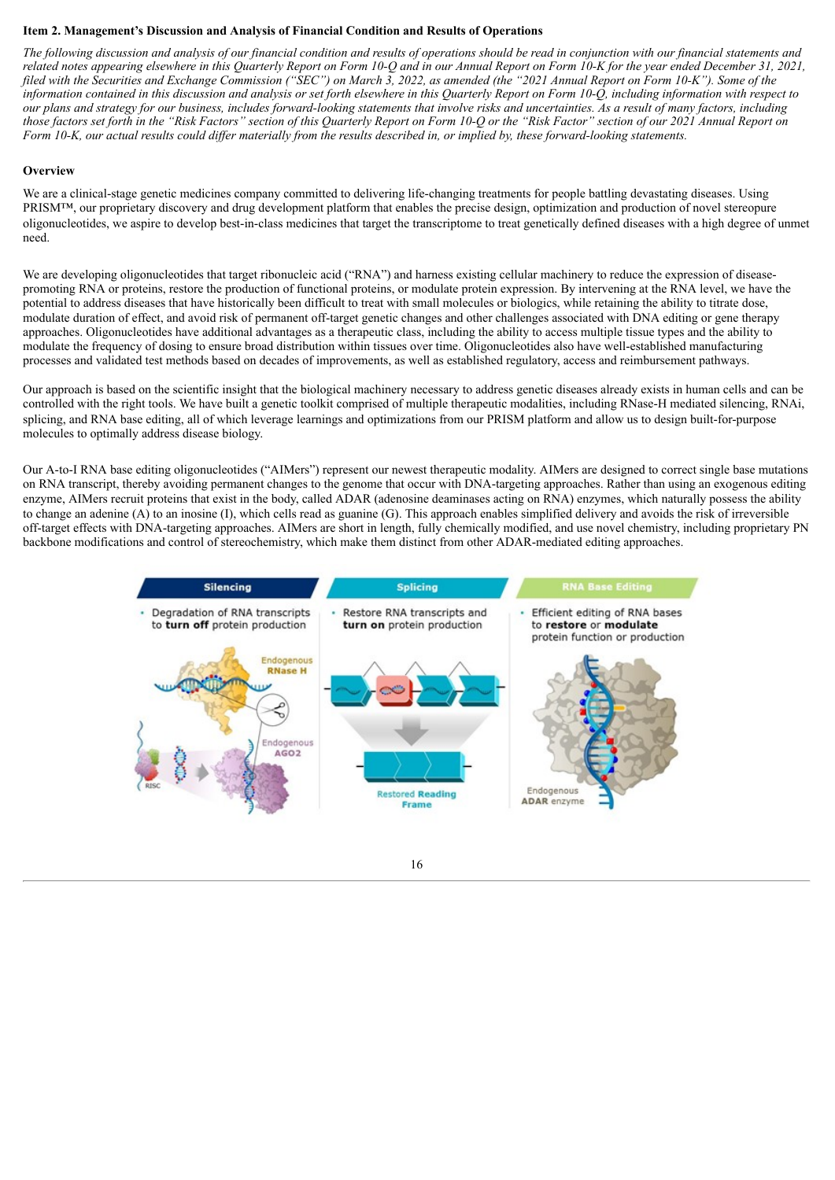#### <span id="page-15-0"></span>**Item 2. Management's Discussion and Analysis of Financial Condition and Results of Operations**

The following discussion and analysis of our financial condition and results of operations should be read in conjunction with our financial statements and related notes appearing elsewhere in this Quarterly Report on Form 10-Q and in our Annual Report on Form 10-K for the year ended December 31, 2021, filed with the Securities and Exchange Commission ("SEC") on March 3, 2022, as amended (the "2021 Annual Report on Form 10-K"). Some of the information contained in this discussion and analysis or set forth elsewhere in this Quarterly Report on Form 10- $\dot{Q}$ , including information with respect to our plans and strategy for our business, includes forward-looking statements that involve risks and uncertainties. As a result of many factors, including those factors set forth in the "Risk Factors" section of this Quarterly Report on Form 10-Q or the "Risk Factor" section of our 2021 Annual Report on Form 10-K, our actual results could differ materially from the results described in, or implied by, these forward-looking statements.

#### **Overview**

We are a clinical-stage genetic medicines company committed to delivering life-changing treatments for people battling devastating diseases. Using PRISM™, our proprietary discovery and drug development platform that enables the precise design, optimization and production of novel stereopure oligonucleotides, we aspire to develop best-in-class medicines that target the transcriptome to treat genetically defined diseases with a high degree of unmet need.

We are developing oligonucleotides that target ribonucleic acid ("RNA") and harness existing cellular machinery to reduce the expression of diseasepromoting RNA or proteins, restore the production of functional proteins, or modulate protein expression. By intervening at the RNA level, we have the potential to address diseases that have historically been difficult to treat with small molecules or biologics, while retaining the ability to titrate dose, modulate duration of effect, and avoid risk of permanent off-target genetic changes and other challenges associated with DNA editing or gene therapy approaches. Oligonucleotides have additional advantages as a therapeutic class, including the ability to access multiple tissue types and the ability to modulate the frequency of dosing to ensure broad distribution within tissues over time. Oligonucleotides also have well-established manufacturing processes and validated test methods based on decades of improvements, as well as established regulatory, access and reimbursement pathways.

Our approach is based on the scientific insight that the biological machinery necessary to address genetic diseases already exists in human cells and can be controlled with the right tools. We have built a genetic toolkit comprised of multiple therapeutic modalities, including RNase-H mediated silencing, RNAi, splicing, and RNA base editing, all of which leverage learnings and optimizations from our PRISM platform and allow us to design built-for-purpose molecules to optimally address disease biology.

Our A-to-I RNA base editing oligonucleotides ("AIMers") represent our newest therapeutic modality. AIMers are designed to correct single base mutations on RNA transcript, thereby avoiding permanent changes to the genome that occur with DNA-targeting approaches. Rather than using an exogenous editing enzyme, AIMers recruit proteins that exist in the body, called ADAR (adenosine deaminases acting on RNA) enzymes, which naturally possess the ability to change an adenine (A) to an inosine (I), which cells read as guanine (G). This approach enables simplified delivery and avoids the risk of irreversible off-target effects with DNA-targeting approaches. AIMers are short in length, fully chemically modified, and use novel chemistry, including proprietary PN backbone modifications and control of stereochemistry, which make them distinct from other ADAR-mediated editing approaches.

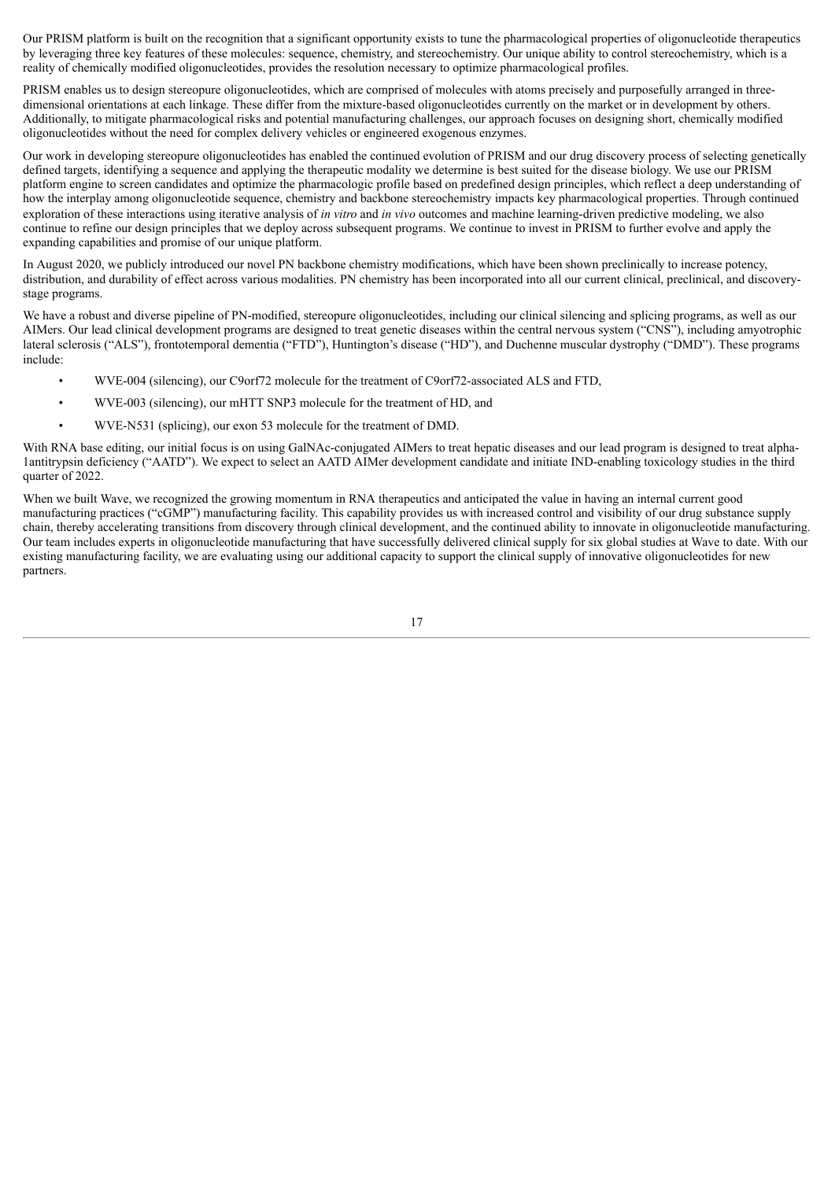Our PRISM platform is built on the recognition that a significant opportunity exists to tune the pharmacological properties of oligonucleotide therapeutics by leveraging three key features of these molecules: sequence, chemistry, and stereochemistry. Our unique ability to control stereochemistry, which is a reality of chemically modified oligonucleotides, provides the resolution necessary to optimize pharmacological profiles.

PRISM enables us to design stereopure oligonucleotides, which are comprised of molecules with atoms precisely and purposefully arranged in threedimensional orientations at each linkage. These differ from the mixture-based oligonucleotides currently on the market or in development by others. Additionally, to mitigate pharmacological risks and potential manufacturing challenges, our approach focuses on designing short, chemically modified oligonucleotides without the need for complex delivery vehicles or engineered exogenous enzymes.

Our work in developing stereopure oligonucleotides has enabled the continued evolution of PRISM and our drug discovery process of selecting genetically defined targets, identifying a sequence and applying the therapeutic modality we determine is best suited for the disease biology. We use our PRISM platform engine to screen candidates and optimize the pharmacologic profile based on predefined design principles, which reflect a deep understanding of how the interplay among oligonucleotide sequence, chemistry and backbone stereochemistry impacts key pharmacological properties. Through continued exploration of these interactions using iterative analysis of *in vitro* and *in vivo* outcomes and machine learning-driven predictive modeling, we also continue to refine our design principles that we deploy across subsequent programs. We continue to invest in PRISM to further evolve and apply the expanding capabilities and promise of our unique platform.

In August 2020, we publicly introduced our novel PN backbone chemistry modifications, which have been shown preclinically to increase potency, distribution, and durability of effect across various modalities. PN chemistry has been incorporated into all our current clinical, preclinical, and discoverystage programs.

We have a robust and diverse pipeline of PN-modified, stereopure oligonucleotides, including our clinical silencing and splicing programs, as well as our AIMers. Our lead clinical development programs are designed to treat genetic diseases within the central nervous system ("CNS"), including amyotrophic lateral sclerosis ("ALS"), frontotemporal dementia ("FTD"), Huntington's disease ("HD"), and Duchenne muscular dystrophy ("DMD"). These programs include:

- WVE-004 (silencing), our C9orf72 molecule for the treatment of C9orf72-associated ALS and FTD,
- WVE-003 (silencing), our mHTT SNP3 molecule for the treatment of HD, and
- WVE-N531 (splicing), our exon 53 molecule for the treatment of DMD.

With RNA base editing, our initial focus is on using GalNAc-conjugated AIMers to treat hepatic diseases and our lead program is designed to treat alpha-1antitrypsin deficiency ("AATD"). We expect to select an AATD AIMer development candidate and initiate IND-enabling toxicology studies in the third quarter of 2022.

When we built Wave, we recognized the growing momentum in RNA therapeutics and anticipated the value in having an internal current good manufacturing practices ("cGMP") manufacturing facility. This capability provides us with increased control and visibility of our drug substance supply chain, thereby accelerating transitions from discovery through clinical development, and the continued ability to innovate in oligonucleotide manufacturing. Our team includes experts in oligonucleotide manufacturing that have successfully delivered clinical supply for six global studies at Wave to date. With our existing manufacturing facility, we are evaluating using our additional capacity to support the clinical supply of innovative oligonucleotides for new partners.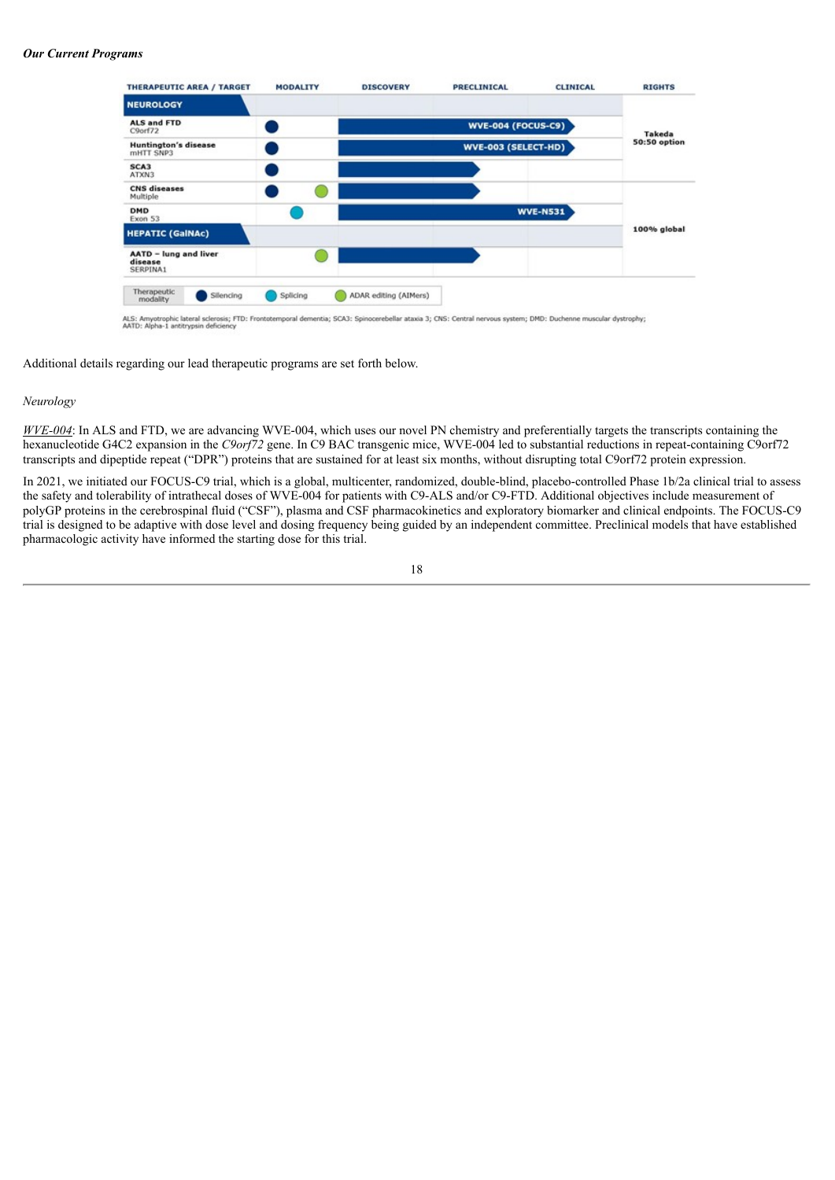#### *Our Current Programs*



ALS: Amyotrophic lateral sclerosis; FTD: Frontotemporal dementia; SCA3: Spinocerebellar ataxia 3; CNS: Central nervous system; DMD: Duchenne muscular dystrophy;<br>AATD: Alpha-1 antitrypsin deficiency

Additional details regarding our lead therapeutic programs are set forth below.

#### *Neurology*

*WVE-004*: In ALS and FTD, we are advancing WVE-004, which uses our novel PN chemistry and preferentially targets the transcripts containing the hexanucleotide G4C2 expansion in the *C9orf72* gene. In C9 BAC transgenic mice, WVE-004 led to substantial reductions in repeat-containing C9orf72 transcripts and dipeptide repeat ("DPR") proteins that are sustained for at least six months, without disrupting total C9orf72 protein expression.

In 2021, we initiated our FOCUS-C9 trial, which is a global, multicenter, randomized, double-blind, placebo-controlled Phase 1b/2a clinical trial to assess the safety and tolerability of intrathecal doses of WVE-004 for patients with C9-ALS and/or C9-FTD. Additional objectives include measurement of polyGP proteins in the cerebrospinal fluid ("CSF"), plasma and CSF pharmacokinetics and exploratory biomarker and clinical endpoints. The FOCUS-C9 trial is designed to be adaptive with dose level and dosing frequency being guided by an independent committee. Preclinical models that have established pharmacologic activity have informed the starting dose for this trial.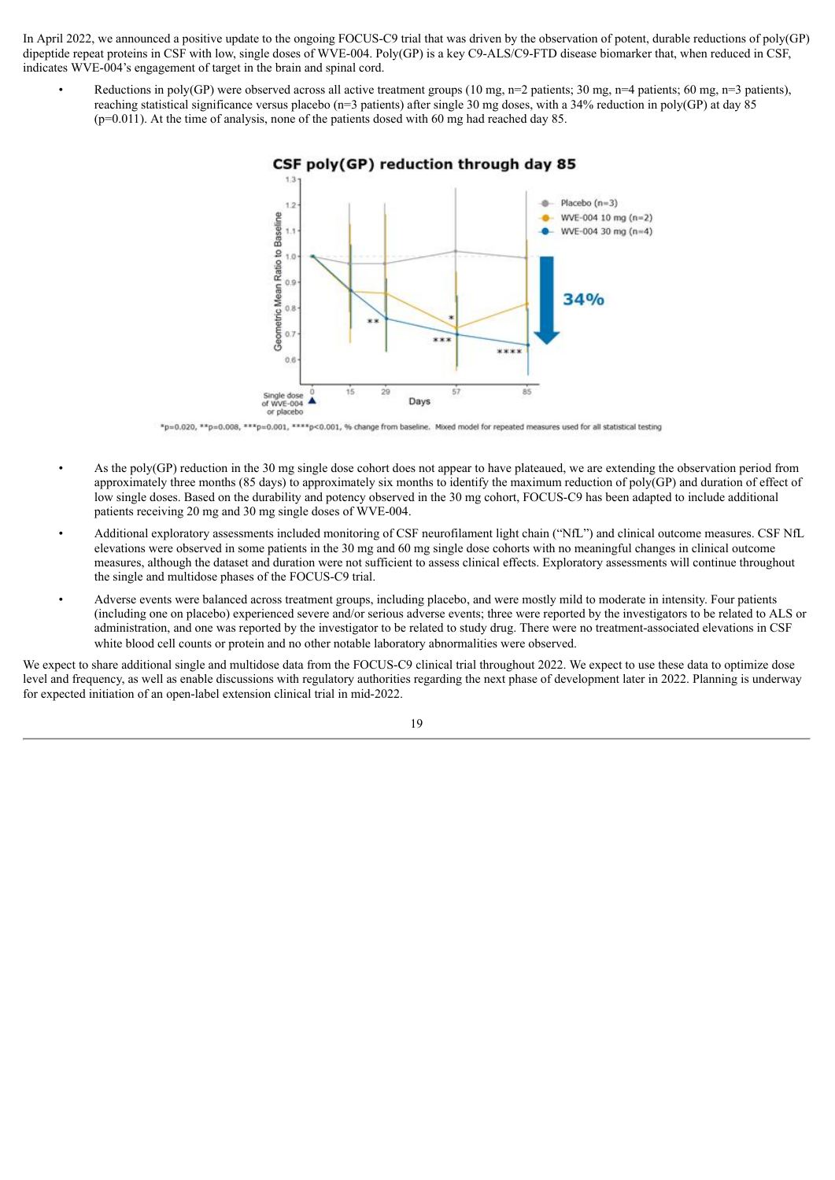In April 2022, we announced a positive update to the ongoing FOCUS-C9 trial that was driven by the observation of potent, durable reductions of poly(GP) dipeptide repeat proteins in CSF with low, single doses of WVE-004. Poly(GP) is a key C9-ALS/C9-FTD disease biomarker that, when reduced in CSF, indicates WVE-004's engagement of target in the brain and spinal cord.

Reductions in poly(GP) were observed across all active treatment groups (10 mg, n=2 patients; 30 mg, n=4 patients; 60 mg, n=3 patients), reaching statistical significance versus placebo (n=3 patients) after single 30 mg doses, with a 34% reduction in poly(GP) at day 85  $(p=0.011)$ . At the time of analysis, none of the patients dosed with 60 mg had reached day 85.



\*p=0.020, \*\*p=0.008, \*\*\*p=0.001, \*\*\*\*p<0.001, % change from baseline. Mixed model for repeated measures used for all statistical testing

- As the poly(GP) reduction in the 30 mg single dose cohort does not appear to have plateaued, we are extending the observation period from approximately three months (85 days) to approximately six months to identify the maximum reduction of poly(GP) and duration of effect of low single doses. Based on the durability and potency observed in the 30 mg cohort, FOCUS-C9 has been adapted to include additional patients receiving 20 mg and 30 mg single doses of WVE-004.
- Additional exploratory assessments included monitoring of CSF neurofilament light chain ("NfL") and clinical outcome measures. CSF NfL elevations were observed in some patients in the 30 mg and 60 mg single dose cohorts with no meaningful changes in clinical outcome measures, although the dataset and duration were not sufficient to assess clinical effects. Exploratory assessments will continue throughout the single and multidose phases of the FOCUS-C9 trial.
- Adverse events were balanced across treatment groups, including placebo, and were mostly mild to moderate in intensity. Four patients (including one on placebo) experienced severe and/or serious adverse events; three were reported by the investigators to be related to ALS or administration, and one was reported by the investigator to be related to study drug. There were no treatment-associated elevations in CSF white blood cell counts or protein and no other notable laboratory abnormalities were observed.

We expect to share additional single and multidose data from the FOCUS-C9 clinical trial throughout 2022. We expect to use these data to optimize dose level and frequency, as well as enable discussions with regulatory authorities regarding the next phase of development later in 2022. Planning is underway for expected initiation of an open-label extension clinical trial in mid-2022.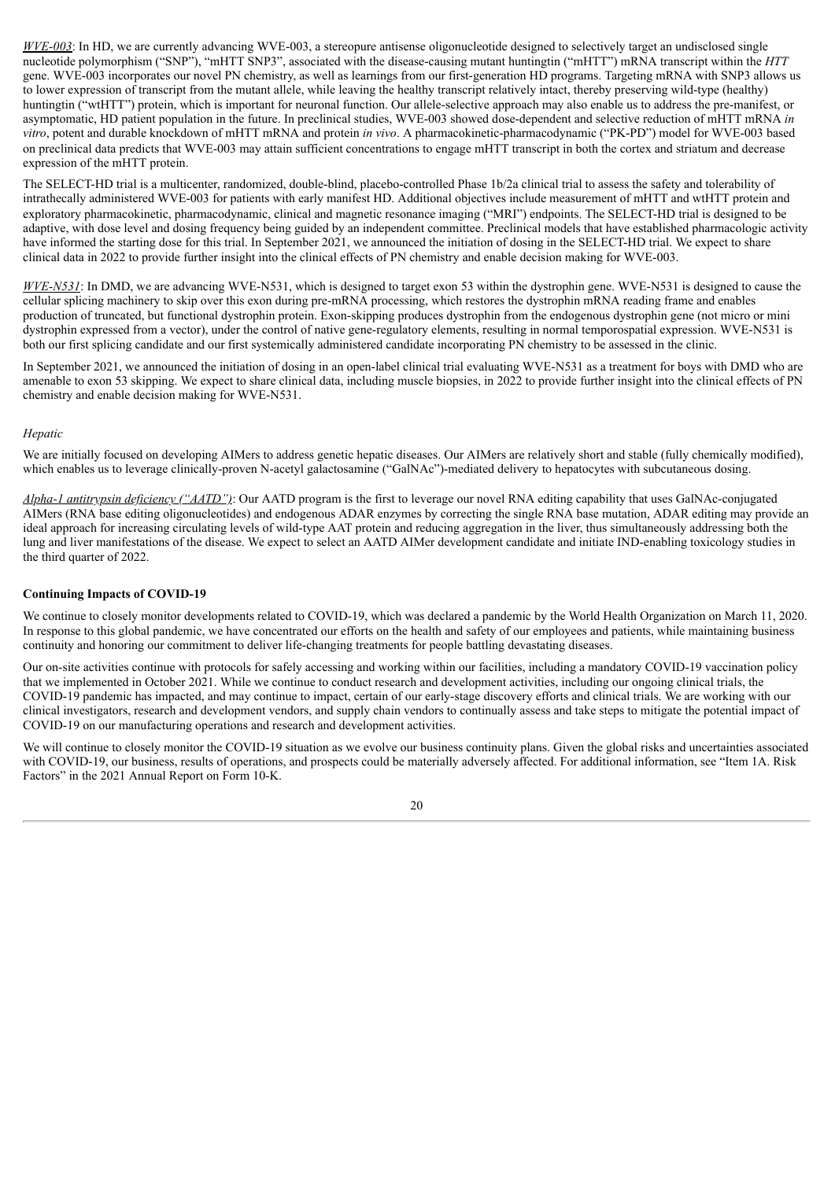*WVE-003*: In HD, we are currently advancing WVE-003, a stereopure antisense oligonucleotide designed to selectively target an undisclosed single nucleotide polymorphism ("SNP"), "mHTT SNP3", associated with the disease-causing mutant huntingtin ("mHTT") mRNA transcript within the *HTT* gene. WVE-003 incorporates our novel PN chemistry, as well as learnings from our first-generation HD programs. Targeting mRNA with SNP3 allows us to lower expression of transcript from the mutant allele, while leaving the healthy transcript relatively intact, thereby preserving wild-type (healthy) huntingtin ("wtHTT") protein, which is important for neuronal function. Our allele-selective approach may also enable us to address the pre-manifest, or asymptomatic, HD patient population in the future. In preclinical studies, WVE-003 showed dose-dependent and selective reduction of mHTT mRNA *in vitro*, potent and durable knockdown of mHTT mRNA and protein *in vivo*. A pharmacokinetic-pharmacodynamic ("PK-PD") model for WVE-003 based on preclinical data predicts that WVE-003 may attain sufficient concentrations to engage mHTT transcript in both the cortex and striatum and decrease expression of the mHTT protein.

The SELECT-HD trial is a multicenter, randomized, double-blind, placebo-controlled Phase 1b/2a clinical trial to assess the safety and tolerability of intrathecally administered WVE-003 for patients with early manifest HD. Additional objectives include measurement of mHTT and wtHTT protein and exploratory pharmacokinetic, pharmacodynamic, clinical and magnetic resonance imaging ("MRI") endpoints. The SELECT-HD trial is designed to be adaptive, with dose level and dosing frequency being guided by an independent committee. Preclinical models that have established pharmacologic activity have informed the starting dose for this trial. In September 2021, we announced the initiation of dosing in the SELECT-HD trial. We expect to share clinical data in 2022 to provide further insight into the clinical effects of PN chemistry and enable decision making for WVE-003.

*WVE-N531*: In DMD, we are advancing WVE-N531, which is designed to target exon 53 within the dystrophin gene. WVE-N531 is designed to cause the cellular splicing machinery to skip over this exon during pre-mRNA processing, which restores the dystrophin mRNA reading frame and enables production of truncated, but functional dystrophin protein. Exon-skipping produces dystrophin from the endogenous dystrophin gene (not micro or mini dystrophin expressed from a vector), under the control of native gene-regulatory elements, resulting in normal temporospatial expression. WVE-N531 is both our first splicing candidate and our first systemically administered candidate incorporating PN chemistry to be assessed in the clinic.

In September 2021, we announced the initiation of dosing in an open-label clinical trial evaluating WVE-N531 as a treatment for boys with DMD who are amenable to exon 53 skipping. We expect to share clinical data, including muscle biopsies, in 2022 to provide further insight into the clinical effects of PN chemistry and enable decision making for WVE-N531.

#### *Hepatic*

We are initially focused on developing AIMers to address genetic hepatic diseases. Our AIMers are relatively short and stable (fully chemically modified), which enables us to leverage clinically-proven N-acetyl galactosamine ("GalNAc")-mediated delivery to hepatocytes with subcutaneous dosing.

*Alpha-1 antitrypsin deficiency ("AATD")*: Our AATD program is the first to leverage our novel RNA editing capability that uses GalNAc-conjugated AIMers (RNA base editing oligonucleotides) and endogenous ADAR enzymes by correcting the single RNA base mutation, ADAR editing may provide an ideal approach for increasing circulating levels of wild-type AAT protein and reducing aggregation in the liver, thus simultaneously addressing both the lung and liver manifestations of the disease. We expect to select an AATD AIMer development candidate and initiate IND-enabling toxicology studies in the third quarter of 2022.

#### **Continuing Impacts of COVID-19**

We continue to closely monitor developments related to COVID-19, which was declared a pandemic by the World Health Organization on March 11, 2020. In response to this global pandemic, we have concentrated our efforts on the health and safety of our employees and patients, while maintaining business continuity and honoring our commitment to deliver life-changing treatments for people battling devastating diseases.

Our on-site activities continue with protocols for safely accessing and working within our facilities, including a mandatory COVID-19 vaccination policy that we implemented in October 2021. While we continue to conduct research and development activities, including our ongoing clinical trials, the COVID-19 pandemic has impacted, and may continue to impact, certain of our early-stage discovery efforts and clinical trials. We are working with our clinical investigators, research and development vendors, and supply chain vendors to continually assess and take steps to mitigate the potential impact of COVID-19 on our manufacturing operations and research and development activities.

We will continue to closely monitor the COVID-19 situation as we evolve our business continuity plans. Given the global risks and uncertainties associated with COVID-19, our business, results of operations, and prospects could be materially adversely affected. For additional information, see "Item 1A. Risk Factors" in the 2021 Annual Report on Form 10-K.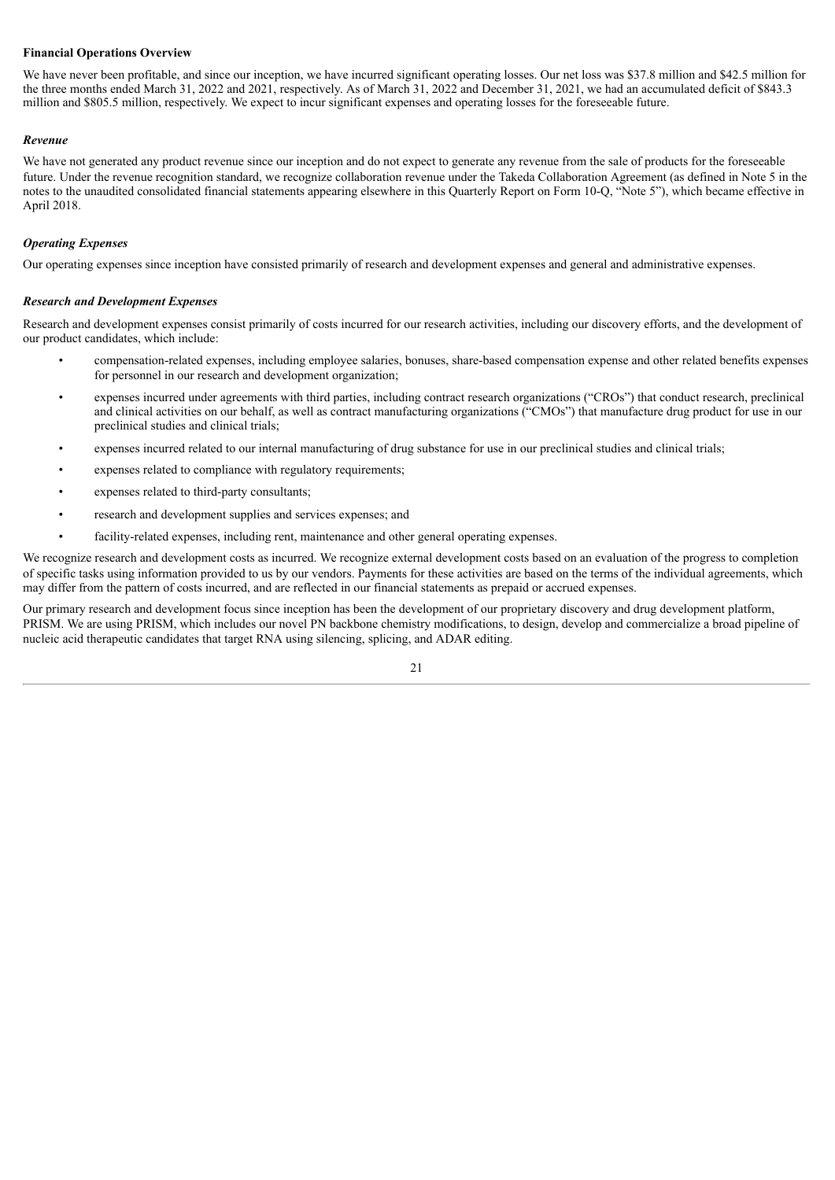#### **Financial Operations Overview**

We have never been profitable, and since our inception, we have incurred significant operating losses. Our net loss was \$37.8 million and \$42.5 million for the three months ended March 31, 2022 and 2021, respectively. As of March 31, 2022 and December 31, 2021, we had an accumulated deficit of \$843.3 million and \$805.5 million, respectively. We expect to incur significant expenses and operating losses for the foreseeable future.

#### *Revenue*

We have not generated any product revenue since our inception and do not expect to generate any revenue from the sale of products for the foreseeable future. Under the revenue recognition standard, we recognize collaboration revenue under the Takeda Collaboration Agreement (as defined in Note 5 in the notes to the unaudited consolidated financial statements appearing elsewhere in this Quarterly Report on Form 10-Q, "Note 5"), which became effective in April 2018.

#### *Operating Expenses*

Our operating expenses since inception have consisted primarily of research and development expenses and general and administrative expenses.

#### *Research and Development Expenses*

Research and development expenses consist primarily of costs incurred for our research activities, including our discovery efforts, and the development of our product candidates, which include:

- compensation-related expenses, including employee salaries, bonuses, share-based compensation expense and other related benefits expenses for personnel in our research and development organization;
- expenses incurred under agreements with third parties, including contract research organizations ("CROs") that conduct research, preclinical and clinical activities on our behalf, as well as contract manufacturing organizations ("CMOs") that manufacture drug product for use in our preclinical studies and clinical trials;
- expenses incurred related to our internal manufacturing of drug substance for use in our preclinical studies and clinical trials;
- expenses related to compliance with regulatory requirements;
- expenses related to third-party consultants;
- research and development supplies and services expenses; and
- facility-related expenses, including rent, maintenance and other general operating expenses.

We recognize research and development costs as incurred. We recognize external development costs based on an evaluation of the progress to completion of specific tasks using information provided to us by our vendors. Payments for these activities are based on the terms of the individual agreements, which may differ from the pattern of costs incurred, and are reflected in our financial statements as prepaid or accrued expenses.

Our primary research and development focus since inception has been the development of our proprietary discovery and drug development platform, PRISM. We are using PRISM, which includes our novel PN backbone chemistry modifications, to design, develop and commercialize a broad pipeline of nucleic acid therapeutic candidates that target RNA using silencing, splicing, and ADAR editing.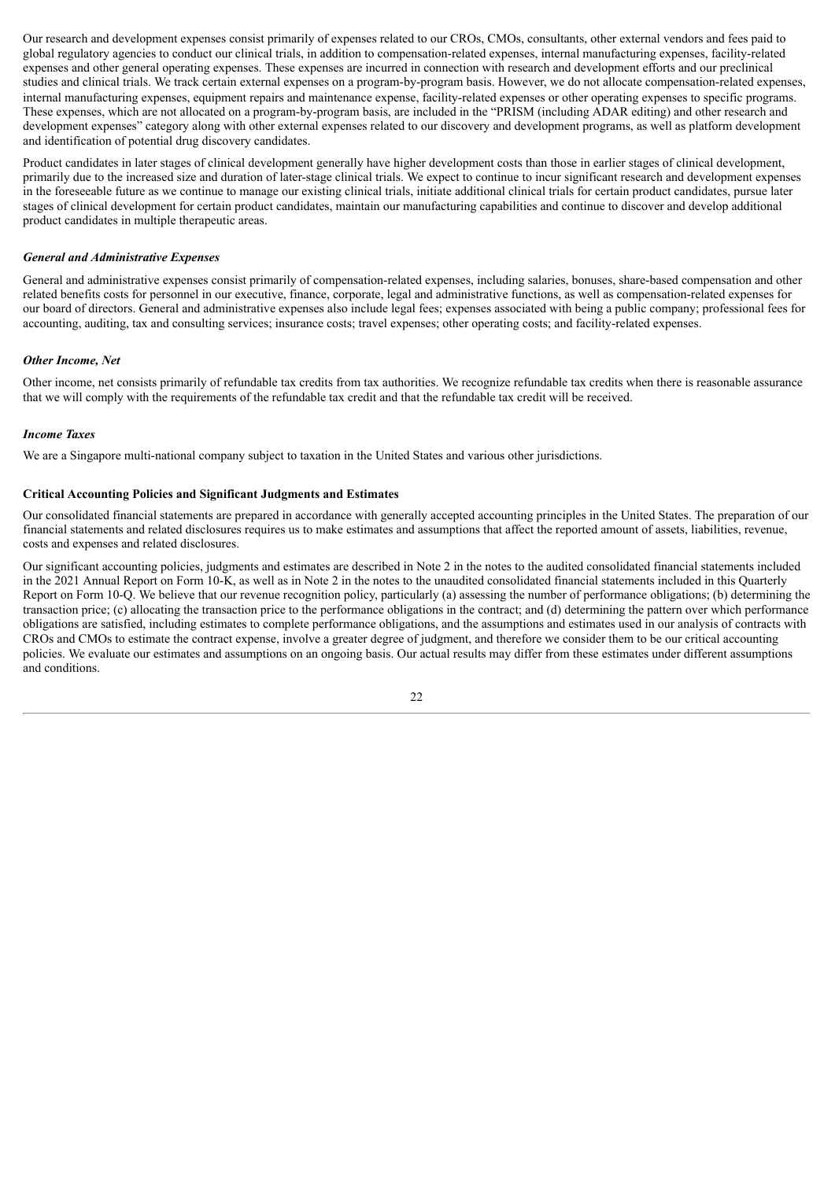Our research and development expenses consist primarily of expenses related to our CROs, CMOs, consultants, other external vendors and fees paid to global regulatory agencies to conduct our clinical trials, in addition to compensation-related expenses, internal manufacturing expenses, facility-related expenses and other general operating expenses. These expenses are incurred in connection with research and development efforts and our preclinical studies and clinical trials. We track certain external expenses on a program-by-program basis. However, we do not allocate compensation-related expenses, internal manufacturing expenses, equipment repairs and maintenance expense, facility-related expenses or other operating expenses to specific programs. These expenses, which are not allocated on a program-by-program basis, are included in the "PRISM (including ADAR editing) and other research and development expenses" category along with other external expenses related to our discovery and development programs, as well as platform development and identification of potential drug discovery candidates.

Product candidates in later stages of clinical development generally have higher development costs than those in earlier stages of clinical development, primarily due to the increased size and duration of later-stage clinical trials. We expect to continue to incur significant research and development expenses in the foreseeable future as we continue to manage our existing clinical trials, initiate additional clinical trials for certain product candidates, pursue later stages of clinical development for certain product candidates, maintain our manufacturing capabilities and continue to discover and develop additional product candidates in multiple therapeutic areas.

#### *General and Administrative Expenses*

General and administrative expenses consist primarily of compensation-related expenses, including salaries, bonuses, share-based compensation and other related benefits costs for personnel in our executive, finance, corporate, legal and administrative functions, as well as compensation-related expenses for our board of directors. General and administrative expenses also include legal fees; expenses associated with being a public company; professional fees for accounting, auditing, tax and consulting services; insurance costs; travel expenses; other operating costs; and facility-related expenses.

#### *Other Income, Net*

Other income, net consists primarily of refundable tax credits from tax authorities. We recognize refundable tax credits when there is reasonable assurance that we will comply with the requirements of the refundable tax credit and that the refundable tax credit will be received.

#### *Income Taxes*

We are a Singapore multi-national company subject to taxation in the United States and various other jurisdictions.

#### **Critical Accounting Policies and Significant Judgments and Estimates**

Our consolidated financial statements are prepared in accordance with generally accepted accounting principles in the United States. The preparation of our financial statements and related disclosures requires us to make estimates and assumptions that affect the reported amount of assets, liabilities, revenue, costs and expenses and related disclosures.

Our significant accounting policies, judgments and estimates are described in Note 2 in the notes to the audited consolidated financial statements included in the 2021 Annual Report on Form 10-K, as well as in Note 2 in the notes to the unaudited consolidated financial statements included in this Quarterly Report on Form 10-Q. We believe that our revenue recognition policy, particularly (a) assessing the number of performance obligations; (b) determining the transaction price; (c) allocating the transaction price to the performance obligations in the contract; and (d) determining the pattern over which performance obligations are satisfied, including estimates to complete performance obligations, and the assumptions and estimates used in our analysis of contracts with CROs and CMOs to estimate the contract expense, involve a greater degree of judgment, and therefore we consider them to be our critical accounting policies. We evaluate our estimates and assumptions on an ongoing basis. Our actual results may differ from these estimates under different assumptions and conditions.

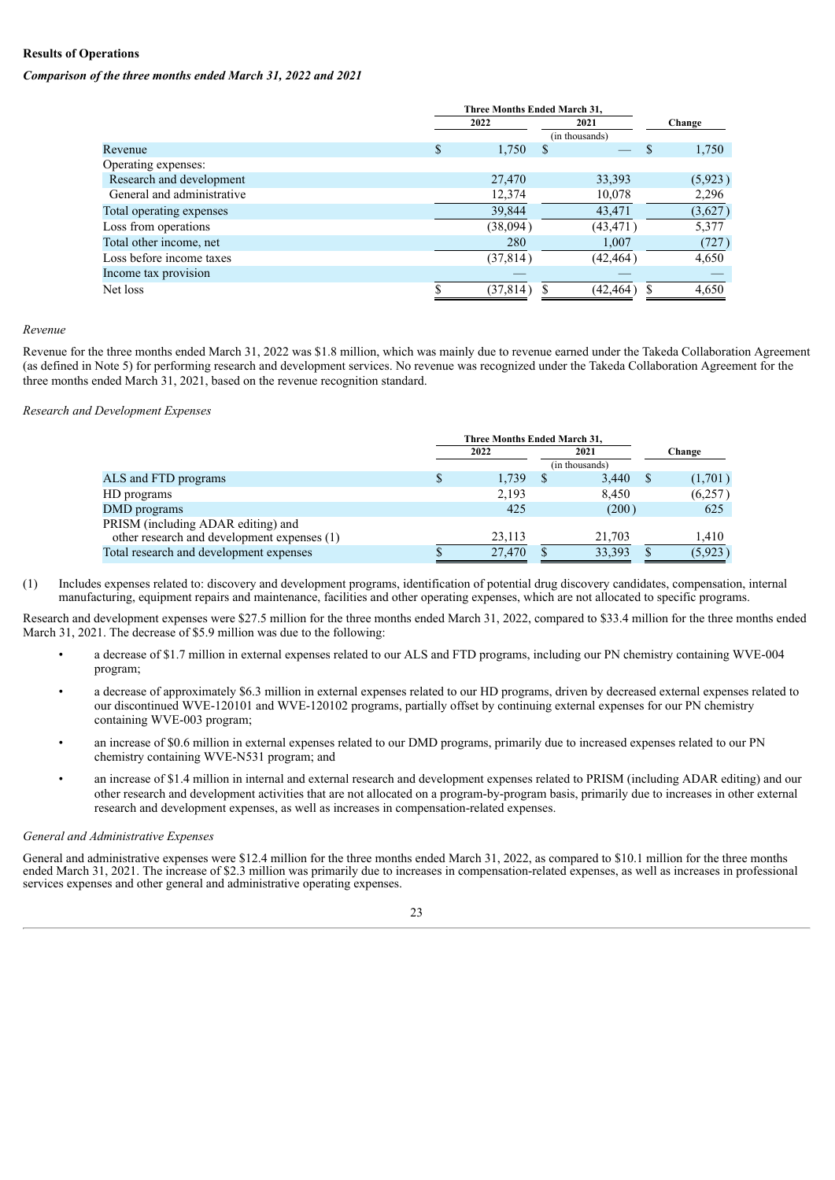#### **Results of Operations**

### *Comparison of the three months ended March 31, 2022 and 2021*

|                            |   | Three Months Ended March 31, |                |          |
|----------------------------|---|------------------------------|----------------|----------|
|                            |   | 2022                         | 2021           | Change   |
|                            |   |                              | (in thousands) |          |
| Revenue                    | S | 1,750                        | <b>S</b>       | 1,750    |
| Operating expenses:        |   |                              |                |          |
| Research and development   |   | 27,470                       | 33,393         | (5, 923) |
| General and administrative |   | 12,374                       | 10,078         | 2,296    |
| Total operating expenses   |   | 39,844                       | 43,471         | (3,627)  |
| Loss from operations       |   | (38,094)                     | (43, 471)      | 5,377    |
| Total other income, net    |   | 280                          | 1,007          | (727)    |
| Loss before income taxes   |   | (37, 814)                    | (42, 464)      | 4,650    |
| Income tax provision       |   |                              |                |          |
| Net loss                   |   | (37, 814)                    | (42, 464)      | 4,650    |

#### *Revenue*

Revenue for the three months ended March 31, 2022 was \$1.8 million, which was mainly due to revenue earned under the Takeda Collaboration Agreement (as defined in Note 5) for performing research and development services. No revenue was recognized under the Takeda Collaboration Agreement for the three months ended March 31, 2021, based on the revenue recognition standard.

#### *Research and Development Expenses*

|                                             | Three Months Ended March 31, |        |      |                |        |         |
|---------------------------------------------|------------------------------|--------|------|----------------|--------|---------|
|                                             | 2022                         |        | 2021 |                | Change |         |
|                                             |                              |        |      | (in thousands) |        |         |
| ALS and FTD programs                        | \$                           | 1,739  |      | 3,440          |        | (1,701) |
| HD programs                                 |                              | 2,193  |      | 8.450          |        | (6,257) |
| DMD programs                                |                              | 425    |      | (200)          |        | 625     |
| PRISM (including ADAR editing) and          |                              |        |      |                |        |         |
| other research and development expenses (1) |                              | 23,113 |      | 21,703         |        | 1,410   |
| Total research and development expenses     |                              | 27,470 |      | 33,393         |        | (5,923) |

(1) Includes expenses related to: discovery and development programs, identification of potential drug discovery candidates, compensation, internal manufacturing, equipment repairs and maintenance, facilities and other operating expenses, which are not allocated to specific programs.

Research and development expenses were \$27.5 million for the three months ended March 31, 2022, compared to \$33.4 million for the three months ended March 31, 2021. The decrease of \$5.9 million was due to the following:

- a decrease of \$1.7 million in external expenses related to our ALS and FTD programs, including our PN chemistry containing WVE-004 program;
- a decrease of approximately \$6.3 million in external expenses related to our HD programs, driven by decreased external expenses related to our discontinued WVE-120101 and WVE-120102 programs, partially offset by continuing external expenses for our PN chemistry containing WVE-003 program;
- an increase of \$0.6 million in external expenses related to our DMD programs, primarily due to increased expenses related to our PN chemistry containing WVE-N531 program; and
- an increase of \$1.4 million in internal and external research and development expenses related to PRISM (including ADAR editing) and our other research and development activities that are not allocated on a program-by-program basis, primarily due to increases in other external research and development expenses, as well as increases in compensation-related expenses.

#### *General and Administrative Expenses*

General and administrative expenses were \$12.4 million for the three months ended March 31, 2022, as compared to \$10.1 million for the three months ended March 31, 2021. The increase of \$2.3 million was primarily due to increases in compensation-related expenses, as well as increases in professional services expenses and other general and administrative operating expenses.

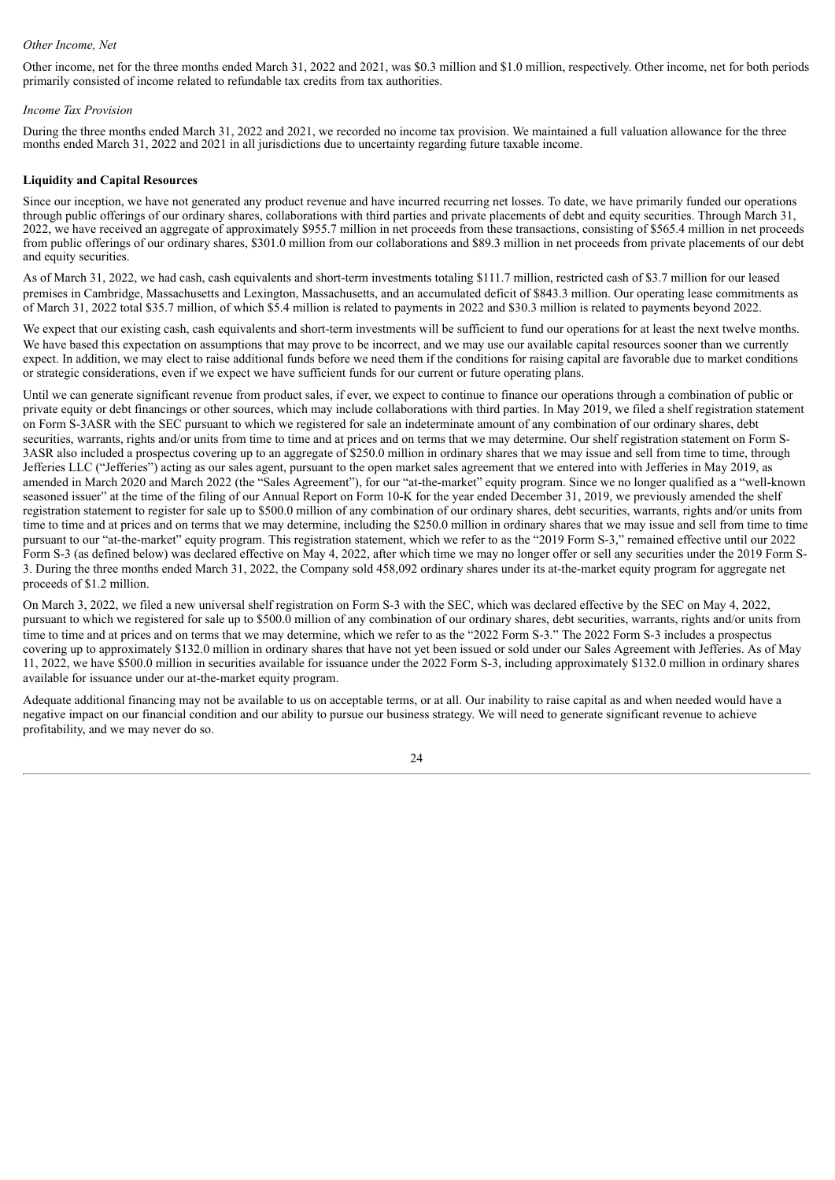#### *Other Income, Net*

Other income, net for the three months ended March 31, 2022 and 2021, was \$0.3 million and \$1.0 million, respectively. Other income, net for both periods primarily consisted of income related to refundable tax credits from tax authorities.

#### *Income Tax Provision*

During the three months ended March 31, 2022 and 2021, we recorded no income tax provision. We maintained a full valuation allowance for the three months ended March 31, 2022 and 2021 in all jurisdictions due to uncertainty regarding future taxable income.

#### **Liquidity and Capital Resources**

Since our inception, we have not generated any product revenue and have incurred recurring net losses. To date, we have primarily funded our operations through public offerings of our ordinary shares, collaborations with third parties and private placements of debt and equity securities. Through March 31, 2022, we have received an aggregate of approximately \$955.7 million in net proceeds from these transactions, consisting of \$565.4 million in net proceeds from public offerings of our ordinary shares, \$301.0 million from our collaborations and \$89.3 million in net proceeds from private placements of our debt and equity securities.

As of March 31, 2022, we had cash, cash equivalents and short-term investments totaling \$111.7 million, restricted cash of \$3.7 million for our leased premises in Cambridge, Massachusetts and Lexington, Massachusetts, and an accumulated deficit of \$843.3 million. Our operating lease commitments as of March 31, 2022 total \$35.7 million, of which \$5.4 million is related to payments in 2022 and \$30.3 million is related to payments beyond 2022.

We expect that our existing cash, cash equivalents and short-term investments will be sufficient to fund our operations for at least the next twelve months. We have based this expectation on assumptions that may prove to be incorrect, and we may use our available capital resources sooner than we currently expect. In addition, we may elect to raise additional funds before we need them if the conditions for raising capital are favorable due to market conditions or strategic considerations, even if we expect we have sufficient funds for our current or future operating plans.

Until we can generate significant revenue from product sales, if ever, we expect to continue to finance our operations through a combination of public or private equity or debt financings or other sources, which may include collaborations with third parties. In May 2019, we filed a shelf registration statement on Form S-3ASR with the SEC pursuant to which we registered for sale an indeterminate amount of any combination of our ordinary shares, debt securities, warrants, rights and/or units from time to time and at prices and on terms that we may determine. Our shelf registration statement on Form S-3ASR also included a prospectus covering up to an aggregate of \$250.0 million in ordinary shares that we may issue and sell from time to time, through Jefferies LLC ("Jefferies") acting as our sales agent, pursuant to the open market sales agreement that we entered into with Jefferies in May 2019, as amended in March 2020 and March 2022 (the "Sales Agreement"), for our "at-the-market" equity program. Since we no longer qualified as a "well-known seasoned issuer" at the time of the filing of our Annual Report on Form 10-K for the year ended December 31, 2019, we previously amended the shelf registration statement to register for sale up to \$500.0 million of any combination of our ordinary shares, debt securities, warrants, rights and/or units from time to time and at prices and on terms that we may determine, including the \$250.0 million in ordinary shares that we may issue and sell from time to time pursuant to our "at-the-market" equity program. This registration statement, which we refer to as the "2019 Form S-3," remained effective until our 2022 Form S-3 (as defined below) was declared effective on May 4, 2022, after which time we may no longer offer or sell any securities under the 2019 Form S-3. During the three months ended March 31, 2022, the Company sold 458,092 ordinary shares under its at-the-market equity program for aggregate net proceeds of \$1.2 million.

On March 3, 2022, we filed a new universal shelf registration on Form S-3 with the SEC, which was declared effective by the SEC on May 4, 2022, pursuant to which we registered for sale up to \$500.0 million of any combination of our ordinary shares, debt securities, warrants, rights and/or units from time to time and at prices and on terms that we may determine, which we refer to as the "2022 Form S-3." The 2022 Form S-3 includes a prospectus covering up to approximately \$132.0 million in ordinary shares that have not yet been issued or sold under our Sales Agreement with Jefferies. As of May 11, 2022, we have \$500.0 million in securities available for issuance under the 2022 Form S-3, including approximately \$132.0 million in ordinary shares available for issuance under our at-the-market equity program.

Adequate additional financing may not be available to us on acceptable terms, or at all. Our inability to raise capital as and when needed would have a negative impact on our financial condition and our ability to pursue our business strategy. We will need to generate significant revenue to achieve profitability, and we may never do so.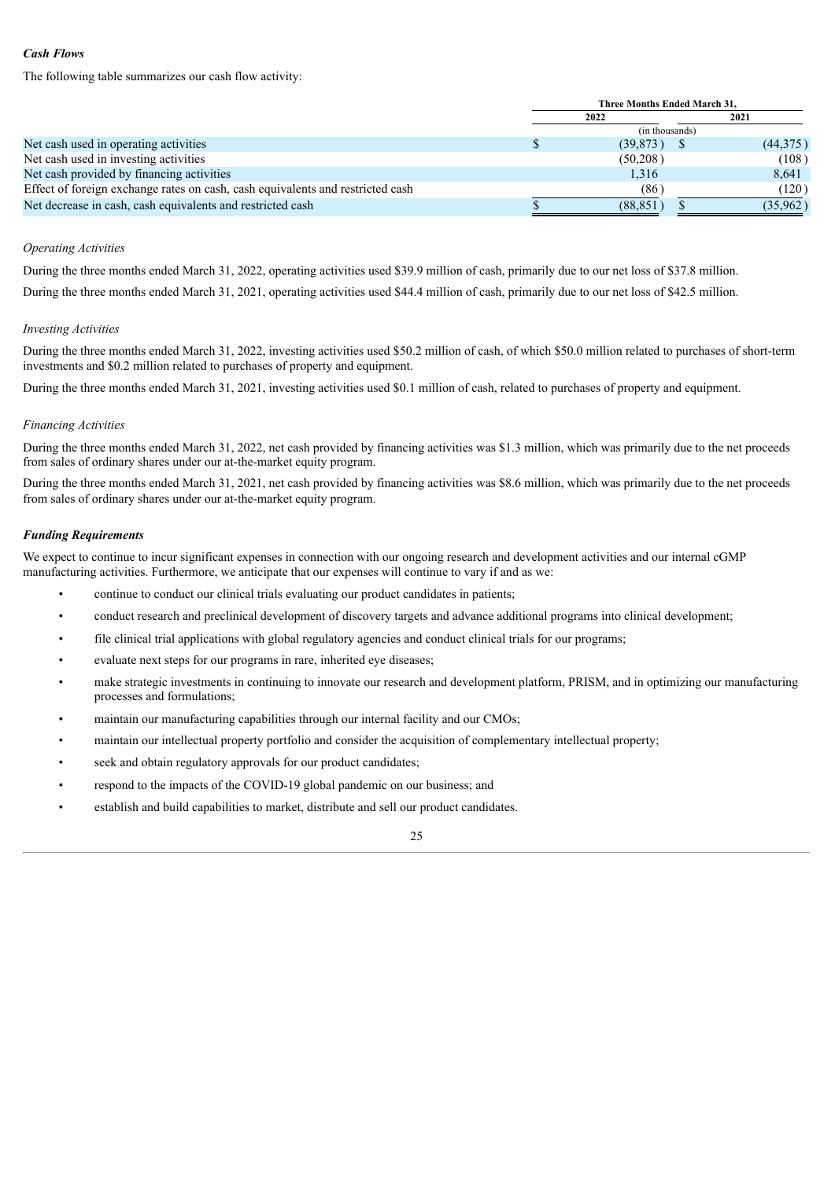#### *Cash Flows*

The following table summarizes our cash flow activity:

|                                                                                | <b>Three Months Ended March 31.</b> |                |  |          |  |
|--------------------------------------------------------------------------------|-------------------------------------|----------------|--|----------|--|
|                                                                                |                                     | 2022           |  | 2021     |  |
|                                                                                |                                     | (in thousands) |  |          |  |
| Net cash used in operating activities                                          |                                     | (39,873)       |  | (44,375) |  |
| Net cash used in investing activities                                          |                                     | (50,208)       |  | (108)    |  |
| Net cash provided by financing activities                                      |                                     | 1,316          |  | 8,641    |  |
| Effect of foreign exchange rates on cash, cash equivalents and restricted cash |                                     | (86)           |  | (120)    |  |
| Net decrease in cash, cash equivalents and restricted cash                     |                                     | (88, 851)      |  | (35,962) |  |

#### *Operating Activities*

During the three months ended March 31, 2022, operating activities used \$39.9 million of cash, primarily due to our net loss of \$37.8 million.

During the three months ended March 31, 2021, operating activities used \$44.4 million of cash, primarily due to our net loss of \$42.5 million.

#### *Investing Activities*

During the three months ended March 31, 2022, investing activities used \$50.2 million of cash, of which \$50.0 million related to purchases of short-term investments and \$0.2 million related to purchases of property and equipment.

During the three months ended March 31, 2021, investing activities used \$0.1 million of cash, related to purchases of property and equipment.

#### *Financing Activities*

During the three months ended March 31, 2022, net cash provided by financing activities was \$1.3 million, which was primarily due to the net proceeds from sales of ordinary shares under our at-the-market equity program.

During the three months ended March 31, 2021, net cash provided by financing activities was \$8.6 million, which was primarily due to the net proceeds from sales of ordinary shares under our at-the-market equity program.

#### *Funding Requirements*

We expect to continue to incur significant expenses in connection with our ongoing research and development activities and our internal cGMP manufacturing activities. Furthermore, we anticipate that our expenses will continue to vary if and as we:

- continue to conduct our clinical trials evaluating our product candidates in patients;
- conduct research and preclinical development of discovery targets and advance additional programs into clinical development;
- file clinical trial applications with global regulatory agencies and conduct clinical trials for our programs;
- evaluate next steps for our programs in rare, inherited eye diseases;
- make strategic investments in continuing to innovate our research and development platform, PRISM, and in optimizing our manufacturing processes and formulations;
- maintain our manufacturing capabilities through our internal facility and our CMOs;
- maintain our intellectual property portfolio and consider the acquisition of complementary intellectual property;
- seek and obtain regulatory approvals for our product candidates;
- respond to the impacts of the COVID-19 global pandemic on our business; and
- establish and build capabilities to market, distribute and sell our product candidates.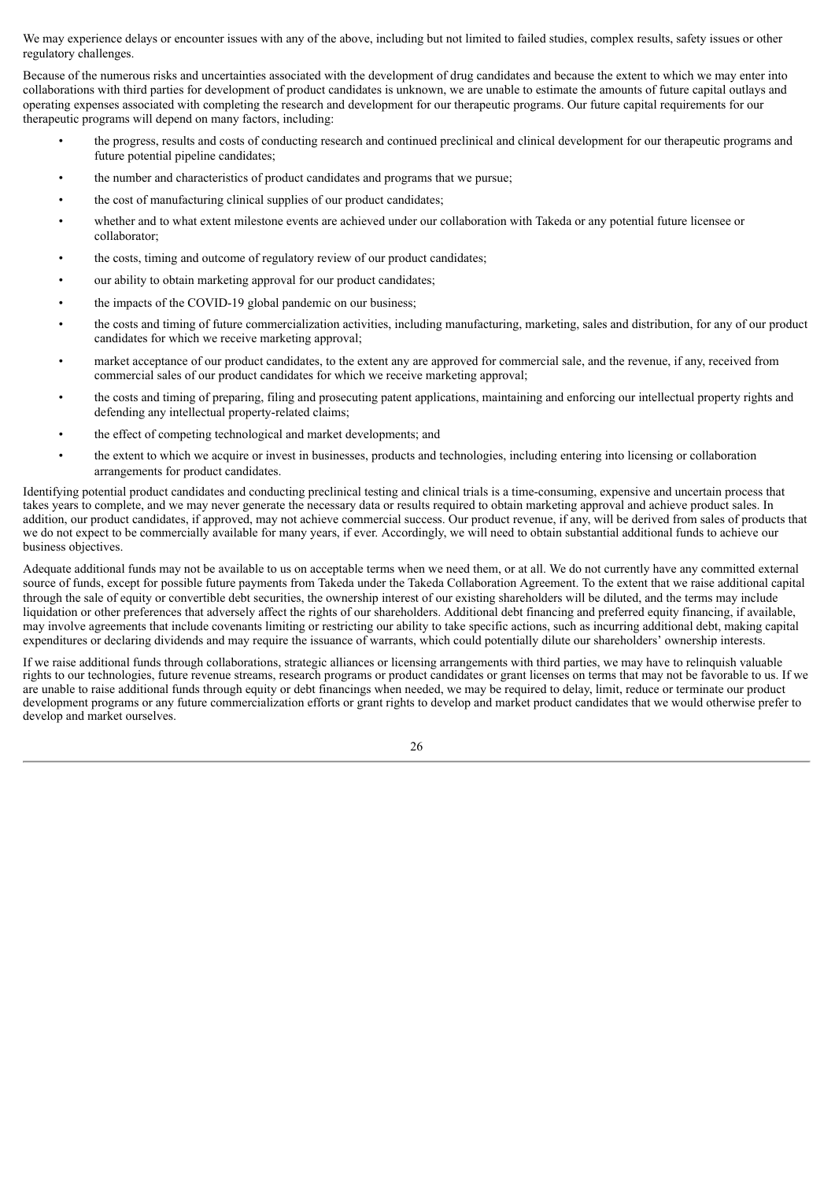We may experience delays or encounter issues with any of the above, including but not limited to failed studies, complex results, safety issues or other regulatory challenges.

Because of the numerous risks and uncertainties associated with the development of drug candidates and because the extent to which we may enter into collaborations with third parties for development of product candidates is unknown, we are unable to estimate the amounts of future capital outlays and operating expenses associated with completing the research and development for our therapeutic programs. Our future capital requirements for our therapeutic programs will depend on many factors, including:

- the progress, results and costs of conducting research and continued preclinical and clinical development for our therapeutic programs and future potential pipeline candidates;
- the number and characteristics of product candidates and programs that we pursue;
- the cost of manufacturing clinical supplies of our product candidates;
- whether and to what extent milestone events are achieved under our collaboration with Takeda or any potential future licensee or collaborator;
- the costs, timing and outcome of regulatory review of our product candidates;
- our ability to obtain marketing approval for our product candidates;
- the impacts of the COVID-19 global pandemic on our business;
- the costs and timing of future commercialization activities, including manufacturing, marketing, sales and distribution, for any of our product candidates for which we receive marketing approval;
- market acceptance of our product candidates, to the extent any are approved for commercial sale, and the revenue, if any, received from commercial sales of our product candidates for which we receive marketing approval;
- the costs and timing of preparing, filing and prosecuting patent applications, maintaining and enforcing our intellectual property rights and defending any intellectual property-related claims;
- the effect of competing technological and market developments; and
- the extent to which we acquire or invest in businesses, products and technologies, including entering into licensing or collaboration arrangements for product candidates.

Identifying potential product candidates and conducting preclinical testing and clinical trials is a time-consuming, expensive and uncertain process that takes years to complete, and we may never generate the necessary data or results required to obtain marketing approval and achieve product sales. In addition, our product candidates, if approved, may not achieve commercial success. Our product revenue, if any, will be derived from sales of products that we do not expect to be commercially available for many years, if ever. Accordingly, we will need to obtain substantial additional funds to achieve our business objectives.

Adequate additional funds may not be available to us on acceptable terms when we need them, or at all. We do not currently have any committed external source of funds, except for possible future payments from Takeda under the Takeda Collaboration Agreement. To the extent that we raise additional capital through the sale of equity or convertible debt securities, the ownership interest of our existing shareholders will be diluted, and the terms may include liquidation or other preferences that adversely affect the rights of our shareholders. Additional debt financing and preferred equity financing, if available, may involve agreements that include covenants limiting or restricting our ability to take specific actions, such as incurring additional debt, making capital expenditures or declaring dividends and may require the issuance of warrants, which could potentially dilute our shareholders' ownership interests.

If we raise additional funds through collaborations, strategic alliances or licensing arrangements with third parties, we may have to relinquish valuable rights to our technologies, future revenue streams, research programs or product candidates or grant licenses on terms that may not be favorable to us. If we are unable to raise additional funds through equity or debt financings when needed, we may be required to delay, limit, reduce or terminate our product development programs or any future commercialization efforts or grant rights to develop and market product candidates that we would otherwise prefer to develop and market ourselves.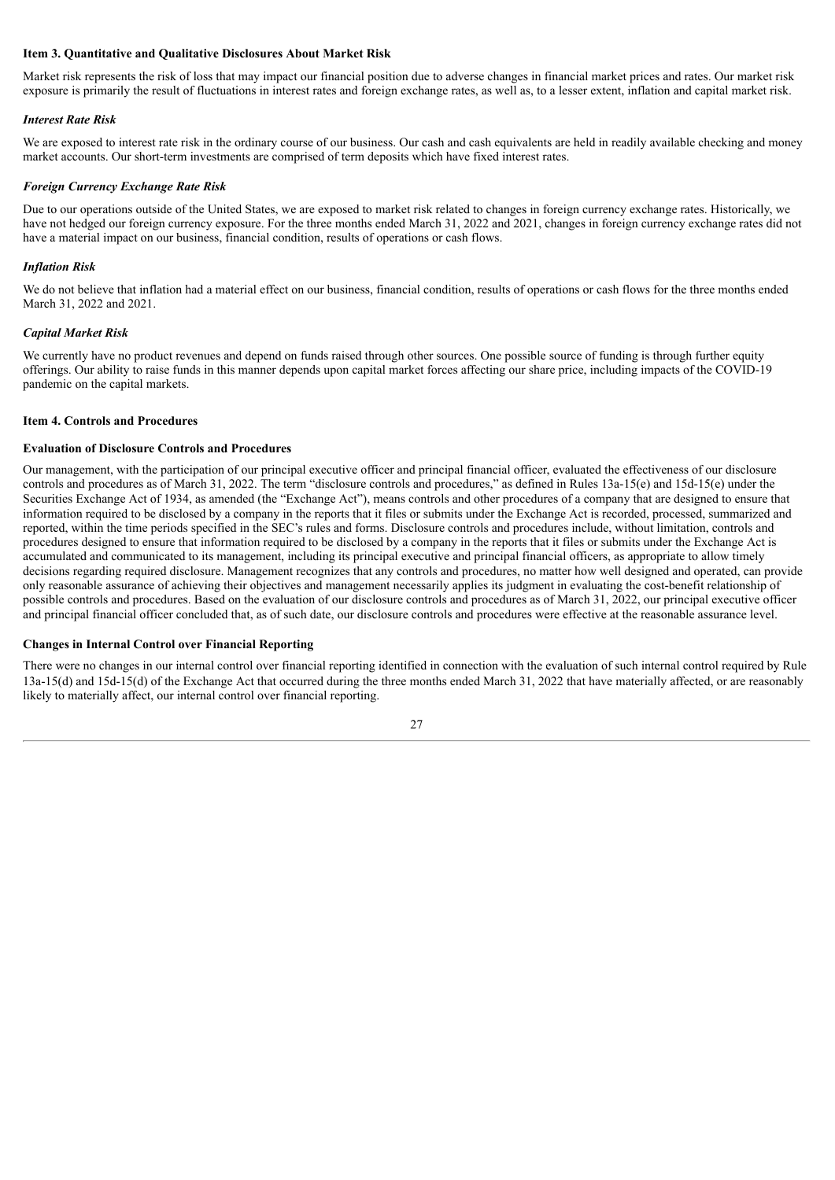#### <span id="page-26-0"></span>**Item 3. Quantitative and Qualitative Disclosures About Market Risk**

Market risk represents the risk of loss that may impact our financial position due to adverse changes in financial market prices and rates. Our market risk exposure is primarily the result of fluctuations in interest rates and foreign exchange rates, as well as, to a lesser extent, inflation and capital market risk.

#### *Interest Rate Risk*

We are exposed to interest rate risk in the ordinary course of our business. Our cash and cash equivalents are held in readily available checking and money market accounts. Our short-term investments are comprised of term deposits which have fixed interest rates.

#### *Foreign Currency Exchange Rate Risk*

Due to our operations outside of the United States, we are exposed to market risk related to changes in foreign currency exchange rates. Historically, we have not hedged our foreign currency exposure. For the three months ended March 31, 2022 and 2021, changes in foreign currency exchange rates did not have a material impact on our business, financial condition, results of operations or cash flows.

#### *Inflation Risk*

We do not believe that inflation had a material effect on our business, financial condition, results of operations or cash flows for the three months ended March 31, 2022 and 2021.

#### *Capital Market Risk*

We currently have no product revenues and depend on funds raised through other sources. One possible source of funding is through further equity offerings. Our ability to raise funds in this manner depends upon capital market forces affecting our share price, including impacts of the COVID-19 pandemic on the capital markets.

#### <span id="page-26-1"></span>**Item 4. Controls and Procedures**

#### **Evaluation of Disclosure Controls and Procedures**

Our management, with the participation of our principal executive officer and principal financial officer, evaluated the effectiveness of our disclosure controls and procedures as of March 31, 2022. The term "disclosure controls and procedures," as defined in Rules 13a-15(e) and 15d-15(e) under the Securities Exchange Act of 1934, as amended (the "Exchange Act"), means controls and other procedures of a company that are designed to ensure that information required to be disclosed by a company in the reports that it files or submits under the Exchange Act is recorded, processed, summarized and reported, within the time periods specified in the SEC's rules and forms. Disclosure controls and procedures include, without limitation, controls and procedures designed to ensure that information required to be disclosed by a company in the reports that it files or submits under the Exchange Act is accumulated and communicated to its management, including its principal executive and principal financial officers, as appropriate to allow timely decisions regarding required disclosure. Management recognizes that any controls and procedures, no matter how well designed and operated, can provide only reasonable assurance of achieving their objectives and management necessarily applies its judgment in evaluating the cost-benefit relationship of possible controls and procedures. Based on the evaluation of our disclosure controls and procedures as of March 31, 2022, our principal executive officer and principal financial officer concluded that, as of such date, our disclosure controls and procedures were effective at the reasonable assurance level.

#### **Changes in Internal Control over Financial Reporting**

There were no changes in our internal control over financial reporting identified in connection with the evaluation of such internal control required by Rule 13a-15(d) and 15d-15(d) of the Exchange Act that occurred during the three months ended March 31, 2022 that have materially affected, or are reasonably likely to materially affect, our internal control over financial reporting.

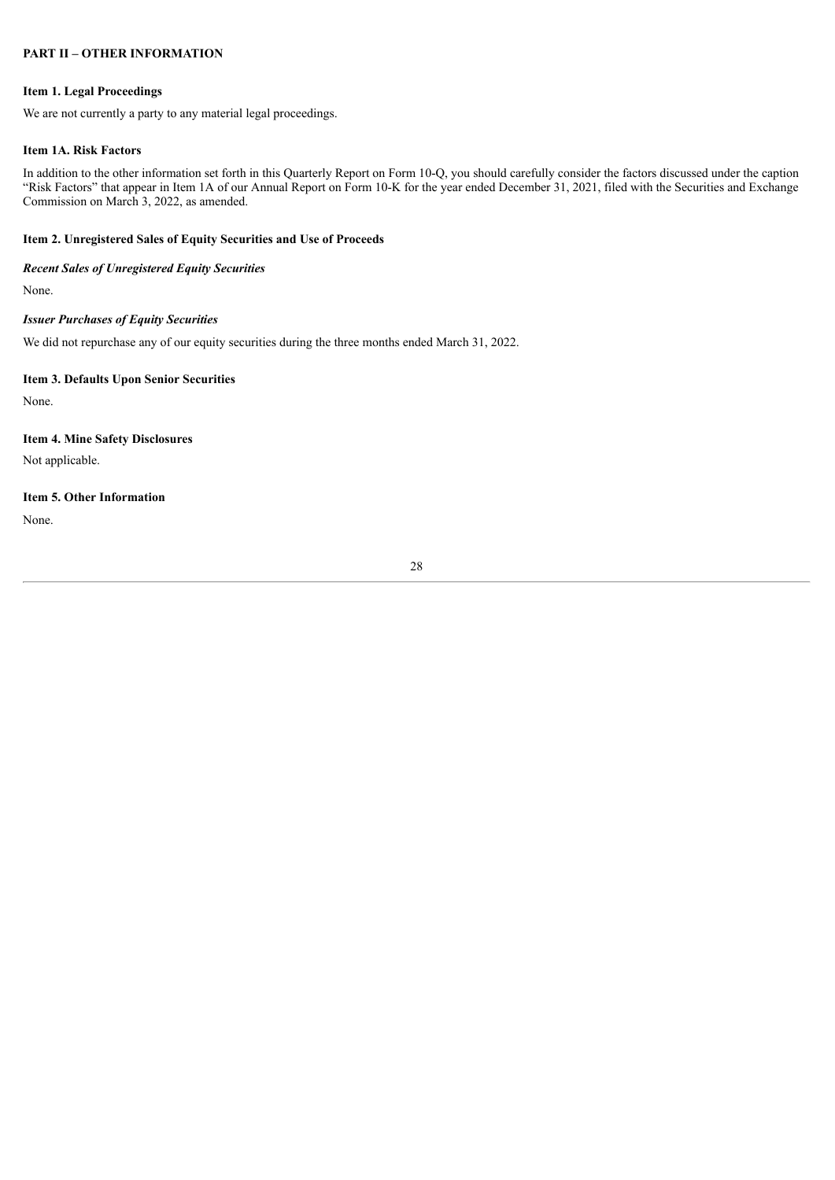#### <span id="page-27-0"></span>**PART II – OTHER INFORMATION**

#### <span id="page-27-1"></span>**Item 1. Legal Proceedings**

We are not currently a party to any material legal proceedings.

#### <span id="page-27-2"></span>**Item 1A. Risk Factors**

In addition to the other information set forth in this Quarterly Report on Form 10-Q, you should carefully consider the factors discussed under the caption "Risk Factors" that appear in Item 1A of our Annual Report on Form 10-K for the year ended December 31, 2021, filed with the Securities and Exchange Commission on March 3, 2022, as amended.

#### <span id="page-27-3"></span>**Item 2. Unregistered Sales of Equity Securities and Use of Proceeds**

#### *Recent Sales of Unregistered Equity Securities*

None.

#### *Issuer Purchases of Equity Securities*

We did not repurchase any of our equity securities during the three months ended March 31, 2022.

#### <span id="page-27-4"></span>**Item 3. Defaults Upon Senior Securities**

None.

#### <span id="page-27-5"></span>**Item 4. Mine Safety Disclosures**

Not applicable.

#### <span id="page-27-6"></span>**Item 5. Other Information**

None.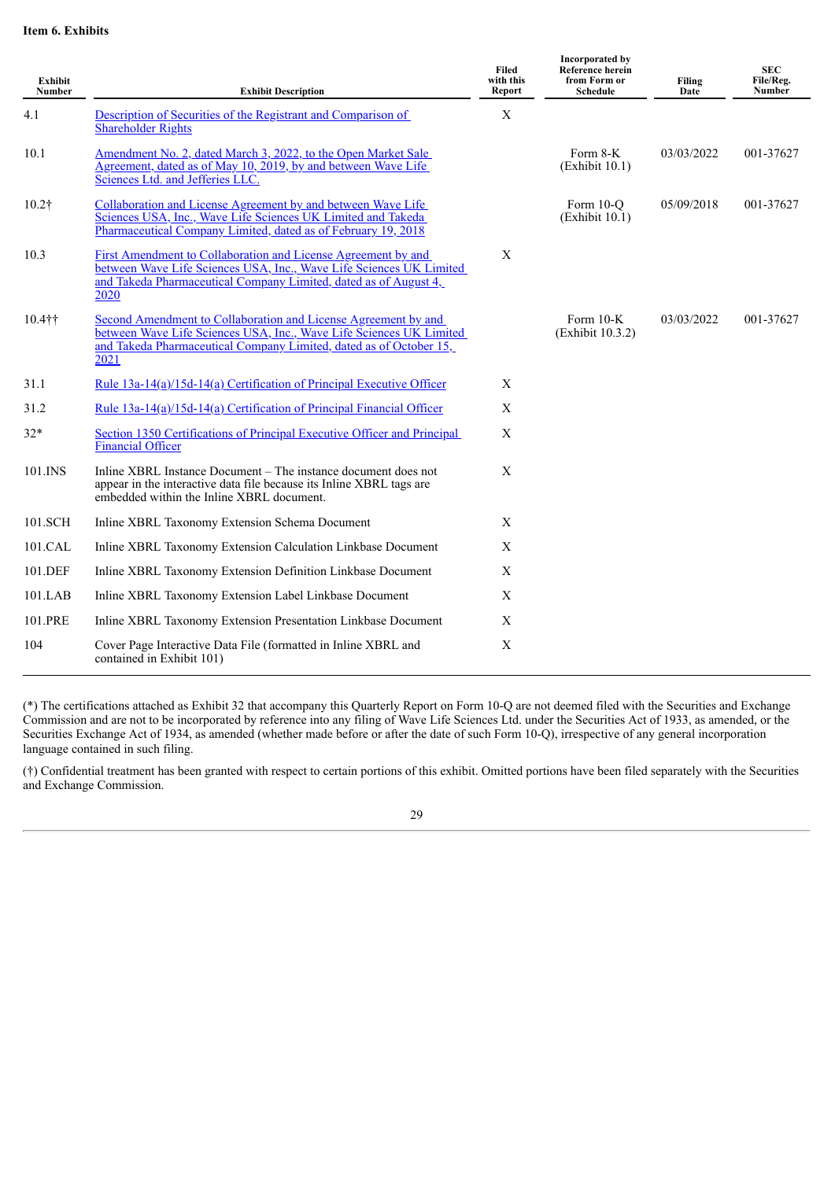#### <span id="page-28-0"></span>**Item 6. Exhibits**

| Exhibit<br>Number | <b>Exhibit Description</b>                                                                                                                                                                                          | Filed<br>with this<br>Report | Incorporated by<br>Reference herein<br>from Form or<br><b>Schedule</b> | <b>Filing</b><br>Date | <b>SEC</b><br>File/Reg.<br>Number |
|-------------------|---------------------------------------------------------------------------------------------------------------------------------------------------------------------------------------------------------------------|------------------------------|------------------------------------------------------------------------|-----------------------|-----------------------------------|
| 4.1               | Description of Securities of the Registrant and Comparison of<br><b>Shareholder Rights</b>                                                                                                                          | X                            |                                                                        |                       |                                   |
| 10.1              | <u>Amendment No. 2, dated March 3, 2022, to the Open Market Sale</u><br><u>Agreement, dated as of May 10, 2019, by and between Wave Life</u><br>Sciences Ltd. and Jefferies LLC.                                    |                              | Form 8-K<br>(Exhibit 10.1)                                             | 03/03/2022            | 001-37627                         |
| $10.2\dagger$     | Collaboration and License Agreement by and between Wave Life<br>Sciences USA, Inc., Wave Life Sciences UK Limited and Takeda<br>Pharmaceutical Company Limited, dated as of February 19, 2018                       |                              | Form 10-O<br>(Exhibit 10.1)                                            | 05/09/2018            | 001-37627                         |
| 10.3              | First Amendment to Collaboration and License Agreement by and<br>between Wave Life Sciences USA, Inc., Wave Life Sciences UK Limited<br>and Takeda Pharmaceutical Company Limited, dated as of August 4,<br>2020    | X                            |                                                                        |                       |                                   |
| $10.4$ ††         | Second Amendment to Collaboration and License Agreement by and<br>between Wave Life Sciences USA, Inc., Wave Life Sciences UK Limited<br>and Takeda Pharmaceutical Company Limited, dated as of October 15,<br>2021 |                              | Form 10-K<br>(Exhibit 10.3.2)                                          | 03/03/2022            | 001-37627                         |
| 31.1              | Rule $13a-14(a)/15d-14(a)$ Certification of Principal Executive Officer                                                                                                                                             | X                            |                                                                        |                       |                                   |
| 31.2              | Rule 13a-14(a)/15d-14(a) Certification of Principal Financial Officer                                                                                                                                               | X                            |                                                                        |                       |                                   |
| $32*$             | Section 1350 Certifications of Principal Executive Officer and Principal<br><b>Financial Officer</b>                                                                                                                | X                            |                                                                        |                       |                                   |
| 101.INS           | Inline XBRL Instance Document – The instance document does not<br>appear in the interactive data file because its Inline XBRL tags are<br>embedded within the Inline XBRL document.                                 | $\mathbf X$                  |                                                                        |                       |                                   |
| 101.SCH           | Inline XBRL Taxonomy Extension Schema Document                                                                                                                                                                      | X                            |                                                                        |                       |                                   |
| 101.CAL           | Inline XBRL Taxonomy Extension Calculation Linkbase Document                                                                                                                                                        | X                            |                                                                        |                       |                                   |
| 101.DEF           | Inline XBRL Taxonomy Extension Definition Linkbase Document                                                                                                                                                         | X                            |                                                                        |                       |                                   |
| 101.LAB           | Inline XBRL Taxonomy Extension Label Linkbase Document                                                                                                                                                              | $\mathbf X$                  |                                                                        |                       |                                   |
| 101.PRE           | Inline XBRL Taxonomy Extension Presentation Linkbase Document                                                                                                                                                       | X                            |                                                                        |                       |                                   |
| 104               | Cover Page Interactive Data File (formatted in Inline XBRL and<br>contained in Exhibit 101)                                                                                                                         | X                            |                                                                        |                       |                                   |

(\*) The certifications attached as Exhibit 32 that accompany this Quarterly Report on Form 10-Q are not deemed filed with the Securities and Exchange Commission and are not to be incorporated by reference into any filing of Wave Life Sciences Ltd. under the Securities Act of 1933, as amended, or the Securities Exchange Act of 1934, as amended (whether made before or after the date of such Form 10-Q), irrespective of any general incorporation language contained in such filing.

(†) Confidential treatment has been granted with respect to certain portions of this exhibit. Omitted portions have been filed separately with the Securities and Exchange Commission.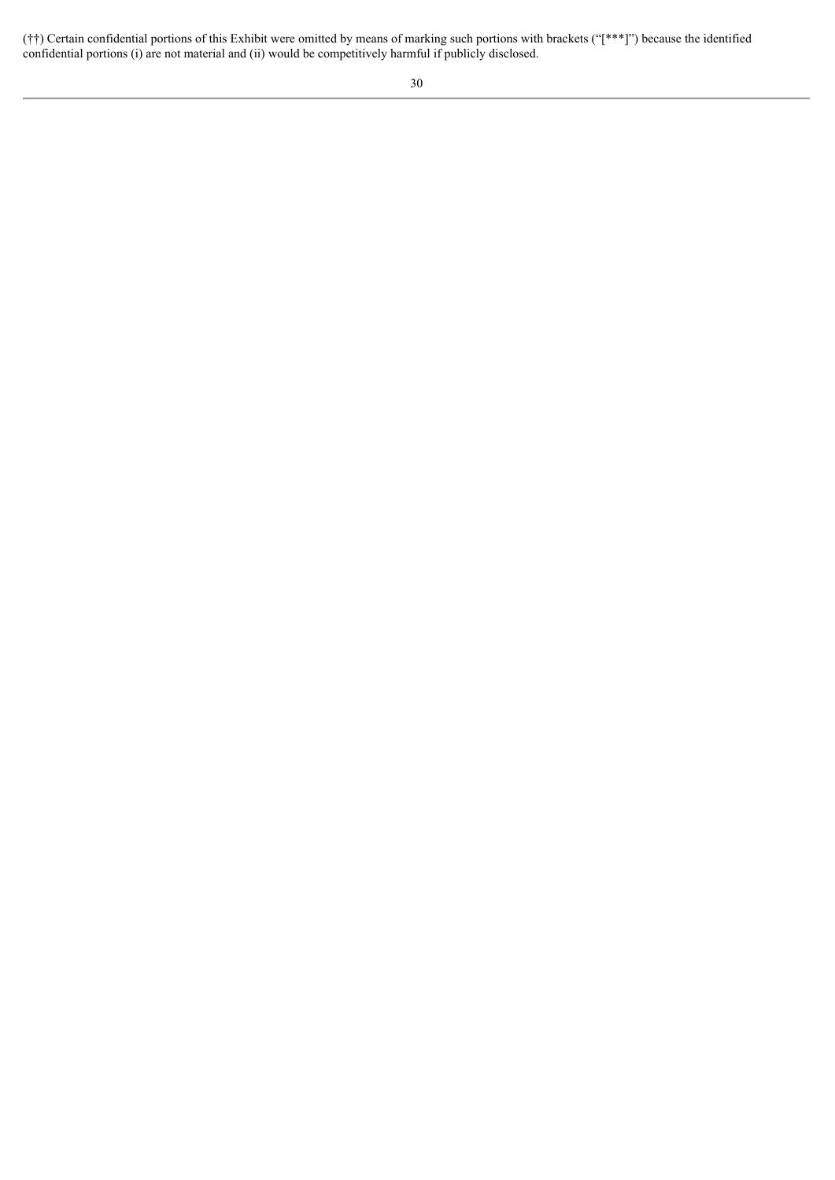(††) Certain confidential portions of this Exhibit were omitted by means of marking such portions with brackets ("[\*\*\*]") because the identified confidential portions (i) are not material and (ii) would be competitively harmful if publicly disclosed.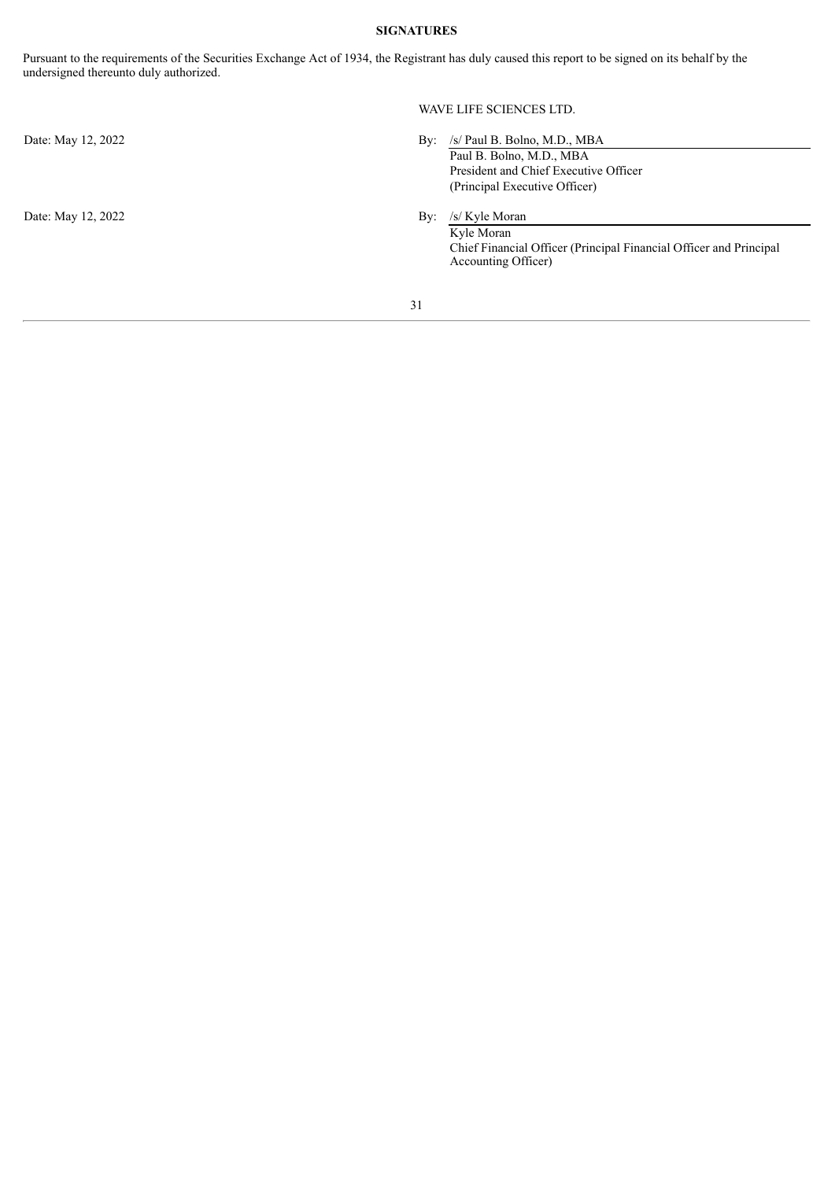#### **SIGNATURES**

Pursuant to the requirements of the Securities Exchange Act of 1934, the Registrant has duly caused this report to be signed on its behalf by the undersigned thereunto duly authorized.

WAVE LIFE SCIENCES LTD. Date: May 12, 2022 By: /s/ Paul B. Bolno, M.D., MBA Paul B. Bolno, M.D., MBA President and Chief Executive Officer (Principal Executive Officer) Date: May 12, 2022 By: /s/ Kyle Moran Kyle Moran Chief Financial Officer (Principal Financial Officer and Principal Accounting Officer) 31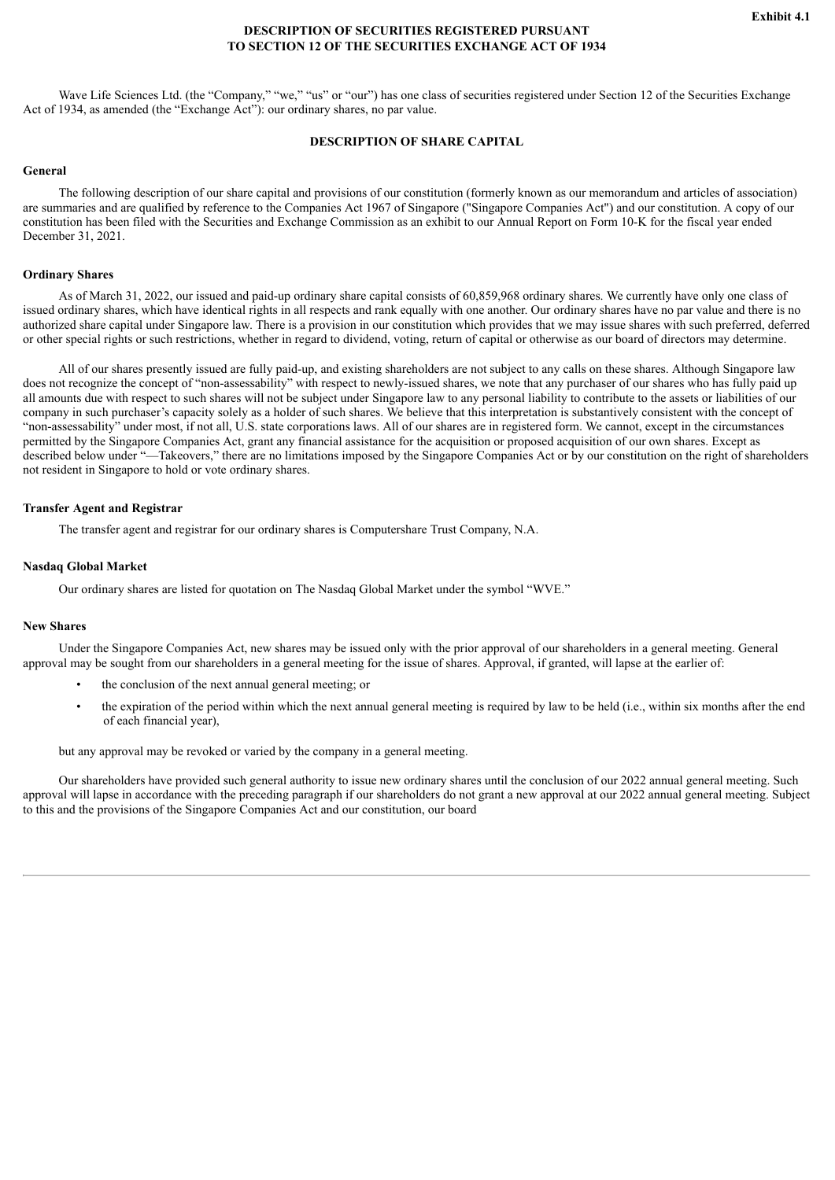#### **DESCRIPTION OF SECURITIES REGISTERED PURSUANT TO SECTION 12 OF THE SECURITIES EXCHANGE ACT OF 1934**

<span id="page-31-0"></span>Wave Life Sciences Ltd. (the "Company," "we," "us" or "our") has one class of securities registered under Section 12 of the Securities Exchange Act of 1934, as amended (the "Exchange Act"): our ordinary shares, no par value.

#### **DESCRIPTION OF SHARE CAPITAL**

#### **General**

The following description of our share capital and provisions of our constitution (formerly known as our memorandum and articles of association) are summaries and are qualified by reference to the Companies Act 1967 of Singapore ("Singapore Companies Act") and our constitution. A copy of our constitution has been filed with the Securities and Exchange Commission as an exhibit to our Annual Report on Form 10-K for the fiscal year ended December 31, 2021.

#### **Ordinary Shares**

As of March 31, 2022, our issued and paid-up ordinary share capital consists of 60,859,968 ordinary shares. We currently have only one class of issued ordinary shares, which have identical rights in all respects and rank equally with one another. Our ordinary shares have no par value and there is no authorized share capital under Singapore law. There is a provision in our constitution which provides that we may issue shares with such preferred, deferred or other special rights or such restrictions, whether in regard to dividend, voting, return of capital or otherwise as our board of directors may determine.

All of our shares presently issued are fully paid-up, and existing shareholders are not subject to any calls on these shares. Although Singapore law does not recognize the concept of "non-assessability" with respect to newly-issued shares, we note that any purchaser of our shares who has fully paid up all amounts due with respect to such shares will not be subject under Singapore law to any personal liability to contribute to the assets or liabilities of our company in such purchaser's capacity solely as a holder of such shares. We believe that this interpretation is substantively consistent with the concept of "non-assessability" under most, if not all, U.S. state corporations laws. All of our shares are in registered form. We cannot, except in the circumstances permitted by the Singapore Companies Act, grant any financial assistance for the acquisition or proposed acquisition of our own shares. Except as described below under "—Takeovers," there are no limitations imposed by the Singapore Companies Act or by our constitution on the right of shareholders not resident in Singapore to hold or vote ordinary shares.

#### **Transfer Agent and Registrar**

The transfer agent and registrar for our ordinary shares is Computershare Trust Company, N.A.

#### **Nasdaq Global Market**

Our ordinary shares are listed for quotation on The Nasdaq Global Market under the symbol "WVE."

#### **New Shares**

Under the Singapore Companies Act, new shares may be issued only with the prior approval of our shareholders in a general meeting. General approval may be sought from our shareholders in a general meeting for the issue of shares. Approval, if granted, will lapse at the earlier of:

- the conclusion of the next annual general meeting; or
- the expiration of the period within which the next annual general meeting is required by law to be held (i.e., within six months after the end of each financial year),

but any approval may be revoked or varied by the company in a general meeting.

Our shareholders have provided such general authority to issue new ordinary shares until the conclusion of our 2022 annual general meeting. Such approval will lapse in accordance with the preceding paragraph if our shareholders do not grant a new approval at our 2022 annual general meeting. Subject to this and the provisions of the Singapore Companies Act and our constitution, our board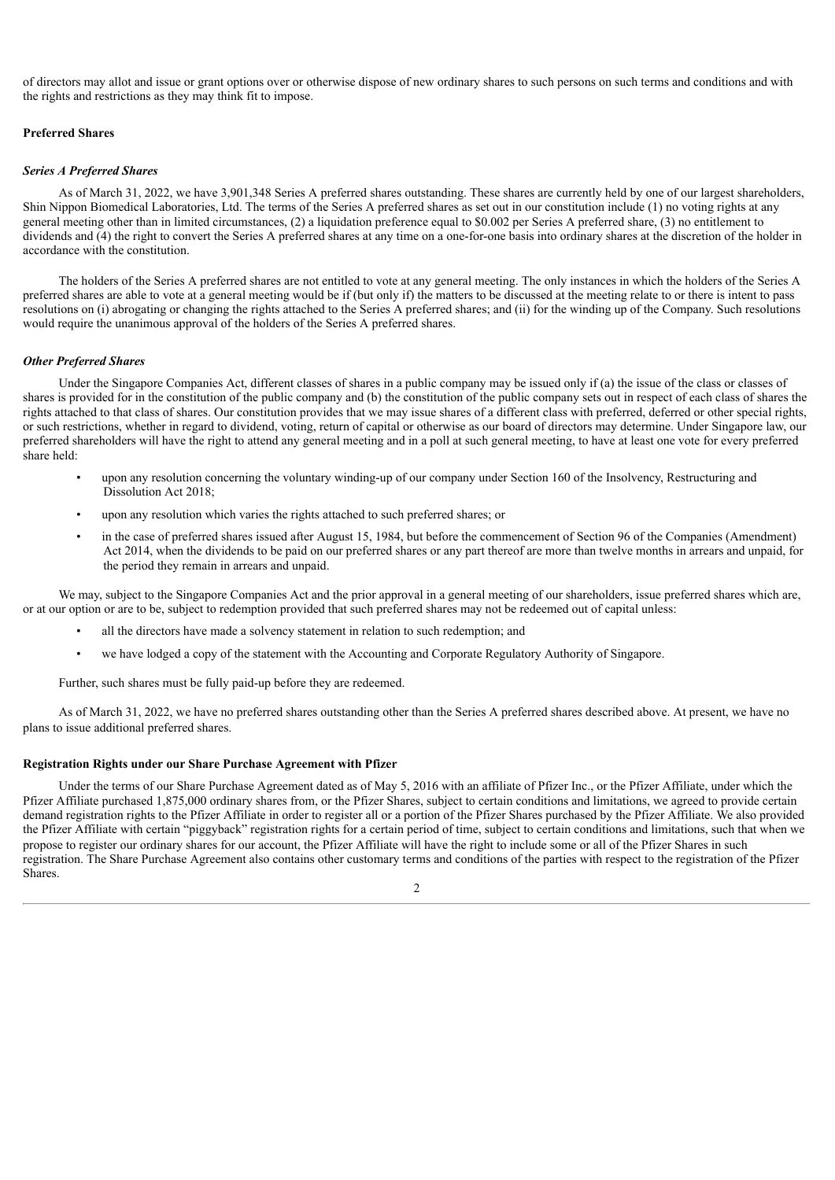of directors may allot and issue or grant options over or otherwise dispose of new ordinary shares to such persons on such terms and conditions and with the rights and restrictions as they may think fit to impose.

#### **Preferred Shares**

#### *Series A Preferred Shares*

As of March 31, 2022, we have 3,901,348 Series A preferred shares outstanding. These shares are currently held by one of our largest shareholders, Shin Nippon Biomedical Laboratories, Ltd. The terms of the Series A preferred shares as set out in our constitution include (1) no voting rights at any general meeting other than in limited circumstances, (2) a liquidation preference equal to \$0.002 per Series A preferred share, (3) no entitlement to dividends and (4) the right to convert the Series A preferred shares at any time on a one-for-one basis into ordinary shares at the discretion of the holder in accordance with the constitution.

The holders of the Series A preferred shares are not entitled to vote at any general meeting. The only instances in which the holders of the Series A preferred shares are able to vote at a general meeting would be if (but only if) the matters to be discussed at the meeting relate to or there is intent to pass resolutions on (i) abrogating or changing the rights attached to the Series A preferred shares; and (ii) for the winding up of the Company. Such resolutions would require the unanimous approval of the holders of the Series A preferred shares.

#### *Other Preferred Shares*

Under the Singapore Companies Act, different classes of shares in a public company may be issued only if (a) the issue of the class or classes of shares is provided for in the constitution of the public company and (b) the constitution of the public company sets out in respect of each class of shares the rights attached to that class of shares. Our constitution provides that we may issue shares of a different class with preferred, deferred or other special rights, or such restrictions, whether in regard to dividend, voting, return of capital or otherwise as our board of directors may determine. Under Singapore law, our preferred shareholders will have the right to attend any general meeting and in a poll at such general meeting, to have at least one vote for every preferred share held:

- upon any resolution concerning the voluntary winding-up of our company under Section 160 of the Insolvency, Restructuring and Dissolution Act 2018;
- upon any resolution which varies the rights attached to such preferred shares; or
- in the case of preferred shares issued after August 15, 1984, but before the commencement of Section 96 of the Companies (Amendment) Act 2014, when the dividends to be paid on our preferred shares or any part thereof are more than twelve months in arrears and unpaid, for the period they remain in arrears and unpaid.

We may, subject to the Singapore Companies Act and the prior approval in a general meeting of our shareholders, issue preferred shares which are. or at our option or are to be, subject to redemption provided that such preferred shares may not be redeemed out of capital unless:

- all the directors have made a solvency statement in relation to such redemption; and
- we have lodged a copy of the statement with the Accounting and Corporate Regulatory Authority of Singapore.

Further, such shares must be fully paid-up before they are redeemed.

As of March 31, 2022, we have no preferred shares outstanding other than the Series A preferred shares described above. At present, we have no plans to issue additional preferred shares.

#### **Registration Rights under our Share Purchase Agreement with Pfizer**

Under the terms of our Share Purchase Agreement dated as of May 5, 2016 with an affiliate of Pfizer Inc., or the Pfizer Affiliate, under which the Pfizer Affiliate purchased 1,875,000 ordinary shares from, or the Pfizer Shares, subject to certain conditions and limitations, we agreed to provide certain demand registration rights to the Pfizer Affiliate in order to register all or a portion of the Pfizer Shares purchased by the Pfizer Affiliate. We also provided the Pfizer Affiliate with certain "piggyback" registration rights for a certain period of time, subject to certain conditions and limitations, such that when we propose to register our ordinary shares for our account, the Pfizer Affiliate will have the right to include some or all of the Pfizer Shares in such registration. The Share Purchase Agreement also contains other customary terms and conditions of the parties with respect to the registration of the Pfizer **Shares**.

 $\overline{2}$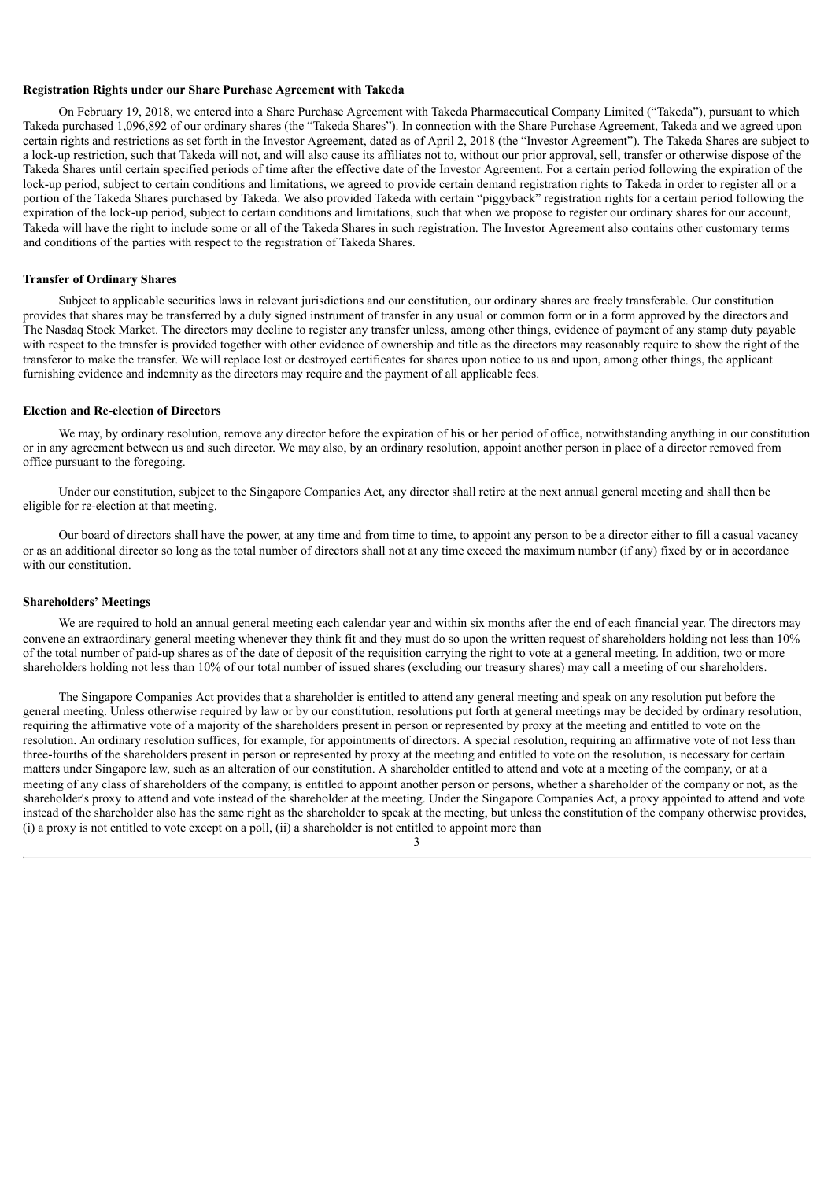#### **Registration Rights under our Share Purchase Agreement with Takeda**

On February 19, 2018, we entered into a Share Purchase Agreement with Takeda Pharmaceutical Company Limited ("Takeda"), pursuant to which Takeda purchased 1,096,892 of our ordinary shares (the "Takeda Shares"). In connection with the Share Purchase Agreement, Takeda and we agreed upon certain rights and restrictions as set forth in the Investor Agreement, dated as of April 2, 2018 (the "Investor Agreement"). The Takeda Shares are subject to a lock-up restriction, such that Takeda will not, and will also cause its affiliates not to, without our prior approval, sell, transfer or otherwise dispose of the Takeda Shares until certain specified periods of time after the effective date of the Investor Agreement. For a certain period following the expiration of the lock-up period, subject to certain conditions and limitations, we agreed to provide certain demand registration rights to Takeda in order to register all or a portion of the Takeda Shares purchased by Takeda. We also provided Takeda with certain "piggyback" registration rights for a certain period following the expiration of the lock-up period, subject to certain conditions and limitations, such that when we propose to register our ordinary shares for our account, Takeda will have the right to include some or all of the Takeda Shares in such registration. The Investor Agreement also contains other customary terms and conditions of the parties with respect to the registration of Takeda Shares.

#### **Transfer of Ordinary Shares**

Subject to applicable securities laws in relevant jurisdictions and our constitution, our ordinary shares are freely transferable. Our constitution provides that shares may be transferred by a duly signed instrument of transfer in any usual or common form or in a form approved by the directors and The Nasdaq Stock Market. The directors may decline to register any transfer unless, among other things, evidence of payment of any stamp duty payable with respect to the transfer is provided together with other evidence of ownership and title as the directors may reasonably require to show the right of the transferor to make the transfer. We will replace lost or destroyed certificates for shares upon notice to us and upon, among other things, the applicant furnishing evidence and indemnity as the directors may require and the payment of all applicable fees.

#### **Election and Re-election of Directors**

We may, by ordinary resolution, remove any director before the expiration of his or her period of office, notwithstanding anything in our constitution or in any agreement between us and such director. We may also, by an ordinary resolution, appoint another person in place of a director removed from office pursuant to the foregoing.

Under our constitution, subject to the Singapore Companies Act, any director shall retire at the next annual general meeting and shall then be eligible for re-election at that meeting.

Our board of directors shall have the power, at any time and from time to time, to appoint any person to be a director either to fill a casual vacancy or as an additional director so long as the total number of directors shall not at any time exceed the maximum number (if any) fixed by or in accordance with our constitution.

#### **Shareholders' Meetings**

We are required to hold an annual general meeting each calendar year and within six months after the end of each financial year. The directors may convene an extraordinary general meeting whenever they think fit and they must do so upon the written request of shareholders holding not less than 10% of the total number of paid-up shares as of the date of deposit of the requisition carrying the right to vote at a general meeting. In addition, two or more shareholders holding not less than 10% of our total number of issued shares (excluding our treasury shares) may call a meeting of our shareholders.

The Singapore Companies Act provides that a shareholder is entitled to attend any general meeting and speak on any resolution put before the general meeting. Unless otherwise required by law or by our constitution, resolutions put forth at general meetings may be decided by ordinary resolution, requiring the affirmative vote of a majority of the shareholders present in person or represented by proxy at the meeting and entitled to vote on the resolution. An ordinary resolution suffices, for example, for appointments of directors. A special resolution, requiring an affirmative vote of not less than three-fourths of the shareholders present in person or represented by proxy at the meeting and entitled to vote on the resolution, is necessary for certain matters under Singapore law, such as an alteration of our constitution. A shareholder entitled to attend and vote at a meeting of the company, or at a meeting of any class of shareholders of the company, is entitled to appoint another person or persons, whether a shareholder of the company or not, as the shareholder's proxy to attend and vote instead of the shareholder at the meeting. Under the Singapore Companies Act, a proxy appointed to attend and vote instead of the shareholder also has the same right as the shareholder to speak at the meeting, but unless the constitution of the company otherwise provides, (i) a proxy is not entitled to vote except on a poll, (ii) a shareholder is not entitled to appoint more than

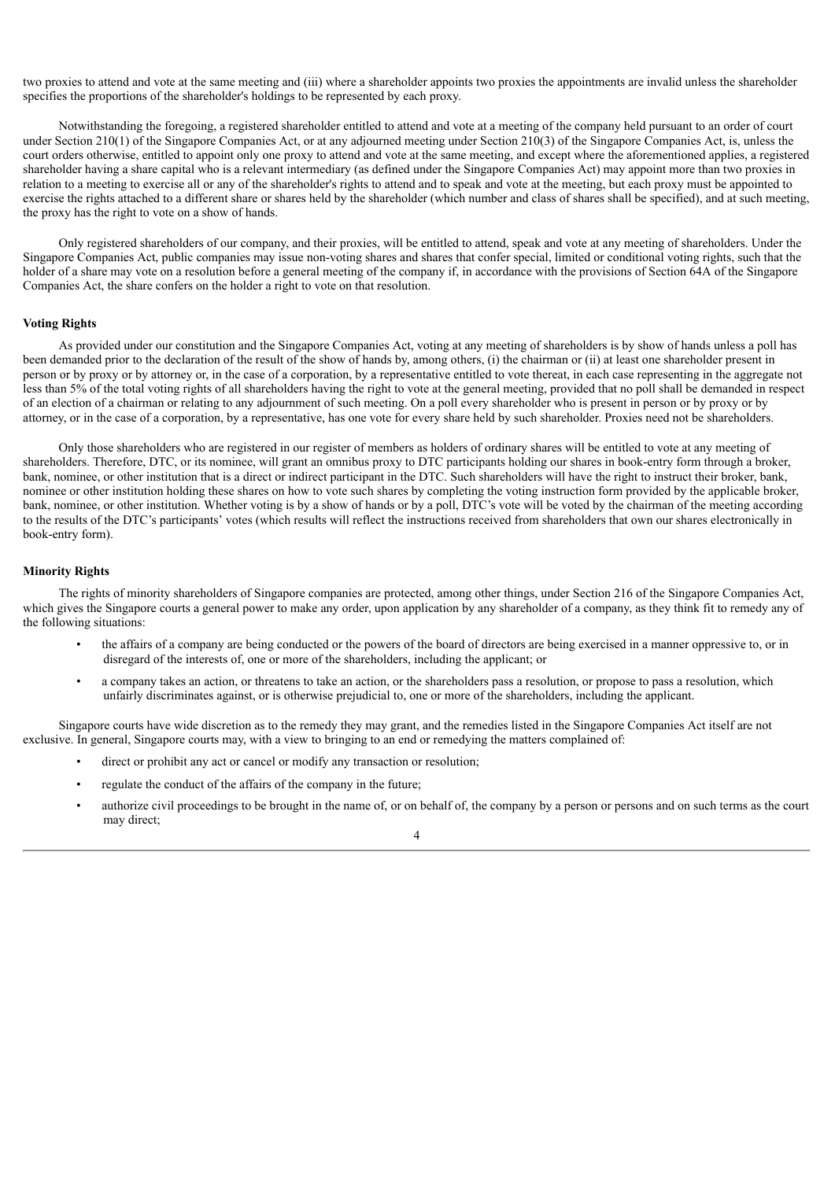two proxies to attend and vote at the same meeting and (iii) where a shareholder appoints two proxies the appointments are invalid unless the shareholder specifies the proportions of the shareholder's holdings to be represented by each proxy.

Notwithstanding the foregoing, a registered shareholder entitled to attend and vote at a meeting of the company held pursuant to an order of court under Section 210(1) of the Singapore Companies Act, or at any adjourned meeting under Section 210(3) of the Singapore Companies Act, is, unless the court orders otherwise, entitled to appoint only one proxy to attend and vote at the same meeting, and except where the aforementioned applies, a registered shareholder having a share capital who is a relevant intermediary (as defined under the Singapore Companies Act) may appoint more than two proxies in relation to a meeting to exercise all or any of the shareholder's rights to attend and to speak and vote at the meeting, but each proxy must be appointed to exercise the rights attached to a different share or shares held by the shareholder (which number and class of shares shall be specified), and at such meeting, the proxy has the right to vote on a show of hands.

Only registered shareholders of our company, and their proxies, will be entitled to attend, speak and vote at any meeting of shareholders. Under the Singapore Companies Act, public companies may issue non-voting shares and shares that confer special, limited or conditional voting rights, such that the holder of a share may vote on a resolution before a general meeting of the company if, in accordance with the provisions of Section 64A of the Singapore Companies Act, the share confers on the holder a right to vote on that resolution.

#### **Voting Rights**

As provided under our constitution and the Singapore Companies Act, voting at any meeting of shareholders is by show of hands unless a poll has been demanded prior to the declaration of the result of the show of hands by, among others, (i) the chairman or (ii) at least one shareholder present in person or by proxy or by attorney or, in the case of a corporation, by a representative entitled to vote thereat, in each case representing in the aggregate not less than 5% of the total voting rights of all shareholders having the right to vote at the general meeting, provided that no poll shall be demanded in respect of an election of a chairman or relating to any adjournment of such meeting. On a poll every shareholder who is present in person or by proxy or by attorney, or in the case of a corporation, by a representative, has one vote for every share held by such shareholder. Proxies need not be shareholders.

Only those shareholders who are registered in our register of members as holders of ordinary shares will be entitled to vote at any meeting of shareholders. Therefore, DTC, or its nominee, will grant an omnibus proxy to DTC participants holding our shares in book-entry form through a broker, bank, nominee, or other institution that is a direct or indirect participant in the DTC. Such shareholders will have the right to instruct their broker, bank, nominee or other institution holding these shares on how to vote such shares by completing the voting instruction form provided by the applicable broker, bank, nominee, or other institution. Whether voting is by a show of hands or by a poll, DTC's vote will be voted by the chairman of the meeting according to the results of the DTC's participants' votes (which results will reflect the instructions received from shareholders that own our shares electronically in book-entry form).

#### **Minority Rights**

The rights of minority shareholders of Singapore companies are protected, among other things, under Section 216 of the Singapore Companies Act, which gives the Singapore courts a general power to make any order, upon application by any shareholder of a company, as they think fit to remedy any of the following situations:

- the affairs of a company are being conducted or the powers of the board of directors are being exercised in a manner oppressive to, or in disregard of the interests of, one or more of the shareholders, including the applicant; or
- a company takes an action, or threatens to take an action, or the shareholders pass a resolution, or propose to pass a resolution, which unfairly discriminates against, or is otherwise prejudicial to, one or more of the shareholders, including the applicant.

Singapore courts have wide discretion as to the remedy they may grant, and the remedies listed in the Singapore Companies Act itself are not exclusive. In general, Singapore courts may, with a view to bringing to an end or remedying the matters complained of:

- direct or prohibit any act or cancel or modify any transaction or resolution;
- regulate the conduct of the affairs of the company in the future;
- authorize civil proceedings to be brought in the name of, or on behalf of, the company by a person or persons and on such terms as the court may direct;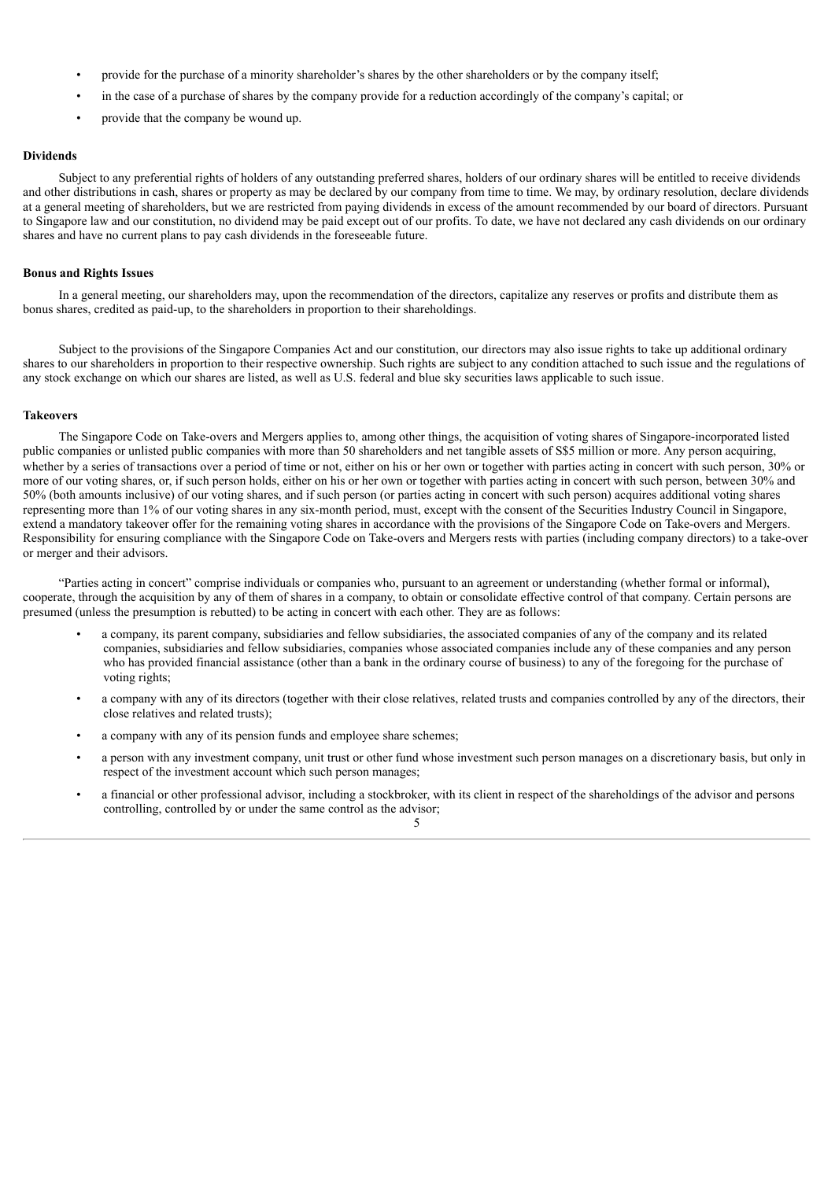- provide for the purchase of a minority shareholder's shares by the other shareholders or by the company itself;
- in the case of a purchase of shares by the company provide for a reduction accordingly of the company's capital; or
- provide that the company be wound up.

#### **Dividends**

Subject to any preferential rights of holders of any outstanding preferred shares, holders of our ordinary shares will be entitled to receive dividends and other distributions in cash, shares or property as may be declared by our company from time to time. We may, by ordinary resolution, declare dividends at a general meeting of shareholders, but we are restricted from paying dividends in excess of the amount recommended by our board of directors. Pursuant to Singapore law and our constitution, no dividend may be paid except out of our profits. To date, we have not declared any cash dividends on our ordinary shares and have no current plans to pay cash dividends in the foreseeable future.

#### **Bonus and Rights Issues**

In a general meeting, our shareholders may, upon the recommendation of the directors, capitalize any reserves or profits and distribute them as bonus shares, credited as paid-up, to the shareholders in proportion to their shareholdings.

Subject to the provisions of the Singapore Companies Act and our constitution, our directors may also issue rights to take up additional ordinary shares to our shareholders in proportion to their respective ownership. Such rights are subject to any condition attached to such issue and the regulations of any stock exchange on which our shares are listed, as well as U.S. federal and blue sky securities laws applicable to such issue.

#### **Takeovers**

The Singapore Code on Take-overs and Mergers applies to, among other things, the acquisition of voting shares of Singapore-incorporated listed public companies or unlisted public companies with more than 50 shareholders and net tangible assets of S\$5 million or more. Any person acquiring, whether by a series of transactions over a period of time or not, either on his or her own or together with parties acting in concert with such person, 30% or more of our voting shares, or, if such person holds, either on his or her own or together with parties acting in concert with such person, between 30% and 50% (both amounts inclusive) of our voting shares, and if such person (or parties acting in concert with such person) acquires additional voting shares representing more than 1% of our voting shares in any six-month period, must, except with the consent of the Securities Industry Council in Singapore, extend a mandatory takeover offer for the remaining voting shares in accordance with the provisions of the Singapore Code on Take-overs and Mergers. Responsibility for ensuring compliance with the Singapore Code on Take-overs and Mergers rests with parties (including company directors) to a take-over or merger and their advisors.

"Parties acting in concert" comprise individuals or companies who, pursuant to an agreement or understanding (whether formal or informal), cooperate, through the acquisition by any of them of shares in a company, to obtain or consolidate effective control of that company. Certain persons are presumed (unless the presumption is rebutted) to be acting in concert with each other. They are as follows:

- a company, its parent company, subsidiaries and fellow subsidiaries, the associated companies of any of the company and its related companies, subsidiaries and fellow subsidiaries, companies whose associated companies include any of these companies and any person who has provided financial assistance (other than a bank in the ordinary course of business) to any of the foregoing for the purchase of voting rights;
- a company with any of its directors (together with their close relatives, related trusts and companies controlled by any of the directors, their close relatives and related trusts);
- a company with any of its pension funds and employee share schemes;
- a person with any investment company, unit trust or other fund whose investment such person manages on a discretionary basis, but only in respect of the investment account which such person manages;
- a financial or other professional advisor, including a stockbroker, with its client in respect of the shareholdings of the advisor and persons controlling, controlled by or under the same control as the advisor;

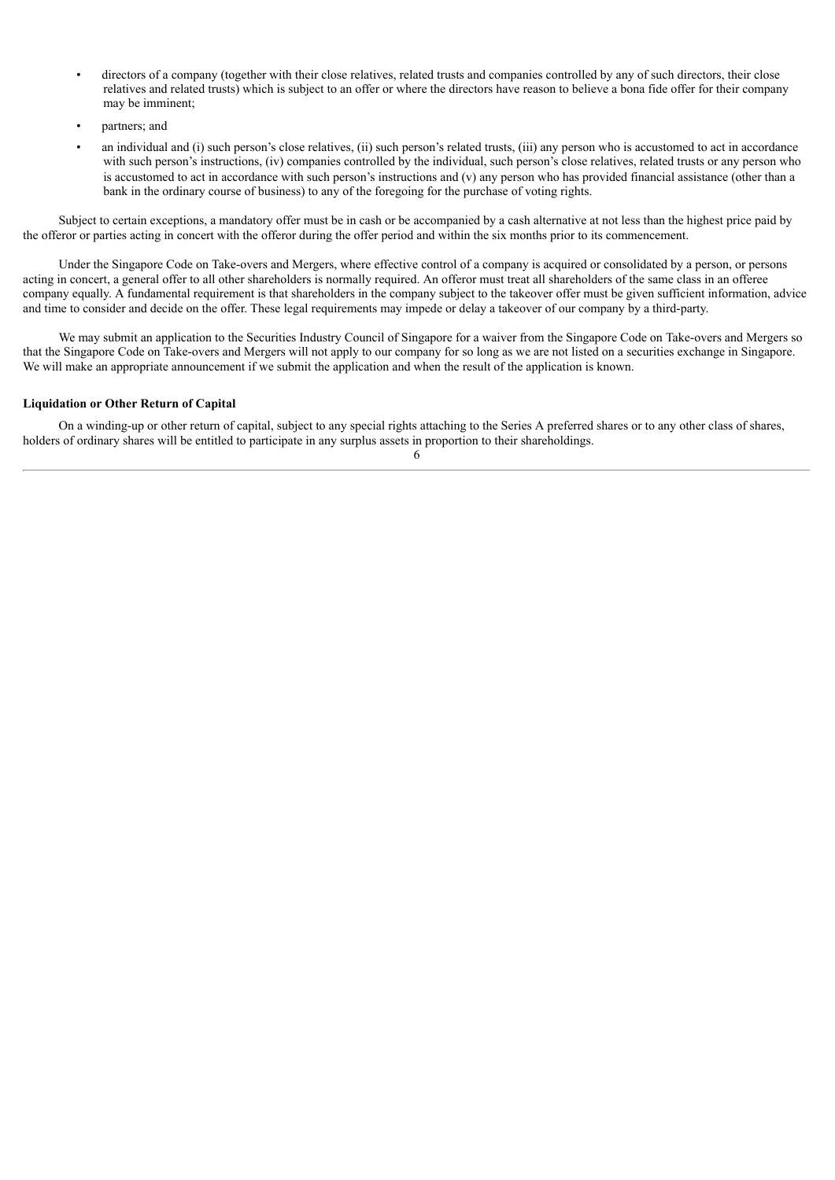- directors of a company (together with their close relatives, related trusts and companies controlled by any of such directors, their close relatives and related trusts) which is subject to an offer or where the directors have reason to believe a bona fide offer for their company may be imminent;
- partners; and
- an individual and (i) such person's close relatives, (ii) such person's related trusts, (iii) any person who is accustomed to act in accordance with such person's instructions, (iv) companies controlled by the individual, such person's close relatives, related trusts or any person who is accustomed to act in accordance with such person's instructions and (v) any person who has provided financial assistance (other than a bank in the ordinary course of business) to any of the foregoing for the purchase of voting rights.

Subject to certain exceptions, a mandatory offer must be in cash or be accompanied by a cash alternative at not less than the highest price paid by the offeror or parties acting in concert with the offeror during the offer period and within the six months prior to its commencement.

Under the Singapore Code on Take-overs and Mergers, where effective control of a company is acquired or consolidated by a person, or persons acting in concert, a general offer to all other shareholders is normally required. An offeror must treat all shareholders of the same class in an offeree company equally. A fundamental requirement is that shareholders in the company subject to the takeover offer must be given sufficient information, advice and time to consider and decide on the offer. These legal requirements may impede or delay a takeover of our company by a third-party.

We may submit an application to the Securities Industry Council of Singapore for a waiver from the Singapore Code on Take-overs and Mergers so that the Singapore Code on Take-overs and Mergers will not apply to our company for so long as we are not listed on a securities exchange in Singapore. We will make an appropriate announcement if we submit the application and when the result of the application is known.

#### **Liquidation or Other Return of Capital**

On a winding-up or other return of capital, subject to any special rights attaching to the Series A preferred shares or to any other class of shares, holders of ordinary shares will be entitled to participate in any surplus assets in proportion to their shareholdings.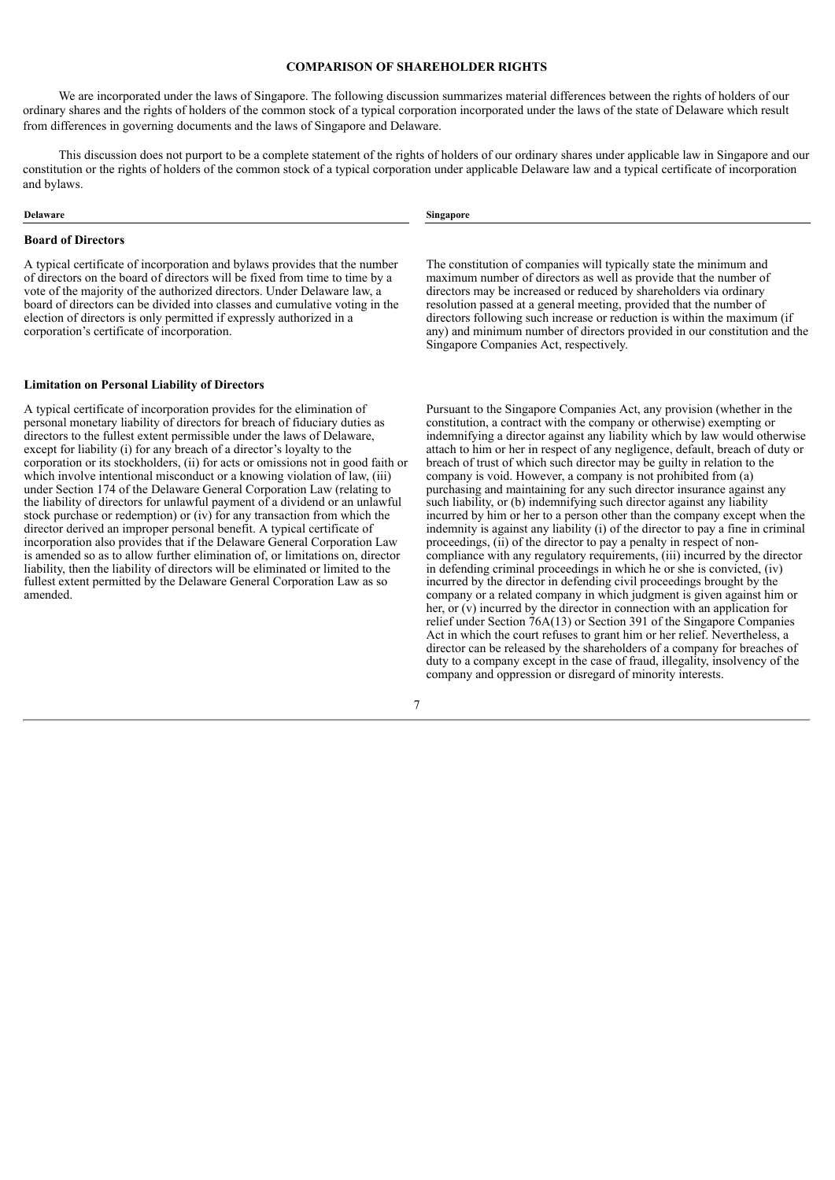#### **COMPARISON OF SHAREHOLDER RIGHTS**

We are incorporated under the laws of Singapore. The following discussion summarizes material differences between the rights of holders of our ordinary shares and the rights of holders of the common stock of a typical corporation incorporated under the laws of the state of Delaware which result from differences in governing documents and the laws of Singapore and Delaware.

This discussion does not purport to be a complete statement of the rights of holders of our ordinary shares under applicable law in Singapore and our constitution or the rights of holders of the common stock of a typical corporation under applicable Delaware law and a typical certificate of incorporation and bylaws.

#### **Board of Directors**

A typical certificate of incorporation and bylaws provides that the number of directors on the board of directors will be fixed from time to time by a vote of the majority of the authorized directors. Under Delaware law, a board of directors can be divided into classes and cumulative voting in the election of directors is only permitted if expressly authorized in a corporation's certificate of incorporation.

#### **Limitation on Personal Liability of Directors**

A typical certificate of incorporation provides for the elimination of personal monetary liability of directors for breach of fiduciary duties as directors to the fullest extent permissible under the laws of Delaware, except for liability (i) for any breach of a director's loyalty to the corporation or its stockholders, (ii) for acts or omissions not in good faith or which involve intentional misconduct or a knowing violation of law, (iii) under Section 174 of the Delaware General Corporation Law (relating to the liability of directors for unlawful payment of a dividend or an unlawful stock purchase or redemption) or  $(iv)$  for any transaction from which the director derived an improper personal benefit. A typical certificate of incorporation also provides that if the Delaware General Corporation Law is amended so as to allow further elimination of, or limitations on, director liability, then the liability of directors will be eliminated or limited to the fullest extent permitted by the Delaware General Corporation Law as so amended.

**Delaware Singapore**

The constitution of companies will typically state the minimum and maximum number of directors as well as provide that the number of directors may be increased or reduced by shareholders via ordinary resolution passed at a general meeting, provided that the number of directors following such increase or reduction is within the maximum (if any) and minimum number of directors provided in our constitution and the Singapore Companies Act, respectively.

Pursuant to the Singapore Companies Act, any provision (whether in the constitution, a contract with the company or otherwise) exempting or indemnifying a director against any liability which by law would otherwise attach to him or her in respect of any negligence, default, breach of duty or breach of trust of which such director may be guilty in relation to the company is void. However, a company is not prohibited from (a) purchasing and maintaining for any such director insurance against any such liability, or (b) indemnifying such director against any liability incurred by him or her to a person other than the company except when the indemnity is against any liability (i) of the director to pay a fine in criminal proceedings, (ii) of the director to pay a penalty in respect of noncompliance with any regulatory requirements, (iii) incurred by the director in defending criminal proceedings in which he or she is convicted, (iv) incurred by the director in defending civil proceedings brought by the company or a related company in which judgment is given against him or her, or (v) incurred by the director in connection with an application for relief under Section  $76A(13)$  or Section 391 of the Singapore Companies Act in which the court refuses to grant him or her relief. Nevertheless, a director can be released by the shareholders of a company for breaches of duty to a company except in the case of fraud, illegality, insolvency of the company and oppression or disregard of minority interests.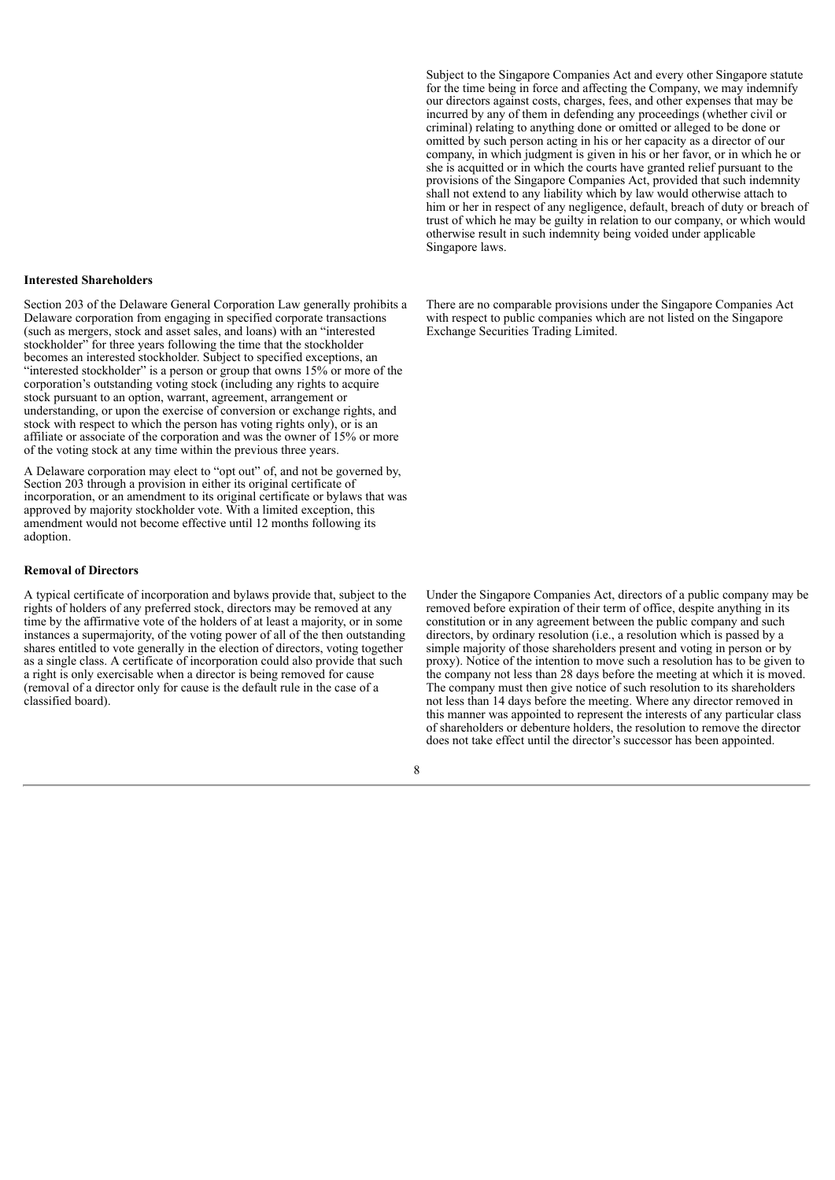#### **Interested Shareholders**

Section 203 of the Delaware General Corporation Law generally prohibits a Delaware corporation from engaging in specified corporate transactions (such as mergers, stock and asset sales, and loans) with an "interested stockholder" for three years following the time that the stockholder becomes an interested stockholder. Subject to specified exceptions, an "interested stockholder" is a person or group that owns 15% or more of the corporation's outstanding voting stock (including any rights to acquire stock pursuant to an option, warrant, agreement, arrangement or understanding, or upon the exercise of conversion or exchange rights, and stock with respect to which the person has voting rights only), or is an affiliate or associate of the corporation and was the owner of 15% or more of the voting stock at any time within the previous three years.

A Delaware corporation may elect to "opt out" of, and not be governed by, Section 203 through a provision in either its original certificate of incorporation, or an amendment to its original certificate or bylaws that was approved by majority stockholder vote. With a limited exception, this amendment would not become effective until 12 months following its adoption

#### **Removal of Directors**

A typical certificate of incorporation and bylaws provide that, subject to the rights of holders of any preferred stock, directors may be removed at any time by the affirmative vote of the holders of at least a majority, or in some instances a supermajority, of the voting power of all of the then outstanding shares entitled to vote generally in the election of directors, voting together as a single class. A certificate of incorporation could also provide that such a right is only exercisable when a director is being removed for cause (removal of a director only for cause is the default rule in the case of a classified board).

Subject to the Singapore Companies Act and every other Singapore statute for the time being in force and affecting the Company, we may indemnify our directors against costs, charges, fees, and other expenses that may be incurred by any of them in defending any proceedings (whether civil or criminal) relating to anything done or omitted or alleged to be done or omitted by such person acting in his or her capacity as a director of our company, in which judgment is given in his or her favor, or in which he or she is acquitted or in which the courts have granted relief pursuant to the provisions of the Singapore Companies Act, provided that such indemnity shall not extend to any liability which by law would otherwise attach to him or her in respect of any negligence, default, breach of duty or breach of trust of which he may be guilty in relation to our company, or which would otherwise result in such indemnity being voided under applicable Singapore laws.

There are no comparable provisions under the Singapore Companies Act with respect to public companies which are not listed on the Singapore Exchange Securities Trading Limited.

Under the Singapore Companies Act, directors of a public company may be removed before expiration of their term of office, despite anything in its constitution or in any agreement between the public company and such directors, by ordinary resolution (i.e., a resolution which is passed by a simple majority of those shareholders present and voting in person or by proxy). Notice of the intention to move such a resolution has to be given to the company not less than 28 days before the meeting at which it is moved. The company must then give notice of such resolution to its shareholders not less than 14 days before the meeting. Where any director removed in this manner was appointed to represent the interests of any particular class of shareholders or debenture holders, the resolution to remove the director does not take effect until the director's successor has been appointed.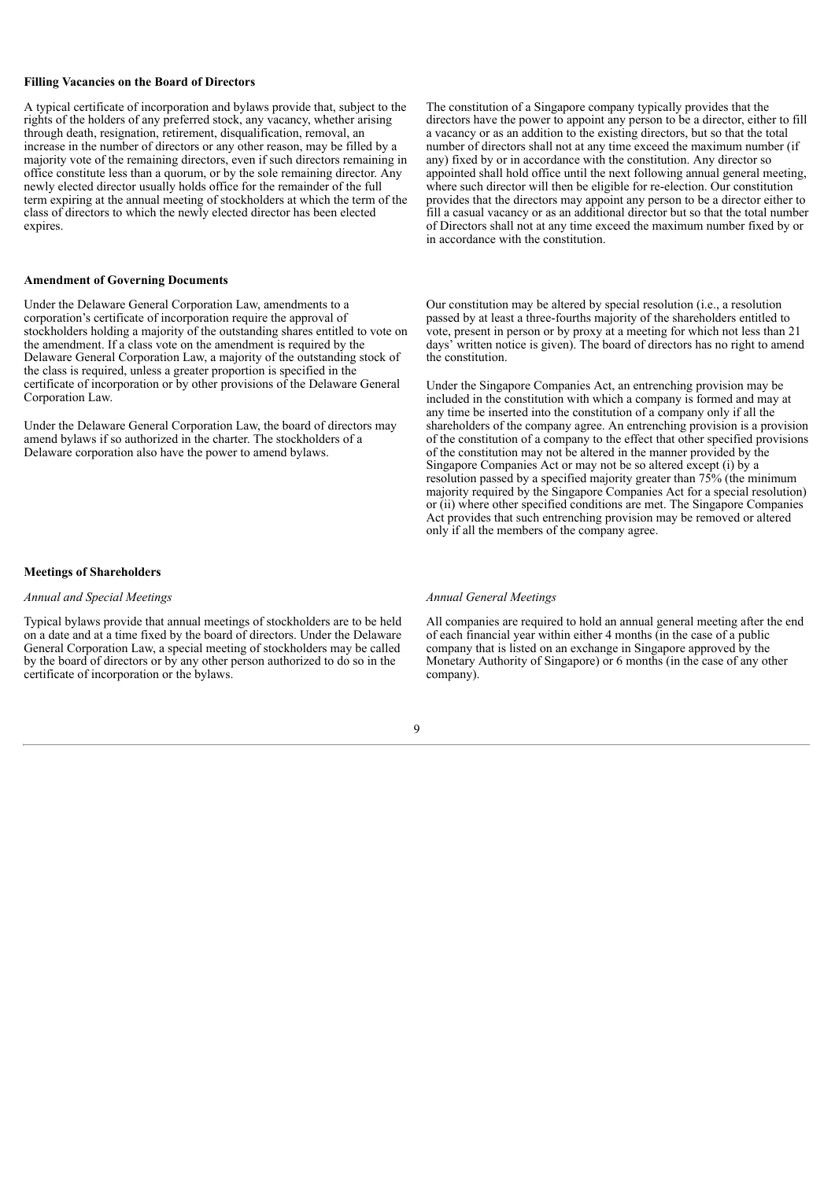#### **Filling Vacancies on the Board of Directors**

A typical certificate of incorporation and bylaws provide that, subject to the rights of the holders of any preferred stock, any vacancy, whether arising through death, resignation, retirement, disqualification, removal, an increase in the number of directors or any other reason, may be filled by a majority vote of the remaining directors, even if such directors remaining in office constitute less than a quorum, or by the sole remaining director. Any newly elected director usually holds office for the remainder of the full term expiring at the annual meeting of stockholders at which the term of the class of directors to which the newly elected director has been elected expires.

#### **Amendment of Governing Documents**

Under the Delaware General Corporation Law, amendments to a corporation's certificate of incorporation require the approval of stockholders holding a majority of the outstanding shares entitled to vote on the amendment. If a class vote on the amendment is required by the Delaware General Corporation Law, a majority of the outstanding stock of the class is required, unless a greater proportion is specified in the certificate of incorporation or by other provisions of the Delaware General Corporation Law.

Under the Delaware General Corporation Law, the board of directors may amend bylaws if so authorized in the charter. The stockholders of a Delaware corporation also have the power to amend bylaws.

**Meetings of Shareholders**

#### *Annual and Special Meetings Annual General Meetings*

Typical bylaws provide that annual meetings of stockholders are to be held on a date and at a time fixed by the board of directors. Under the Delaware General Corporation Law, a special meeting of stockholders may be called by the board of directors or by any other person authorized to do so in the certificate of incorporation or the bylaws.

The constitution of a Singapore company typically provides that the directors have the power to appoint any person to be a director, either to fill a vacancy or as an addition to the existing directors, but so that the total number of directors shall not at any time exceed the maximum number (if any) fixed by or in accordance with the constitution. Any director so appointed shall hold office until the next following annual general meeting, where such director will then be eligible for re-election. Our constitution provides that the directors may appoint any person to be a director either to fill a casual vacancy or as an additional director but so that the total number of Directors shall not at any time exceed the maximum number fixed by or in accordance with the constitution.

Our constitution may be altered by special resolution (i.e., a resolution passed by at least a three-fourths majority of the shareholders entitled to vote, present in person or by proxy at a meeting for which not less than 21 days' written notice is given). The board of directors has no right to amend the constitution.

Under the Singapore Companies Act, an entrenching provision may be included in the constitution with which a company is formed and may at any time be inserted into the constitution of a company only if all the shareholders of the company agree. An entrenching provision is a provision of the constitution of a company to the effect that other specified provisions of the constitution may not be altered in the manner provided by the Singapore Companies Act or may not be so altered except (i) by a resolution passed by a specified majority greater than 75% (the minimum majority required by the Singapore Companies Act for a special resolution) or (ii) where other specified conditions are met. The Singapore Companies Act provides that such entrenching provision may be removed or altered only if all the members of the company agree.

All companies are required to hold an annual general meeting after the end of each financial year within either 4 months (in the case of a public company that is listed on an exchange in Singapore approved by the Monetary Authority of Singapore) or 6 months (in the case of any other company).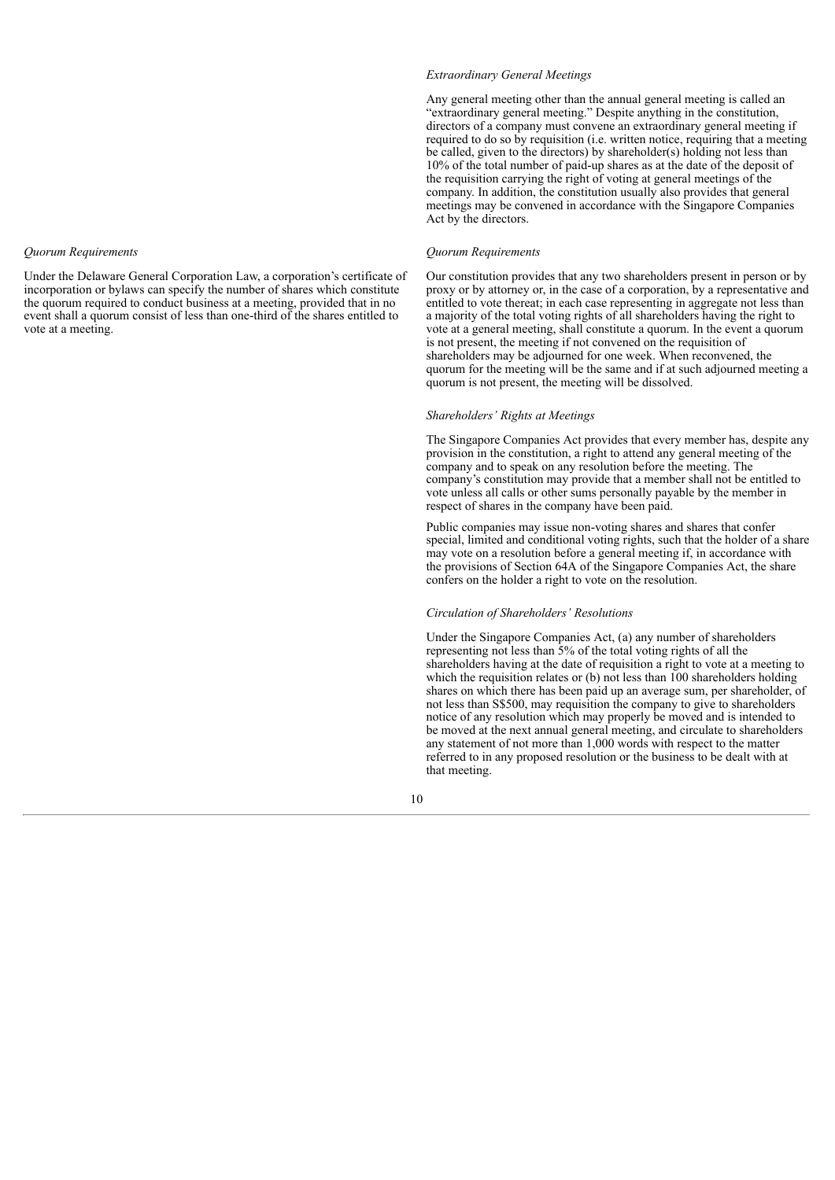#### *Quorum Requirements Quorum Requirements*

Under the Delaware General Corporation Law, a corporation's certificate of incorporation or bylaws can specify the number of shares which constitute the quorum required to conduct business at a meeting, provided that in no event shall a quorum consist of less than one-third of the shares entitled to vote at a meeting.

#### *Extraordinary General Meetings*

Any general meeting other than the annual general meeting is called an "extraordinary general meeting." Despite anything in the constitution, directors of a company must convene an extraordinary general meeting if required to do so by requisition (i.e. written notice, requiring that a meeting be called, given to the directors) by shareholder(s) holding not less than 10% of the total number of paid-up shares as at the date of the deposit of the requisition carrying the right of voting at general meetings of the company. In addition, the constitution usually also provides that general meetings may be convened in accordance with the Singapore Companies Act by the directors.

Our constitution provides that any two shareholders present in person or by proxy or by attorney or, in the case of a corporation, by a representative and entitled to vote thereat; in each case representing in aggregate not less than a majority of the total voting rights of all shareholders having the right to vote at a general meeting, shall constitute a quorum. In the event a quorum is not present, the meeting if not convened on the requisition of shareholders may be adjourned for one week. When reconvened, the quorum for the meeting will be the same and if at such adjourned meeting a quorum is not present, the meeting will be dissolved.

#### *Shareholders' Rights at Meetings*

The Singapore Companies Act provides that every member has, despite any provision in the constitution, a right to attend any general meeting of the company and to speak on any resolution before the meeting. The company's constitution may provide that a member shall not be entitled to vote unless all calls or other sums personally payable by the member in respect of shares in the company have been paid.

Public companies may issue non-voting shares and shares that confer special, limited and conditional voting rights, such that the holder of a share may vote on a resolution before a general meeting if, in accordance with the provisions of Section 64A of the Singapore Companies Act, the share confers on the holder a right to vote on the resolution.

#### *Circulation of Shareholders' Resolutions*

Under the Singapore Companies Act, (a) any number of shareholders representing not less than 5% of the total voting rights of all the shareholders having at the date of requisition a right to vote at a meeting to which the requisition relates or (b) not less than 100 shareholders holding shares on which there has been paid up an average sum, per shareholder, of not less than S\$500, may requisition the company to give to shareholders notice of any resolution which may properly be moved and is intended to be moved at the next annual general meeting, and circulate to shareholders any statement of not more than 1,000 words with respect to the matter referred to in any proposed resolution or the business to be dealt with at that meeting.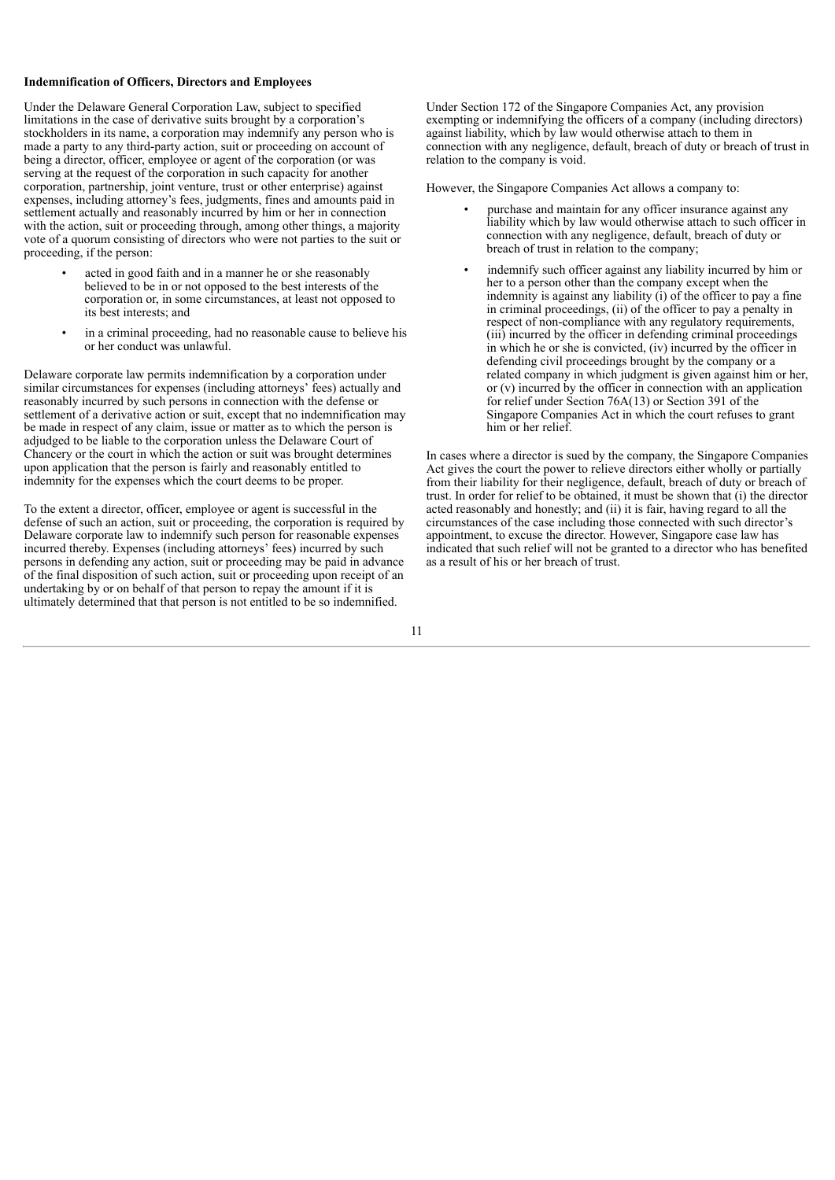#### **Indemnification of Officers, Directors and Employees**

Under the Delaware General Corporation Law, subject to specified limitations in the case of derivative suits brought by a corporation's stockholders in its name, a corporation may indemnify any person who is made a party to any third-party action, suit or proceeding on account of being a director, officer, employee or agent of the corporation (or was serving at the request of the corporation in such capacity for another corporation, partnership, joint venture, trust or other enterprise) against expenses, including attorney's fees, judgments, fines and amounts paid in settlement actually and reasonably incurred by him or her in connection with the action, suit or proceeding through, among other things, a majority vote of a quorum consisting of directors who were not parties to the suit or proceeding, if the person:

- acted in good faith and in a manner he or she reasonably believed to be in or not opposed to the best interests of the corporation or, in some circumstances, at least not opposed to its best interests; and
- in a criminal proceeding, had no reasonable cause to believe his or her conduct was unlawful.

Delaware corporate law permits indemnification by a corporation under similar circumstances for expenses (including attorneys' fees) actually and reasonably incurred by such persons in connection with the defense or settlement of a derivative action or suit, except that no indemnification may be made in respect of any claim, issue or matter as to which the person is adjudged to be liable to the corporation unless the Delaware Court of Chancery or the court in which the action or suit was brought determines upon application that the person is fairly and reasonably entitled to indemnity for the expenses which the court deems to be proper.

To the extent a director, officer, employee or agent is successful in the defense of such an action, suit or proceeding, the corporation is required by Delaware corporate law to indemnify such person for reasonable expenses incurred thereby. Expenses (including attorneys' fees) incurred by such persons in defending any action, suit or proceeding may be paid in advance of the final disposition of such action, suit or proceeding upon receipt of an undertaking by or on behalf of that person to repay the amount if it is ultimately determined that that person is not entitled to be so indemnified.

Under Section 172 of the Singapore Companies Act, any provision exempting or indemnifying the officers of a company (including directors) against liability, which by law would otherwise attach to them in connection with any negligence, default, breach of duty or breach of trust in relation to the company is void.

However, the Singapore Companies Act allows a company to:

- purchase and maintain for any officer insurance against any liability which by law would otherwise attach to such officer in connection with any negligence, default, breach of duty or breach of trust in relation to the company;
- indemnify such officer against any liability incurred by him or her to a person other than the company except when the indemnity is against any liability  $(i)$  of the officer to pay a fine in criminal proceedings, (ii) of the officer to pay a penalty in respect of non-compliance with any regulatory requirements, (iii) incurred by the officer in defending criminal proceedings in which he or she is convicted, (iv) incurred by the officer in defending civil proceedings brought by the company or a related company in which judgment is given against him or her, or (v) incurred by the officer in connection with an application for relief under Section 76A(13) or Section 391 of the Singapore Companies Act in which the court refuses to grant him or her relief.

In cases where a director is sued by the company, the Singapore Companies Act gives the court the power to relieve directors either wholly or partially from their liability for their negligence, default, breach of duty or breach of trust. In order for relief to be obtained, it must be shown that (i) the director acted reasonably and honestly; and (ii) it is fair, having regard to all the circumstances of the case including those connected with such director's appointment, to excuse the director. However, Singapore case law has indicated that such relief will not be granted to a director who has benefited as a result of his or her breach of trust.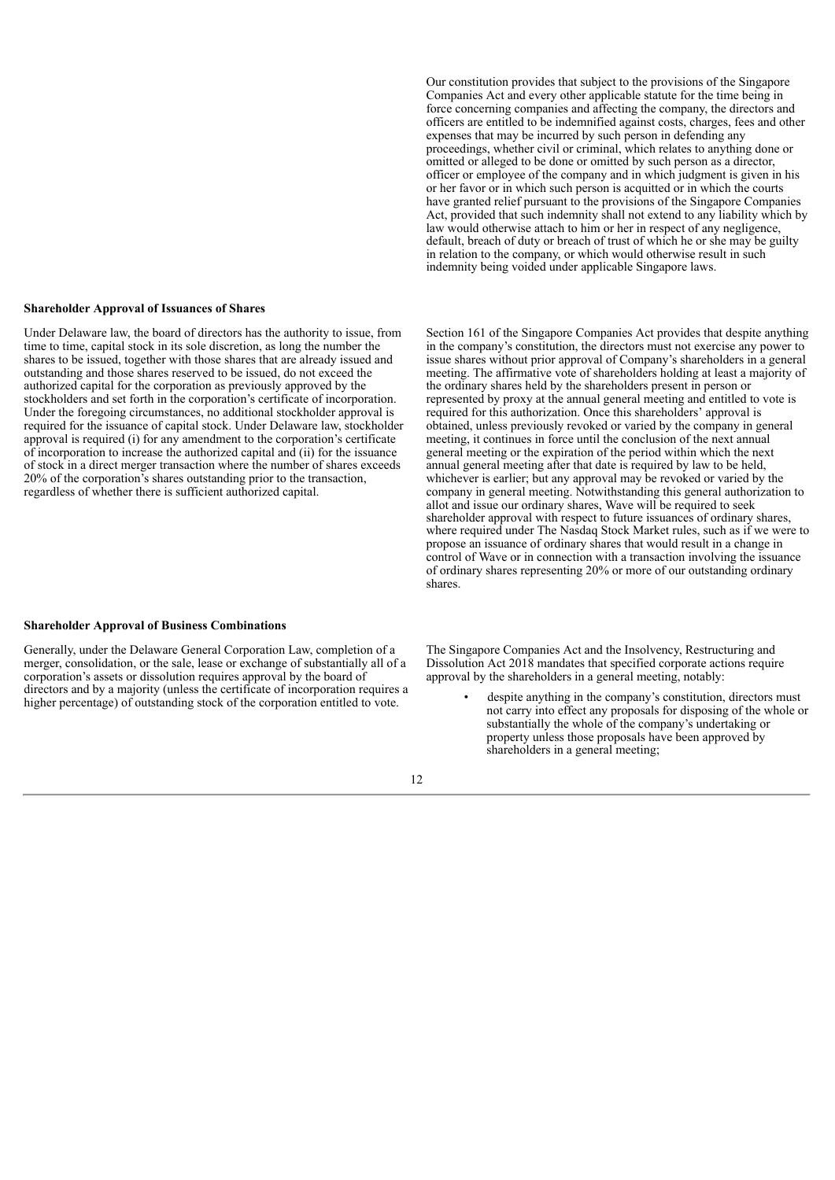#### **Shareholder Approval of Issuances of Shares**

Under Delaware law, the board of directors has the authority to issue, from time to time, capital stock in its sole discretion, as long the number the shares to be issued, together with those shares that are already issued and outstanding and those shares reserved to be issued, do not exceed the authorized capital for the corporation as previously approved by the stockholders and set forth in the corporation's certificate of incorporation. Under the foregoing circumstances, no additional stockholder approval is required for the issuance of capital stock. Under Delaware law, stockholder approval is required (i) for any amendment to the corporation's certificate of incorporation to increase the authorized capital and (ii) for the issuance of stock in a direct merger transaction where the number of shares exceeds 20% of the corporation's shares outstanding prior to the transaction, regardless of whether there is sufficient authorized capital.

Our constitution provides that subject to the provisions of the Singapore Companies Act and every other applicable statute for the time being in force concerning companies and affecting the company, the directors and officers are entitled to be indemnified against costs, charges, fees and other expenses that may be incurred by such person in defending any proceedings, whether civil or criminal, which relates to anything done or omitted or alleged to be done or omitted by such person as a director, officer or employee of the company and in which judgment is given in his or her favor or in which such person is acquitted or in which the courts have granted relief pursuant to the provisions of the Singapore Companies Act, provided that such indemnity shall not extend to any liability which by law would otherwise attach to him or her in respect of any negligence, default, breach of duty or breach of trust of which he or she may be guilty in relation to the company, or which would otherwise result in such indemnity being voided under applicable Singapore laws.

Section 161 of the Singapore Companies Act provides that despite anything in the company's constitution, the directors must not exercise any power to issue shares without prior approval of Company's shareholders in a general meeting. The affirmative vote of shareholders holding at least a majority of the ordinary shares held by the shareholders present in person or represented by proxy at the annual general meeting and entitled to vote is required for this authorization. Once this shareholders' approval is obtained, unless previously revoked or varied by the company in general meeting, it continues in force until the conclusion of the next annual general meeting or the expiration of the period within which the next annual general meeting after that date is required by law to be held, whichever is earlier; but any approval may be revoked or varied by the company in general meeting. Notwithstanding this general authorization to allot and issue our ordinary shares, Wave will be required to seek shareholder approval with respect to future issuances of ordinary shares, where required under The Nasdaq Stock Market rules, such as if we were to propose an issuance of ordinary shares that would result in a change in control of Wave or in connection with a transaction involving the issuance of ordinary shares representing 20% or more of our outstanding ordinary shares.

#### **Shareholder Approval of Business Combinations**

Generally, under the Delaware General Corporation Law, completion of a merger, consolidation, or the sale, lease or exchange of substantially all of a corporation's assets or dissolution requires approval by the board of directors and by a majority (unless the certificate of incorporation requires a higher percentage) of outstanding stock of the corporation entitled to vote.

The Singapore Companies Act and the Insolvency, Restructuring and Dissolution Act 2018 mandates that specified corporate actions require approval by the shareholders in a general meeting, notably:

> despite anything in the company's constitution, directors must not carry into effect any proposals for disposing of the whole or substantially the whole of the company's undertaking or property unless those proposals have been approved by shareholders in a general meeting;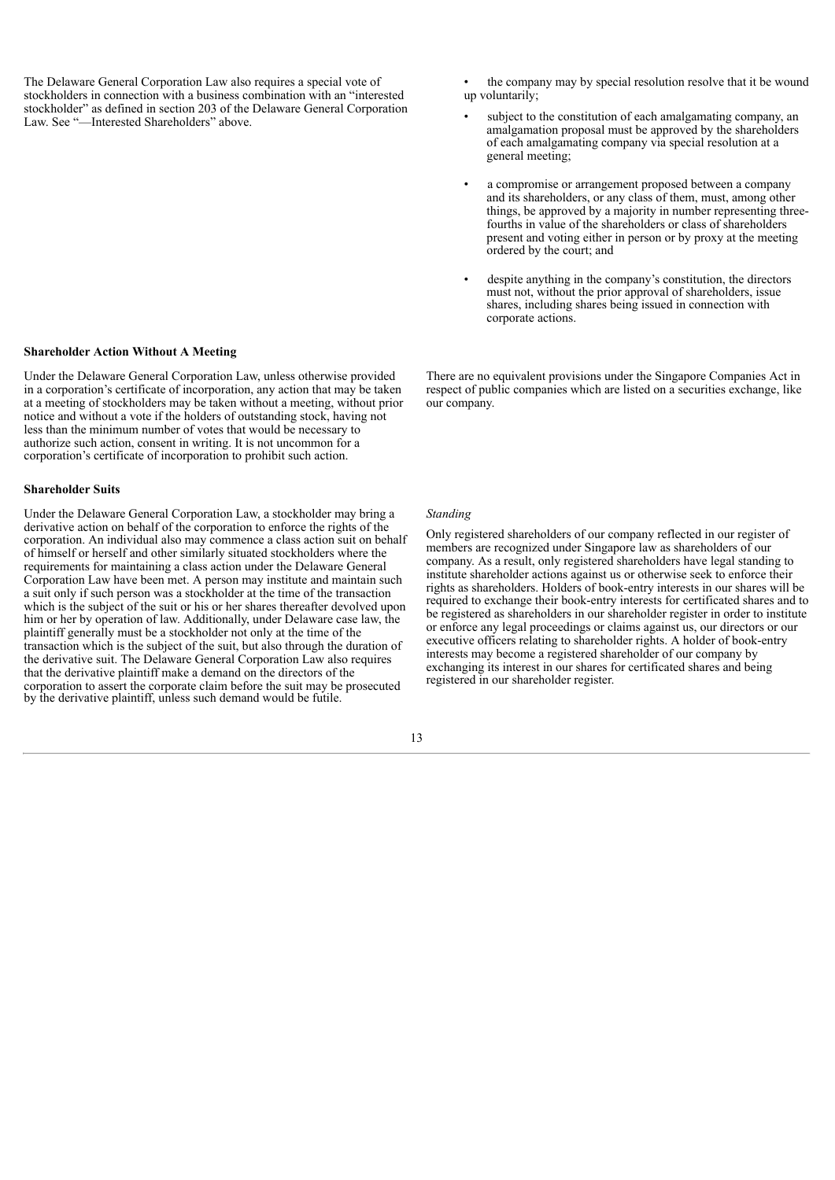The Delaware General Corporation Law also requires a special vote of stockholders in connection with a business combination with an "interested stockholder" as defined in section 203 of the Delaware General Corporation Law. See "—Interested Shareholders" above.

#### **Shareholder Action Without A Meeting**

Under the Delaware General Corporation Law, unless otherwise provided in a corporation's certificate of incorporation, any action that may be taken at a meeting of stockholders may be taken without a meeting, without prior notice and without a vote if the holders of outstanding stock, having not less than the minimum number of votes that would be necessary to authorize such action, consent in writing. It is not uncommon for a corporation's certificate of incorporation to prohibit such action.

#### **Shareholder Suits**

Under the Delaware General Corporation Law, a stockholder may bring a derivative action on behalf of the corporation to enforce the rights of the corporation. An individual also may commence a class action suit on behalf of himself or herself and other similarly situated stockholders where the requirements for maintaining a class action under the Delaware General Corporation Law have been met. A person may institute and maintain such a suit only if such person was a stockholder at the time of the transaction which is the subject of the suit or his or her shares thereafter devolved upon him or her by operation of law. Additionally, under Delaware case law, the plaintiff generally must be a stockholder not only at the time of the transaction which is the subject of the suit, but also through the duration of the derivative suit. The Delaware General Corporation Law also requires that the derivative plaintiff make a demand on the directors of the corporation to assert the corporate claim before the suit may be prosecuted by the derivative plaintiff, unless such demand would be futile.

the company may by special resolution resolve that it be wound up voluntarily;

- subject to the constitution of each amalgamating company, an amalgamation proposal must be approved by the shareholders of each amalgamating company via special resolution at a general meeting;
- a compromise or arrangement proposed between a company and its shareholders, or any class of them, must, among other things, be approved by a majority in number representing threefourths in value of the shareholders or class of shareholders present and voting either in person or by proxy at the meeting ordered by the court; and
- despite anything in the company's constitution, the directors must not, without the prior approval of shareholders, issue shares, including shares being issued in connection with corporate actions.

There are no equivalent provisions under the Singapore Companies Act in respect of public companies which are listed on a securities exchange, like our company.

#### *Standing*

Only registered shareholders of our company reflected in our register of members are recognized under Singapore law as shareholders of our company. As a result, only registered shareholders have legal standing to institute shareholder actions against us or otherwise seek to enforce their rights as shareholders. Holders of book-entry interests in our shares will be required to exchange their book-entry interests for certificated shares and to be registered as shareholders in our shareholder register in order to institute or enforce any legal proceedings or claims against us, our directors or our executive officers relating to shareholder rights. A holder of book-entry interests may become a registered shareholder of our company by exchanging its interest in our shares for certificated shares and being registered in our shareholder register.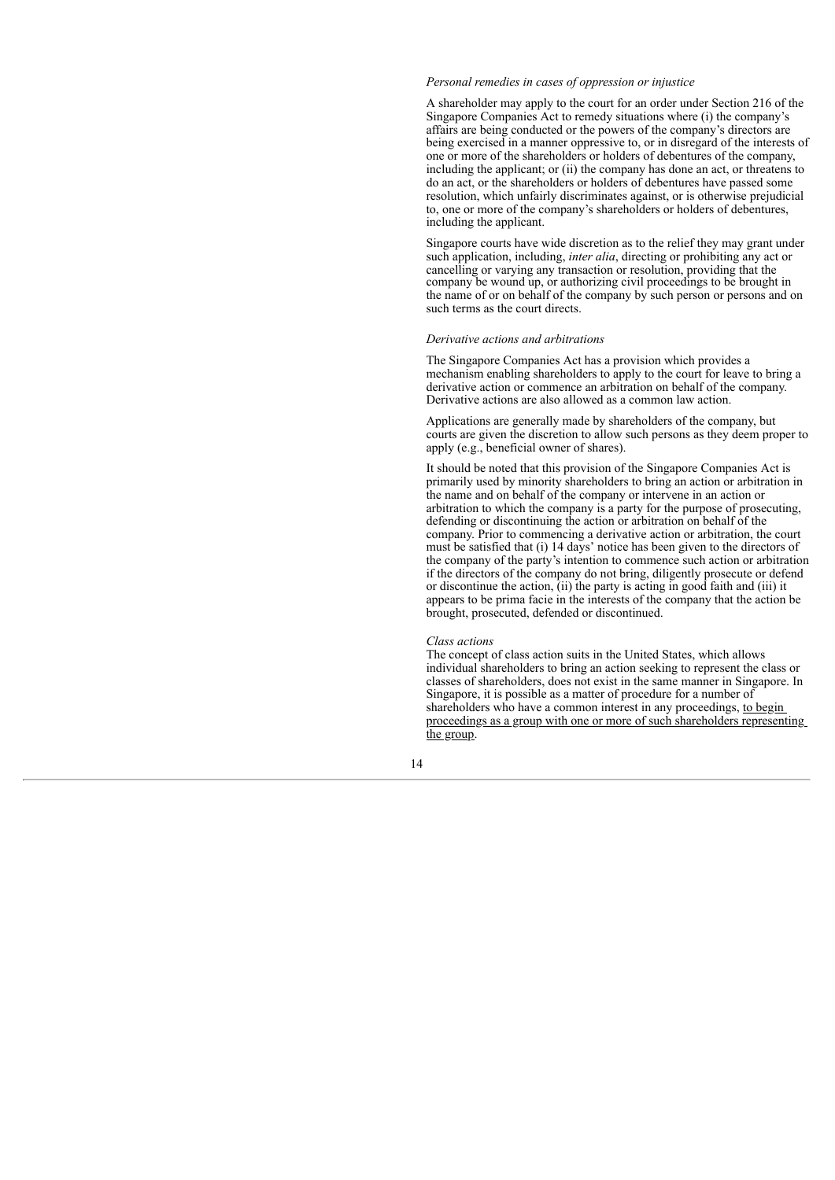#### *Personal remedies in cases of oppression or injustice*

A shareholder may apply to the court for an order under Section 216 of the Singapore Companies Act to remedy situations where (i) the company's affairs are being conducted or the powers of the company's directors are being exercised in a manner oppressive to, or in disregard of the interests of one or more of the shareholders or holders of debentures of the company, including the applicant; or (ii) the company has done an act, or threatens to do an act, or the shareholders or holders of debentures have passed some resolution, which unfairly discriminates against, or is otherwise prejudicial to, one or more of the company's shareholders or holders of debentures, including the applicant.

Singapore courts have wide discretion as to the relief they may grant under such application, including, *inter alia*, directing or prohibiting any act or cancelling or varying any transaction or resolution, providing that the company be wound up, or authorizing civil proceedings to be brought in the name of or on behalf of the company by such person or persons and on such terms as the court directs.

#### *Derivative actions and arbitrations*

The Singapore Companies Act has a provision which provides a mechanism enabling shareholders to apply to the court for leave to bring a derivative action or commence an arbitration on behalf of the company. Derivative actions are also allowed as a common law action.

Applications are generally made by shareholders of the company, but courts are given the discretion to allow such persons as they deem proper to apply (e.g., beneficial owner of shares).

It should be noted that this provision of the Singapore Companies Act is primarily used by minority shareholders to bring an action or arbitration in the name and on behalf of the company or intervene in an action or arbitration to which the company is a party for the purpose of prosecuting, defending or discontinuing the action or arbitration on behalf of the company. Prior to commencing a derivative action or arbitration, the court must be satisfied that (i) 14 days' notice has been given to the directors of the company of the party's intention to commence such action or arbitration if the directors of the company do not bring, diligently prosecute or defend or discontinue the action, (ii) the party is acting in good faith and (iii) it appears to be prima facie in the interests of the company that the action be brought, prosecuted, defended or discontinued.

#### *Class actions*

The concept of class action suits in the United States, which allows individual shareholders to bring an action seeking to represent the class or classes of shareholders, does not exist in the same manner in Singapore. In Singapore, it is possible as a matter of procedure for a number of shareholders who have a common interest in any proceedings, to begin proceedings as a group with one or more of such shareholders representing the group.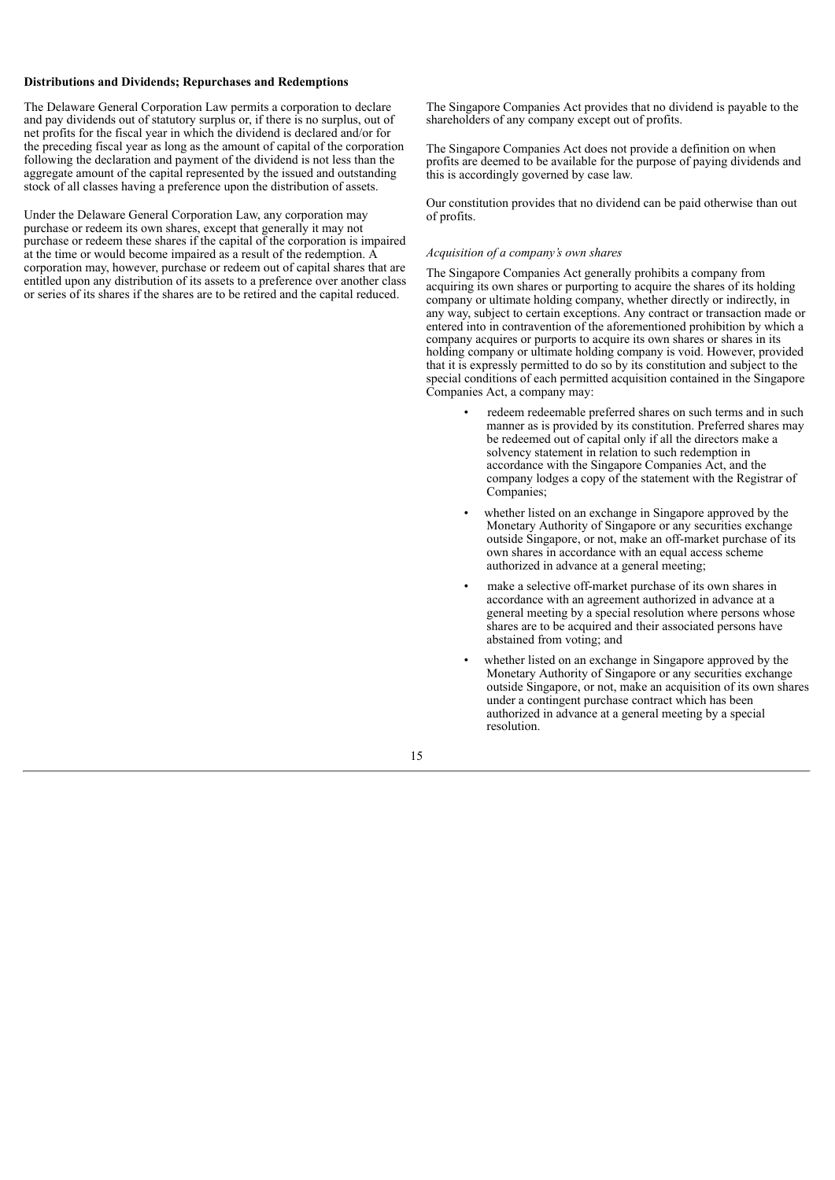#### **Distributions and Dividends; Repurchases and Redemptions**

The Delaware General Corporation Law permits a corporation to declare and pay dividends out of statutory surplus or, if there is no surplus, out of net profits for the fiscal year in which the dividend is declared and/or for the preceding fiscal year as long as the amount of capital of the corporation following the declaration and payment of the dividend is not less than the aggregate amount of the capital represented by the issued and outstanding stock of all classes having a preference upon the distribution of assets.

Under the Delaware General Corporation Law, any corporation may purchase or redeem its own shares, except that generally it may not purchase or redeem these shares if the capital of the corporation is impaired at the time or would become impaired as a result of the redemption. A corporation may, however, purchase or redeem out of capital shares that are entitled upon any distribution of its assets to a preference over another class or series of its shares if the shares are to be retired and the capital reduced.

The Singapore Companies Act provides that no dividend is payable to the shareholders of any company except out of profits.

The Singapore Companies Act does not provide a definition on when profits are deemed to be available for the purpose of paying dividends and this is accordingly governed by case law.

Our constitution provides that no dividend can be paid otherwise than out of profits.

#### *Acquisition of a company's own shares*

The Singapore Companies Act generally prohibits a company from acquiring its own shares or purporting to acquire the shares of its holding company or ultimate holding company, whether directly or indirectly, in any way, subject to certain exceptions. Any contract or transaction made or entered into in contravention of the aforementioned prohibition by which a company acquires or purports to acquire its own shares or shares in its holding company or ultimate holding company is void. However, provided that it is expressly permitted to do so by its constitution and subject to the special conditions of each permitted acquisition contained in the Singapore Companies Act, a company may:

- redeem redeemable preferred shares on such terms and in such manner as is provided by its constitution. Preferred shares may be redeemed out of capital only if all the directors make a solvency statement in relation to such redemption in accordance with the Singapore Companies Act, and the company lodges a copy of the statement with the Registrar of Companies;
- whether listed on an exchange in Singapore approved by the Monetary Authority of Singapore or any securities exchange outside Singapore, or not, make an off-market purchase of its own shares in accordance with an equal access scheme authorized in advance at a general meeting;
- make a selective off-market purchase of its own shares in accordance with an agreement authorized in advance at a general meeting by a special resolution where persons whose shares are to be acquired and their associated persons have abstained from voting; and
- whether listed on an exchange in Singapore approved by the Monetary Authority of Singapore or any securities exchange outside Singapore, or not, make an acquisition of its own shares under a contingent purchase contract which has been authorized in advance at a general meeting by a special resolution.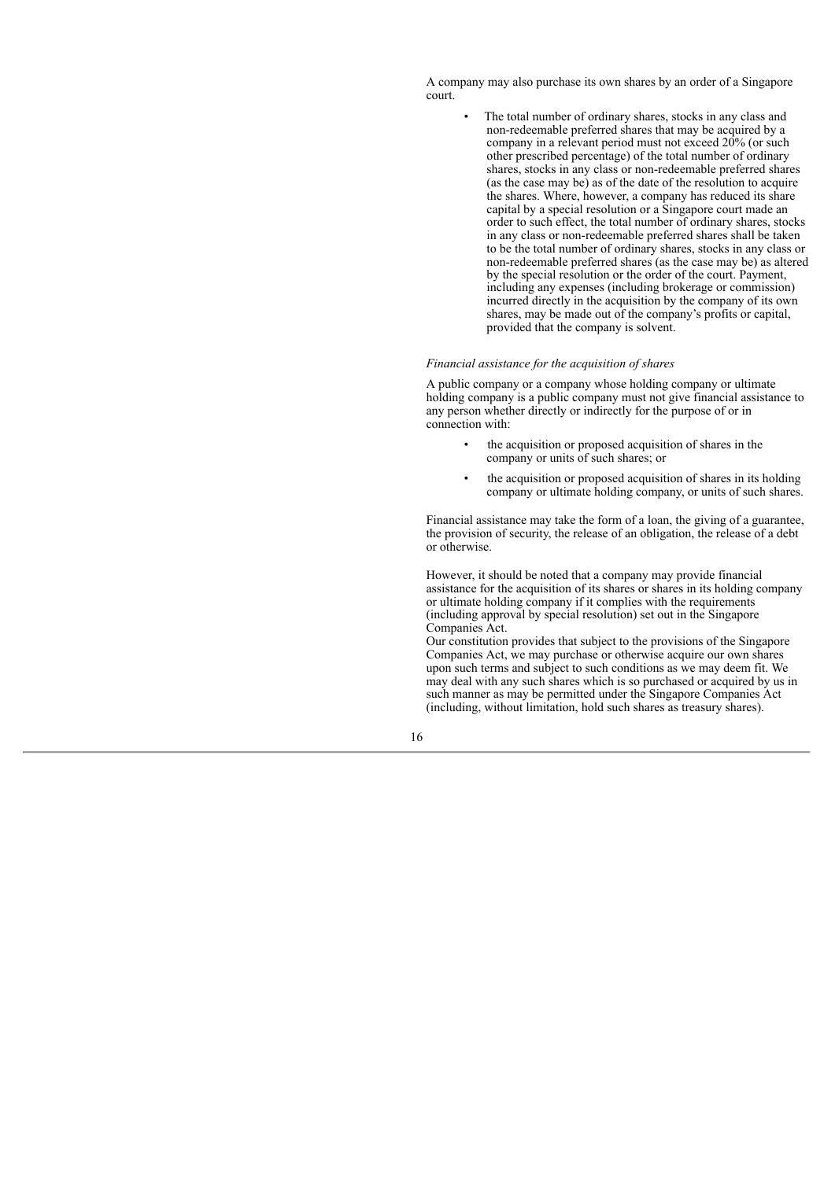A company may also purchase its own shares by an order of a Singapore court.

The total number of ordinary shares, stocks in any class and non-redeemable preferred shares that may be acquired by a company in a relevant period must not exceed 20% (or such other prescribed percentage) of the total number of ordinary shares, stocks in any class or non-redeemable preferred shares (as the case may be) as of the date of the resolution to acquire the shares. Where, however, a company has reduced its share capital by a special resolution or a Singapore court made an order to such effect, the total number of ordinary shares, stocks in any class or non-redeemable preferred shares shall be taken to be the total number of ordinary shares, stocks in any class or non-redeemable preferred shares (as the case may be) as altered by the special resolution or the order of the court. Payment, including any expenses (including brokerage or commission) incurred directly in the acquisition by the company of its own shares, may be made out of the company's profits or capital, provided that the company is solvent.

#### *Financial assistance for the acquisition of shares*

A public company or a company whose holding company or ultimate holding company is a public company must not give financial assistance to any person whether directly or indirectly for the purpose of or in connection with:

- the acquisition or proposed acquisition of shares in the company or units of such shares; or
- the acquisition or proposed acquisition of shares in its holding company or ultimate holding company, or units of such shares.

Financial assistance may take the form of a loan, the giving of a guarantee, the provision of security, the release of an obligation, the release of a debt or otherwise.

However, it should be noted that a company may provide financial assistance for the acquisition of its shares or shares in its holding company or ultimate holding company if it complies with the requirements (including approval by special resolution) set out in the Singapore Companies Act.

Our constitution provides that subject to the provisions of the Singapore Companies Act, we may purchase or otherwise acquire our own shares upon such terms and subject to such conditions as we may deem fit. We may deal with any such shares which is so purchased or acquired by us in such manner as may be permitted under the Singapore Companies Act (including, without limitation, hold such shares as treasury shares).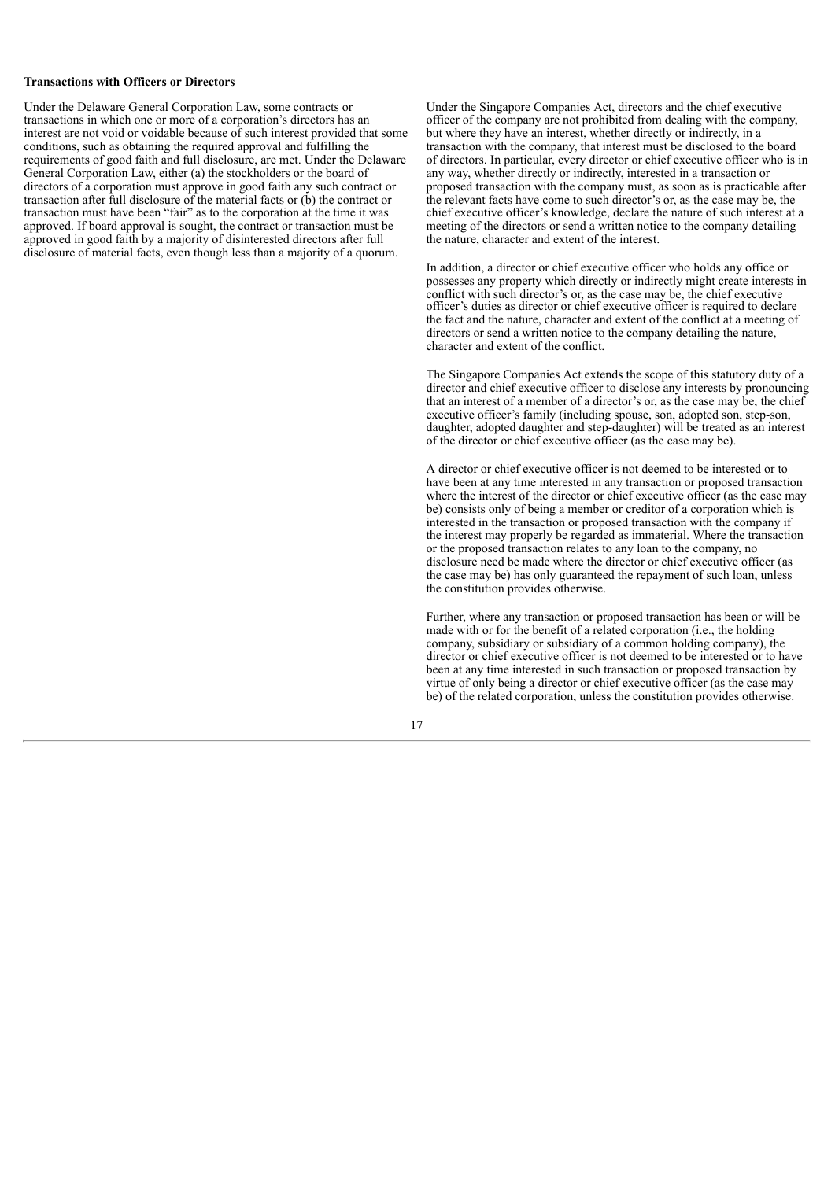#### **Transactions with Officers or Directors**

Under the Delaware General Corporation Law, some contracts or transactions in which one or more of a corporation's directors has an interest are not void or voidable because of such interest provided that some conditions, such as obtaining the required approval and fulfilling the requirements of good faith and full disclosure, are met. Under the Delaware General Corporation Law, either (a) the stockholders or the board of directors of a corporation must approve in good faith any such contract or transaction after full disclosure of the material facts or (b) the contract or transaction must have been "fair" as to the corporation at the time it was approved. If board approval is sought, the contract or transaction must be approved in good faith by a majority of disinterested directors after full disclosure of material facts, even though less than a majority of a quorum.

Under the Singapore Companies Act, directors and the chief executive officer of the company are not prohibited from dealing with the company, but where they have an interest, whether directly or indirectly, in a transaction with the company, that interest must be disclosed to the board of directors. In particular, every director or chief executive officer who is in any way, whether directly or indirectly, interested in a transaction or proposed transaction with the company must, as soon as is practicable after the relevant facts have come to such director's or, as the case may be, the chief executive officer's knowledge, declare the nature of such interest at a meeting of the directors or send a written notice to the company detailing the nature, character and extent of the interest.

In addition, a director or chief executive officer who holds any office or possesses any property which directly or indirectly might create interests in conflict with such director's or, as the case may be, the chief executive officer's duties as director or chief executive officer is required to declare the fact and the nature, character and extent of the conflict at a meeting of directors or send a written notice to the company detailing the nature, character and extent of the conflict.

The Singapore Companies Act extends the scope of this statutory duty of a director and chief executive officer to disclose any interests by pronouncing that an interest of a member of a director's or, as the case may be, the chief executive officer's family (including spouse, son, adopted son, step-son, daughter, adopted daughter and step-daughter) will be treated as an interest of the director or chief executive officer (as the case may be).

A director or chief executive officer is not deemed to be interested or to have been at any time interested in any transaction or proposed transaction where the interest of the director or chief executive officer (as the case may be) consists only of being a member or creditor of a corporation which is interested in the transaction or proposed transaction with the company if the interest may properly be regarded as immaterial. Where the transaction or the proposed transaction relates to any loan to the company, no disclosure need be made where the director or chief executive officer (as the case may be) has only guaranteed the repayment of such loan, unless the constitution provides otherwise.

Further, where any transaction or proposed transaction has been or will be made with or for the benefit of a related corporation (i.e., the holding company, subsidiary or subsidiary of a common holding company), the director or chief executive officer is not deemed to be interested or to have been at any time interested in such transaction or proposed transaction by virtue of only being a director or chief executive officer (as the case may be) of the related corporation, unless the constitution provides otherwise.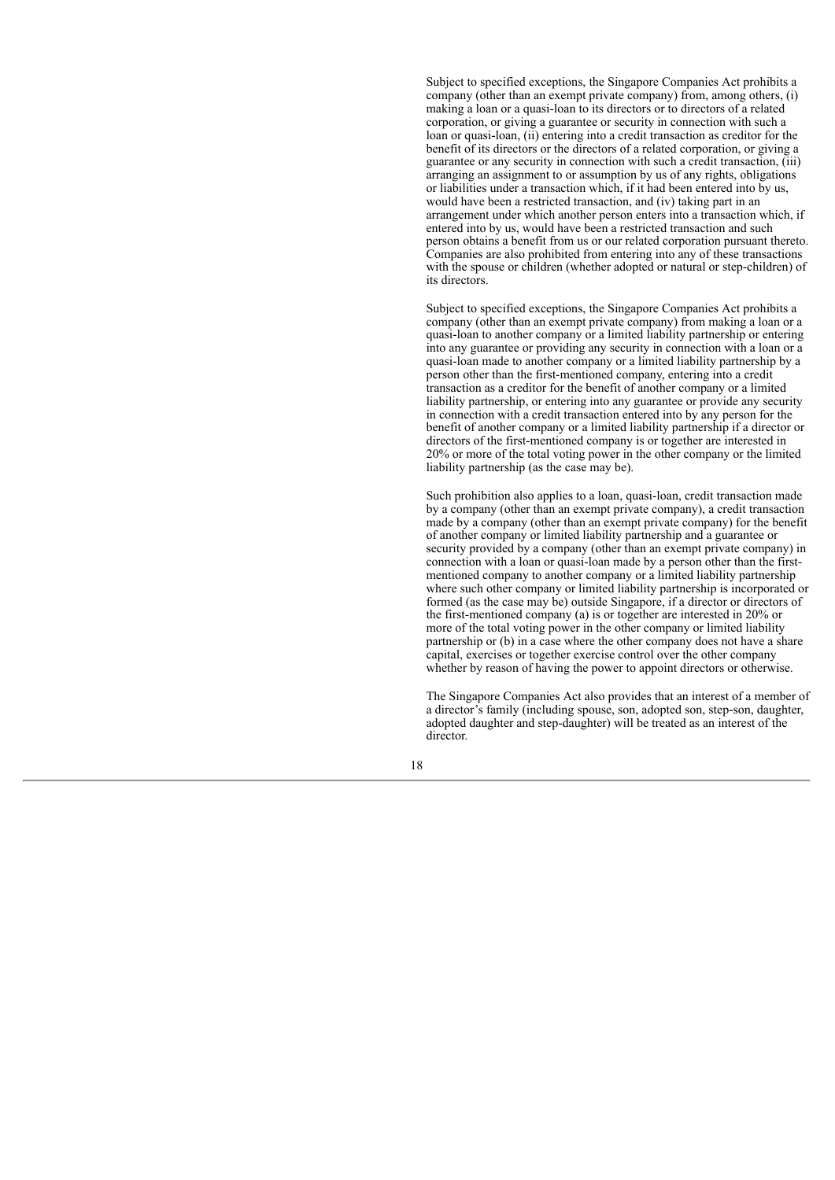Subject to specified exceptions, the Singapore Companies Act prohibits a company (other than an exempt private company) from, among others, (i) making a loan or a quasi-loan to its directors or to directors of a related corporation, or giving a guarantee or security in connection with such a loan or quasi-loan, (ii) entering into a credit transaction as creditor for the benefit of its directors or the directors of a related corporation, or giving a guarantee or any security in connection with such a credit transaction, (iii) arranging an assignment to or assumption by us of any rights, obligations or liabilities under a transaction which, if it had been entered into by us, would have been a restricted transaction, and (iv) taking part in an arrangement under which another person enters into a transaction which, if entered into by us, would have been a restricted transaction and such person obtains a benefit from us or our related corporation pursuant thereto. Companies are also prohibited from entering into any of these transactions with the spouse or children (whether adopted or natural or step-children) of its directors.

Subject to specified exceptions, the Singapore Companies Act prohibits a company (other than an exempt private company) from making a loan or a quasi-loan to another company or a limited liability partnership or entering into any guarantee or providing any security in connection with a loan or a quasi-loan made to another company or a limited liability partnership by a person other than the first-mentioned company, entering into a credit transaction as a creditor for the benefit of another company or a limited liability partnership, or entering into any guarantee or provide any security in connection with a credit transaction entered into by any person for the benefit of another company or a limited liability partnership if a director or directors of the first-mentioned company is or together are interested in 20% or more of the total voting power in the other company or the limited liability partnership (as the case may be).

Such prohibition also applies to a loan, quasi-loan, credit transaction made by a company (other than an exempt private company), a credit transaction made by a company (other than an exempt private company) for the benefit of another company or limited liability partnership and a guarantee or security provided by a company (other than an exempt private company) in connection with a loan or quasi-loan made by a person other than the firstmentioned company to another company or a limited liability partnership where such other company or limited liability partnership is incorporated or formed (as the case may be) outside Singapore, if a director or directors of the first-mentioned company (a) is or together are interested in 20% or more of the total voting power in the other company or limited liability partnership or (b) in a case where the other company does not have a share capital, exercises or together exercise control over the other company whether by reason of having the power to appoint directors or otherwise.

The Singapore Companies Act also provides that an interest of a member of a director's family (including spouse, son, adopted son, step-son, daughter, adopted daughter and step-daughter) will be treated as an interest of the director.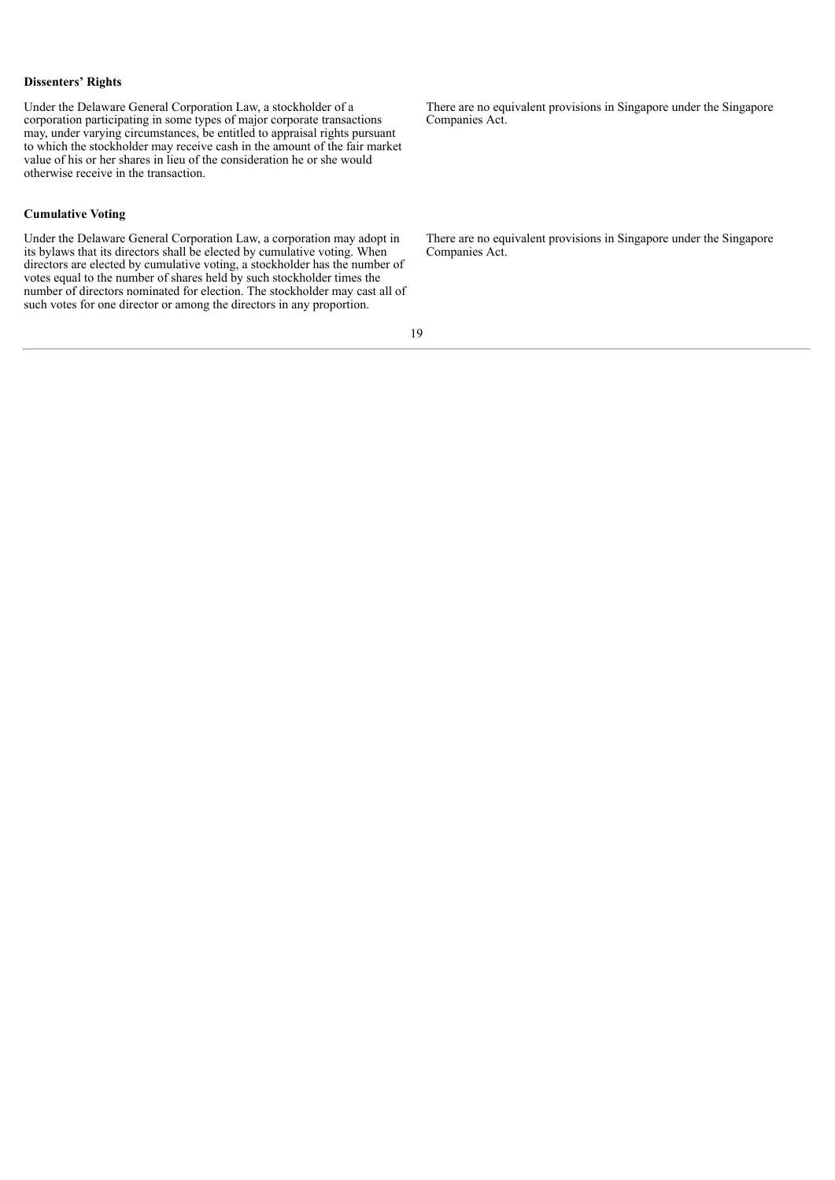#### **Dissenters' Rights**

Under the Delaware General Corporation Law, a stockholder of a corporation participating in some types of major corporate transactions may, under varying circumstances, be entitled to appraisal rights pursuant to which the stockholder may receive cash in the amount of the fair market value of his or her shares in lieu of the consideration he or she would otherwise receive in the transaction.

#### **Cumulative Voting**

Under the Delaware General Corporation Law, a corporation may adopt in its bylaws that its directors shall be elected by cumulative voting. When directors are elected by cumulative voting, a stockholder has the number of votes equal to the number of shares held by such stockholder times the number of directors nominated for election. The stockholder may cast all of such votes for one director or among the directors in any proportion.

There are no equivalent provisions in Singapore under the Singapore Companies Act.

There are no equivalent provisions in Singapore under the Singapore Companies Act.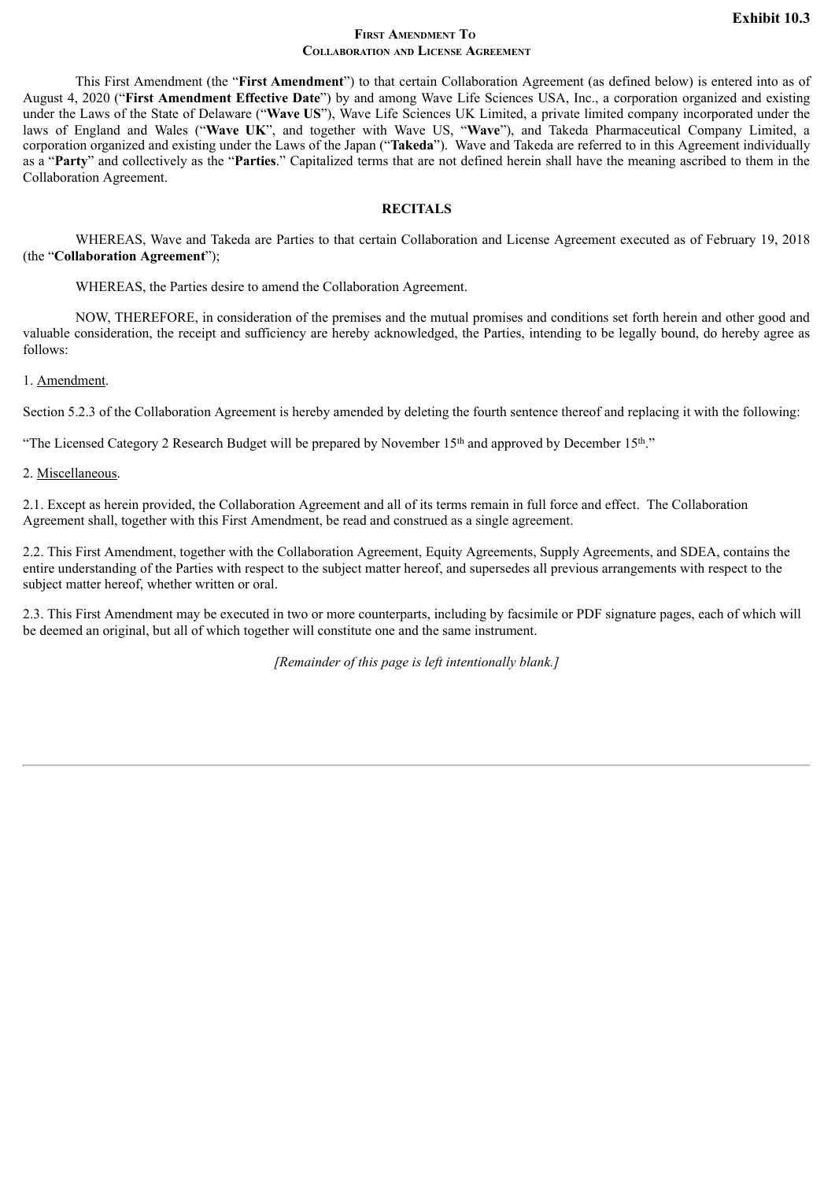#### **First Amendment T<sup>o</sup> Collaboration and License Agreement**

<span id="page-50-0"></span>This First Amendment (the "**First Amendment**") to that certain Collaboration Agreement (as defined below) is entered into as of August 4, 2020 ("**First Amendment Effective Date**") by and among Wave Life Sciences USA, Inc., a corporation organized and existing under the Laws of the State of Delaware ("**Wave US**"), Wave Life Sciences UK Limited, a private limited company incorporated under the laws of England and Wales ("**Wave UK**", and together with Wave US, "**Wave**"), and Takeda Pharmaceutical Company Limited, a corporation organized and existing under the Laws of the Japan ("**Takeda**"). Wave and Takeda are referred to in this Agreement individually as a "**Party**" and collectively as the "**Parties**." Capitalized terms that are not defined herein shall have the meaning ascribed to them in the Collaboration Agreement.

### **RECITALS**

WHEREAS, Wave and Takeda are Parties to that certain Collaboration and License Agreement executed as of February 19, 2018 (the "**Collaboration Agreement**");

WHEREAS, the Parties desire to amend the Collaboration Agreement.

NOW, THEREFORE, in consideration of the premises and the mutual promises and conditions set forth herein and other good and valuable consideration, the receipt and sufficiency are hereby acknowledged, the Parties, intending to be legally bound, do hereby agree as follows:

#### 1. Amendment.

Section 5.2.3 of the Collaboration Agreement is hereby amended by deleting the fourth sentence thereof and replacing it with the following:

"The Licensed Category 2 Research Budget will be prepared by November  $15<sup>th</sup>$  and approved by December  $15<sup>th</sup>$ ."

2. Miscellaneous.

2.1. Except as herein provided, the Collaboration Agreement and all of its terms remain in full force and effect. The Collaboration Agreement shall, together with this First Amendment, be read and construed as a single agreement.

2.2. This First Amendment, together with the Collaboration Agreement, Equity Agreements, Supply Agreements, and SDEA, contains the entire understanding of the Parties with respect to the subject matter hereof, and supersedes all previous arrangements with respect to the subject matter hereof, whether written or oral.

2.3. This First Amendment may be executed in two or more counterparts, including by facsimile or PDF signature pages, each of which will be deemed an original, but all of which together will constitute one and the same instrument.

*[Remainder of this page is left intentionally blank.]*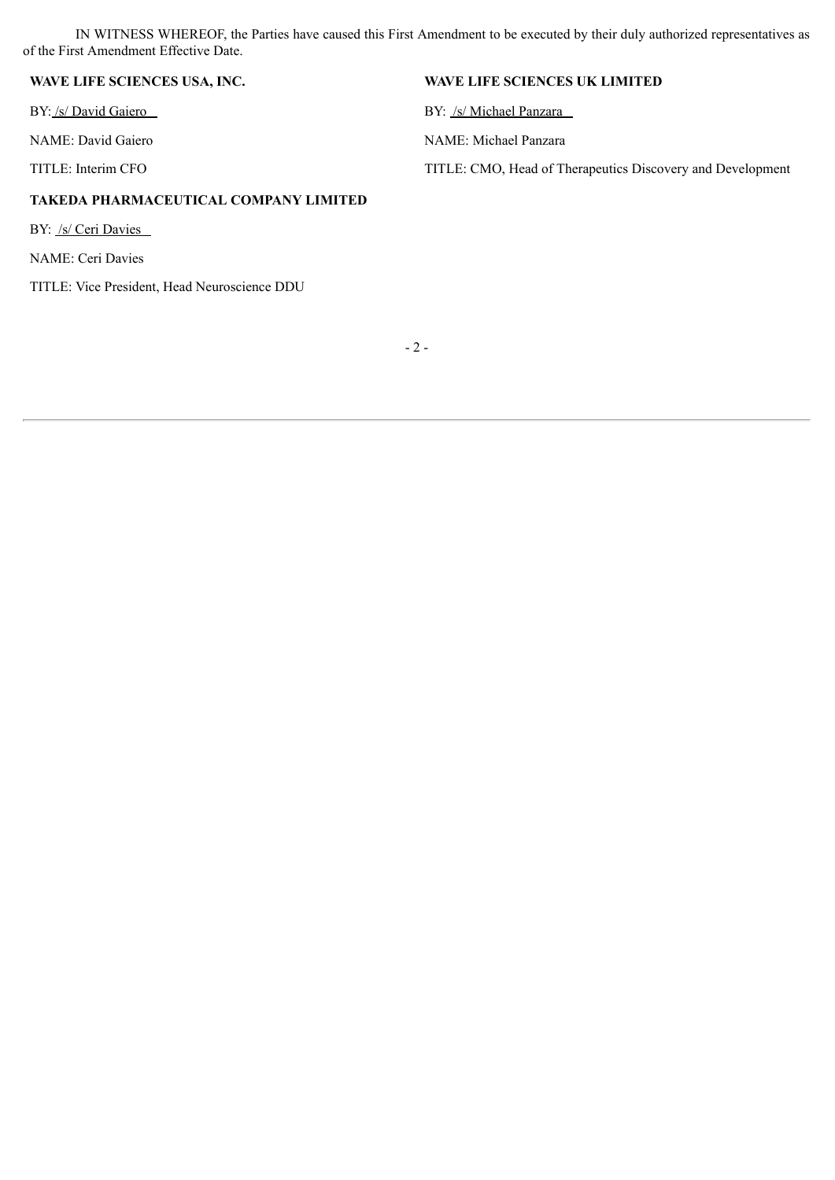IN WITNESS WHEREOF, the Parties have caused this First Amendment to be executed by their duly authorized representatives as of the First Amendment Effective Date.

| WAVE LIFE SCIENCES USA, INC. | <b>WAVE LIFE SCIENCES UK LIMITED</b>                       |
|------------------------------|------------------------------------------------------------|
| BY: /s/ David Gaiero         | BY: /s/ Michael Panzara                                    |
| NAME: David Gaiero           | NAME: Michael Panzara                                      |
| TITLE: Interim CFO           | TITLE: CMO, Head of Therapeutics Discovery and Development |
|                              |                                                            |

### **TAKEDA PHARMACEUTICAL COMPANY LIMITED**

- BY: /s/ Ceri Davies
- NAME: Ceri Davies

TITLE: Vice President, Head Neuroscience DDU

 $- 2 -$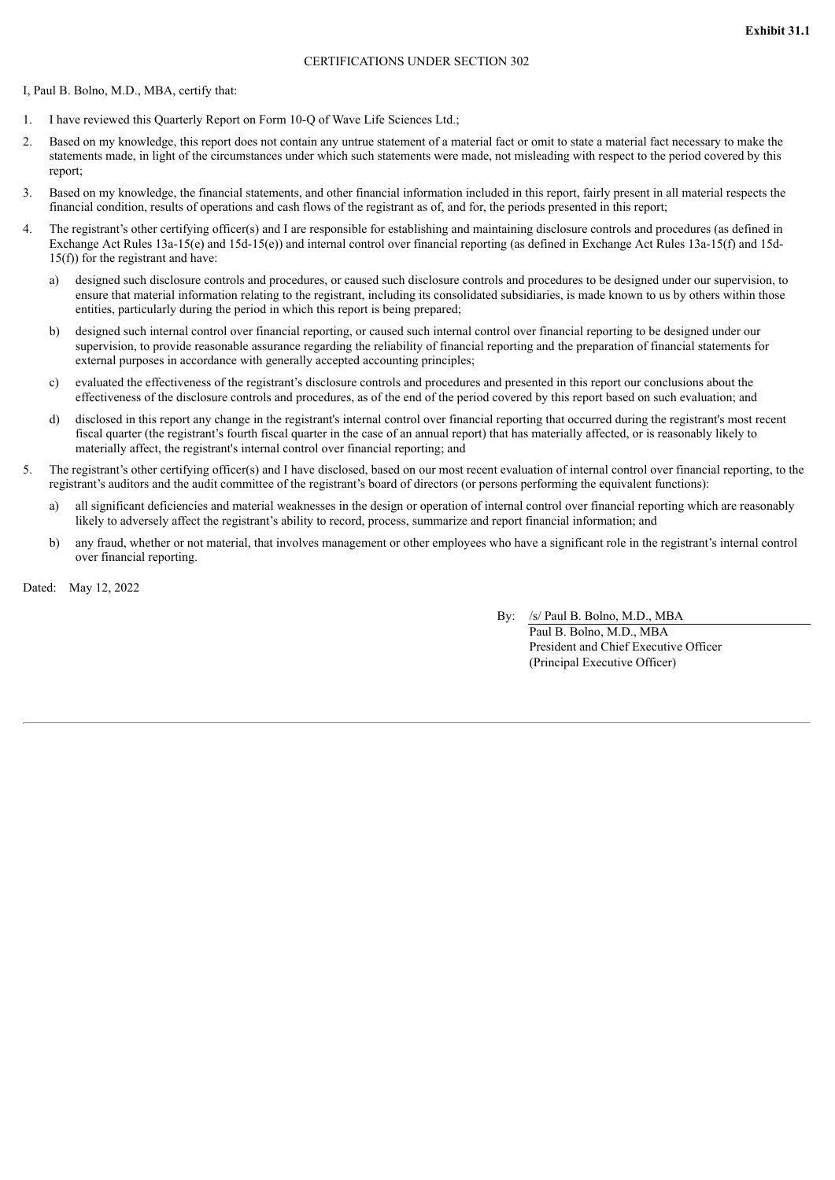#### CERTIFICATIONS UNDER SECTION 302

<span id="page-52-0"></span>I, Paul B. Bolno, M.D., MBA, certify that:

- 1. I have reviewed this Quarterly Report on Form 10-Q of Wave Life Sciences Ltd.;
- 2. Based on my knowledge, this report does not contain any untrue statement of a material fact or omit to state a material fact necessary to make the statements made, in light of the circumstances under which such statements were made, not misleading with respect to the period covered by this report;
- 3. Based on my knowledge, the financial statements, and other financial information included in this report, fairly present in all material respects the financial condition, results of operations and cash flows of the registrant as of, and for, the periods presented in this report;
- 4. The registrant's other certifying officer(s) and I are responsible for establishing and maintaining disclosure controls and procedures (as defined in Exchange Act Rules 13a-15(e) and 15d-15(e)) and internal control over financial reporting (as defined in Exchange Act Rules 13a-15(f) and 15d- $15(f)$ ) for the registrant and have:
	- a) designed such disclosure controls and procedures, or caused such disclosure controls and procedures to be designed under our supervision, to ensure that material information relating to the registrant, including its consolidated subsidiaries, is made known to us by others within those entities, particularly during the period in which this report is being prepared;
	- b) designed such internal control over financial reporting, or caused such internal control over financial reporting to be designed under our supervision, to provide reasonable assurance regarding the reliability of financial reporting and the preparation of financial statements for external purposes in accordance with generally accepted accounting principles;
	- c) evaluated the effectiveness of the registrant's disclosure controls and procedures and presented in this report our conclusions about the effectiveness of the disclosure controls and procedures, as of the end of the period covered by this report based on such evaluation; and
	- d) disclosed in this report any change in the registrant's internal control over financial reporting that occurred during the registrant's most recent fiscal quarter (the registrant's fourth fiscal quarter in the case of an annual report) that has materially affected, or is reasonably likely to materially affect, the registrant's internal control over financial reporting; and
- 5. The registrant's other certifying officer(s) and I have disclosed, based on our most recent evaluation of internal control over financial reporting, to the registrant's auditors and the audit committee of the registrant's board of directors (or persons performing the equivalent functions):
	- all significant deficiencies and material weaknesses in the design or operation of internal control over financial reporting which are reasonably likely to adversely affect the registrant's ability to record, process, summarize and report financial information; and
	- b) any fraud, whether or not material, that involves management or other employees who have a significant role in the registrant's internal control over financial reporting.

Dated: May 12, 2022

By: /s/ Paul B. Bolno, M.D., MBA Paul B. Bolno, M.D., MBA President and Chief Executive Officer (Principal Executive Officer)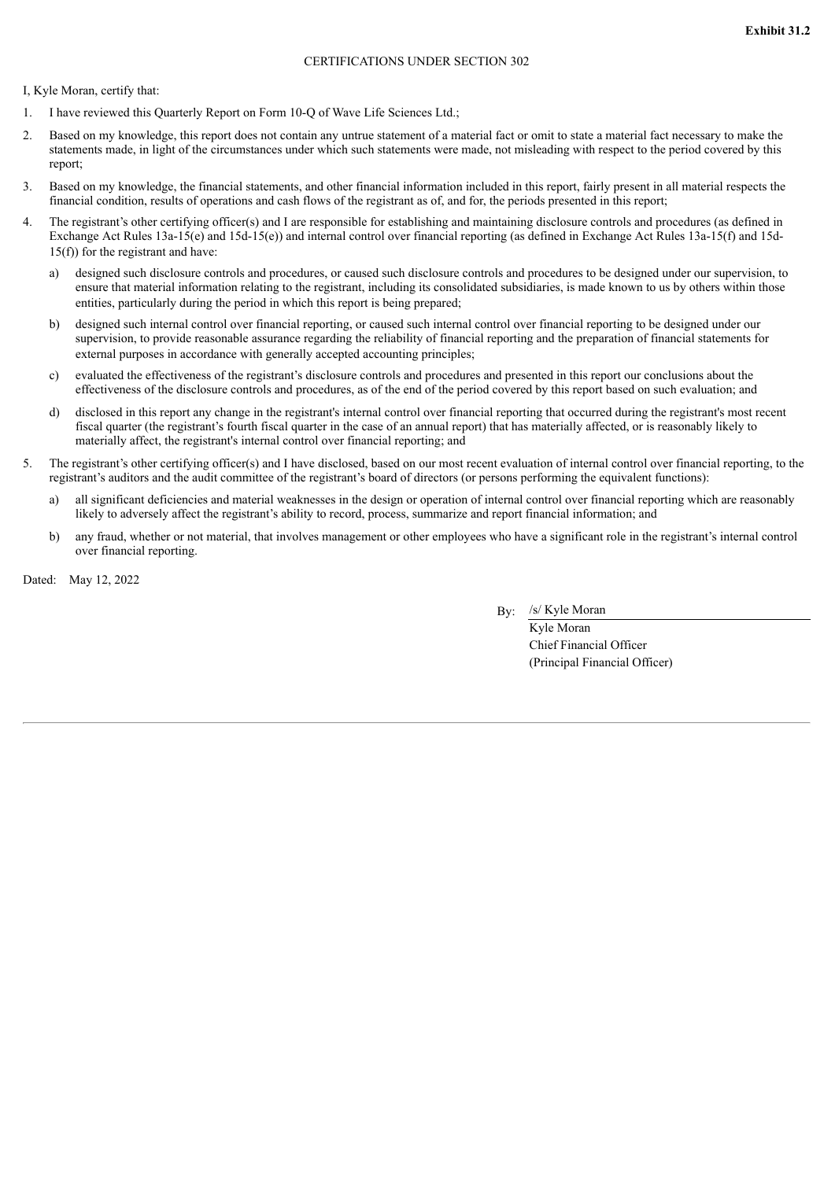#### CERTIFICATIONS UNDER SECTION 302

<span id="page-53-0"></span>I, Kyle Moran, certify that:

- 1. I have reviewed this Quarterly Report on Form 10-Q of Wave Life Sciences Ltd.;
- 2. Based on my knowledge, this report does not contain any untrue statement of a material fact or omit to state a material fact necessary to make the statements made, in light of the circumstances under which such statements were made, not misleading with respect to the period covered by this report;
- 3. Based on my knowledge, the financial statements, and other financial information included in this report, fairly present in all material respects the financial condition, results of operations and cash flows of the registrant as of, and for, the periods presented in this report;
- 4. The registrant's other certifying officer(s) and I are responsible for establishing and maintaining disclosure controls and procedures (as defined in Exchange Act Rules 13a-15(e) and 15d-15(e)) and internal control over financial reporting (as defined in Exchange Act Rules 13a-15(f) and 15d-15(f)) for the registrant and have:
	- a) designed such disclosure controls and procedures, or caused such disclosure controls and procedures to be designed under our supervision, to ensure that material information relating to the registrant, including its consolidated subsidiaries, is made known to us by others within those entities, particularly during the period in which this report is being prepared;
	- b) designed such internal control over financial reporting, or caused such internal control over financial reporting to be designed under our supervision, to provide reasonable assurance regarding the reliability of financial reporting and the preparation of financial statements for external purposes in accordance with generally accepted accounting principles;
	- c) evaluated the effectiveness of the registrant's disclosure controls and procedures and presented in this report our conclusions about the effectiveness of the disclosure controls and procedures, as of the end of the period covered by this report based on such evaluation; and
	- d) disclosed in this report any change in the registrant's internal control over financial reporting that occurred during the registrant's most recent fiscal quarter (the registrant's fourth fiscal quarter in the case of an annual report) that has materially affected, or is reasonably likely to materially affect, the registrant's internal control over financial reporting; and
- 5. The registrant's other certifying officer(s) and I have disclosed, based on our most recent evaluation of internal control over financial reporting, to the registrant's auditors and the audit committee of the registrant's board of directors (or persons performing the equivalent functions):
	- a) all significant deficiencies and material weaknesses in the design or operation of internal control over financial reporting which are reasonably likely to adversely affect the registrant's ability to record, process, summarize and report financial information; and
	- b) any fraud, whether or not material, that involves management or other employees who have a significant role in the registrant's internal control over financial reporting.

Dated: May 12, 2022

By: /s/ Kyle Moran

Kyle Moran Chief Financial Officer (Principal Financial Officer)